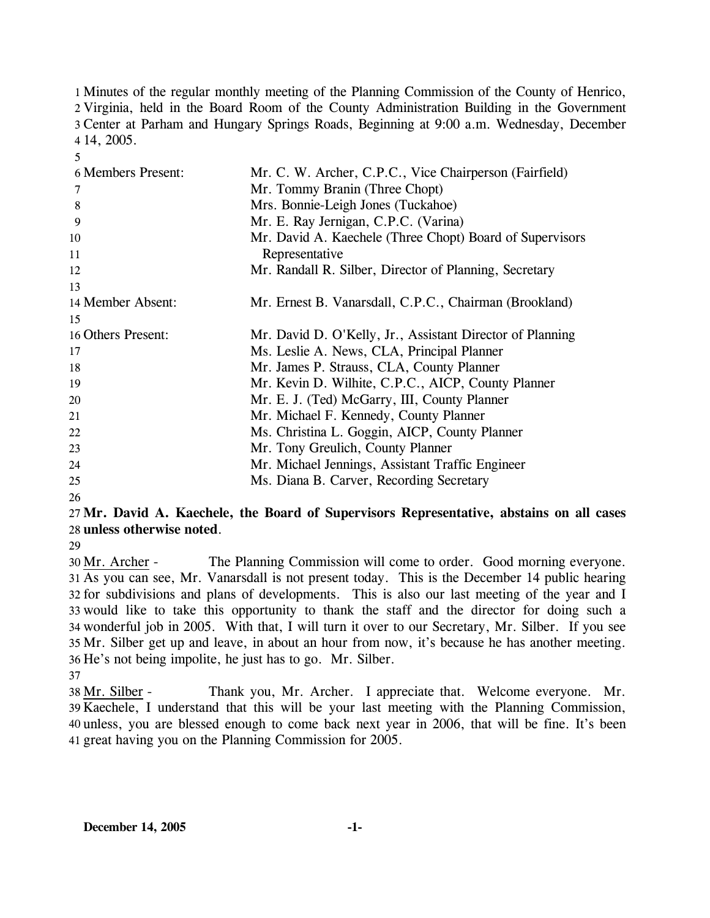Minutes of the regular monthly meeting of the Planning Commission of the County of Henrico, Virginia, held in the Board Room of the County Administration Building in the Government Center at Parham and Hungary Springs Roads, Beginning at 9:00 a.m. Wednesday, December 14, 2005.

| 6 Members Present: | Mr. C. W. Archer, C.P.C., Vice Chairperson (Fairfield)    |
|--------------------|-----------------------------------------------------------|
| 7                  | Mr. Tommy Branin (Three Chopt)                            |
| 8                  | Mrs. Bonnie-Leigh Jones (Tuckahoe)                        |
| 9                  | Mr. E. Ray Jernigan, C.P.C. (Varina)                      |
| 10                 | Mr. David A. Kaechele (Three Chopt) Board of Supervisors  |
| 11                 | Representative                                            |
| 12                 | Mr. Randall R. Silber, Director of Planning, Secretary    |
| 13                 |                                                           |
| 14 Member Absent:  | Mr. Ernest B. Vanarsdall, C.P.C., Chairman (Brookland)    |
| 15                 |                                                           |
| 16 Others Present: | Mr. David D. O'Kelly, Jr., Assistant Director of Planning |
| 17                 | Ms. Leslie A. News, CLA, Principal Planner                |
| 18                 | Mr. James P. Strauss, CLA, County Planner                 |
| 19                 | Mr. Kevin D. Wilhite, C.P.C., AICP, County Planner        |
| 20                 | Mr. E. J. (Ted) McGarry, III, County Planner              |
| 21                 | Mr. Michael F. Kennedy, County Planner                    |
| 22                 | Ms. Christina L. Goggin, AICP, County Planner             |
| 23                 | Mr. Tony Greulich, County Planner                         |
| 24                 | Mr. Michael Jennings, Assistant Traffic Engineer          |
| 25                 | Ms. Diana B. Carver, Recording Secretary                  |
|                    |                                                           |

26

5

## 27 **Mr. David A. Kaechele, the Board of Supervisors Representative, abstains on all cases**  28 **unless otherwise noted**.

29

The Planning Commission will come to order. Good morning everyone. 31 As you can see, Mr. Vanarsdall is not present today. This is the December 14 public hearing 32 for subdivisions and plans of developments. This is also our last meeting of the year and I 33 would like to take this opportunity to thank the staff and the director for doing such a 34 wonderful job in 2005. With that, I will turn it over to our Secretary, Mr. Silber. If you see 35 Mr. Silber get up and leave, in about an hour from now, it's because he has another meeting. 36 He's not being impolite, he just has to go. Mr. Silber. 30 Mr. Archer -

37

Thank you, Mr. Archer. I appreciate that. Welcome everyone. Mr. Kaechele, I understand that this will be your last meeting with the Planning Commission, 39 40 unless, you are blessed enough to come back next year in 2006, that will be fine. It's been 41 great having you on the Planning Commission for 2005. 38 Mr. Silber -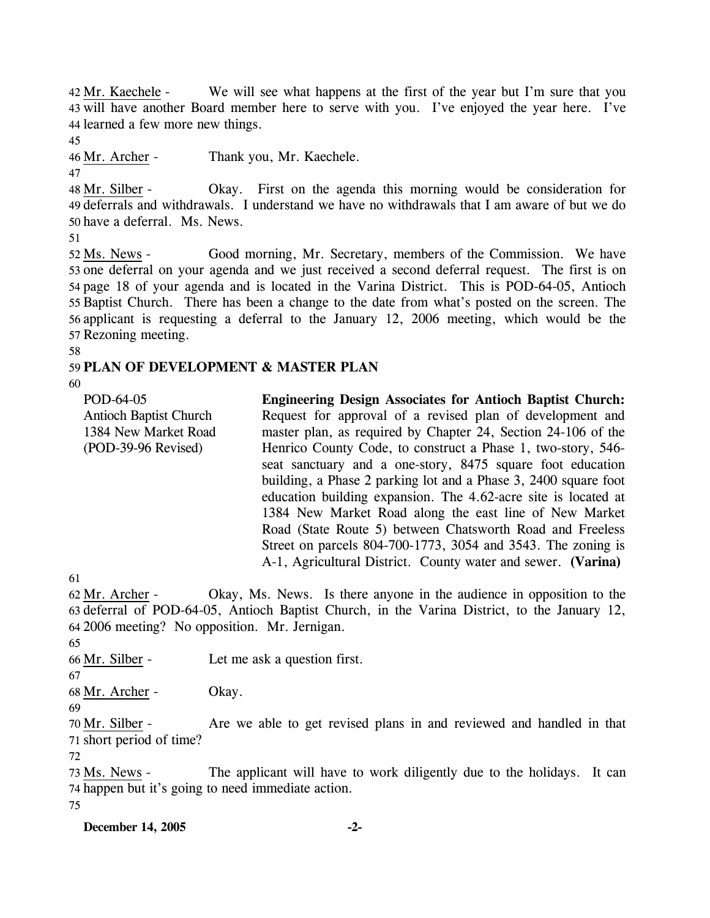We will see what happens at the first of the year but I'm sure that you 43 will have another Board member here to serve with you. I've enjoyed the year here. I've 44 learned a few more new things. 42 Mr. Kaechele -

45

46 Mr. Archer - Thank you, Mr. Kaechele.

47 Okay. First on the agenda this morning would be consideration for 49 deferrals and withdrawals. I understand we have no withdrawals that I am aware of but we do 50 have a deferral. Ms. News. 48 Mr. Silber -

51

Good morning, Mr. Secretary, members of the Commission. We have 53 one deferral on your agenda and we just received a second deferral request. The first is on 54 page 18 of your agenda and is located in the Varina District. This is POD-64-05, Antioch 55 Baptist Church. There has been a change to the date from what's posted on the screen. The 56 applicant is requesting a deferral to the January 12, 2006 meeting, which would be the 57 Rezoning meeting. 52 Ms. News -

58

## 59 **PLAN OF DEVELOPMENT & MASTER PLAN**

60

| POD-64-05<br><b>Antioch Baptist Church</b><br>1384 New Market Road<br>(POD-39-96 Revised) | <b>Engineering Design Associates for Antioch Baptist Church:</b><br>Request for approval of a revised plan of development and<br>master plan, as required by Chapter 24, Section 24-106 of the<br>Henrico County Code, to construct a Phase 1, two-story, 546-<br>seat sanctuary and a one-story, 8475 square foot education<br>building, a Phase 2 parking lot and a Phase 3, 2400 square foot<br>education building expansion. The 4.62-acre site is located at<br>1384 New Market Road along the east line of New Market<br>Road (State Route 5) between Chatsworth Road and Freeless<br>Street on parcels 804-700-1773, 3054 and 3543. The zoning is |
|-------------------------------------------------------------------------------------------|----------------------------------------------------------------------------------------------------------------------------------------------------------------------------------------------------------------------------------------------------------------------------------------------------------------------------------------------------------------------------------------------------------------------------------------------------------------------------------------------------------------------------------------------------------------------------------------------------------------------------------------------------------|
|                                                                                           | A-1, Agricultural District. County water and sewer. (Varina)                                                                                                                                                                                                                                                                                                                                                                                                                                                                                                                                                                                             |
| 61                                                                                        |                                                                                                                                                                                                                                                                                                                                                                                                                                                                                                                                                                                                                                                          |

Okay, Ms. News. Is there anyone in the audience in opposition to the 63 deferral of POD-64-05, Antioch Baptist Church, in the Varina District, to the January 12, 2006 meeting? No opposition. Mr. Jernigan. 64 62 Mr. Archer -

65

66 Mr. Silber - Let me ask a question first.

67

68 Mr. Archer - Okay.

69

Are we able to get revised plans in and reviewed and handled in that 71 short period of time? 70 Mr. Silber -

72

The applicant will have to work diligently due to the holidays. It can 74 happen but it's going to need immediate action. 73 Ms. News -75

**December 14, 2005 -2-**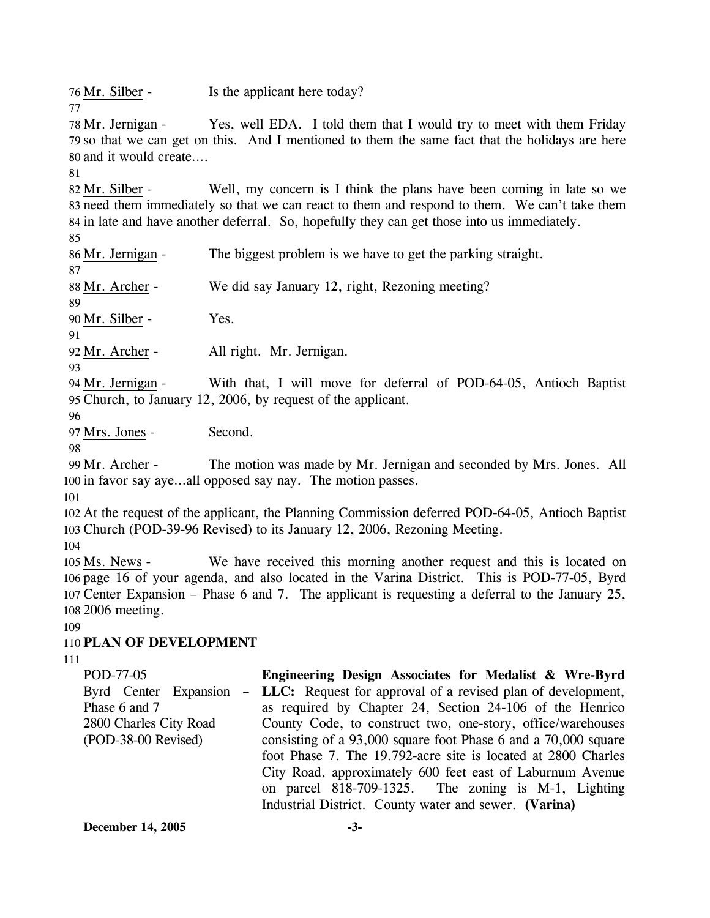76 Mr. Silber - Is the applicant here today?

Yes, well EDA. I told them that I would try to meet with them Friday 79 so that we can get on this. And I mentioned to them the same fact that the holidays are here and it would create…. 80 78 Mr. Jernigan -

81

77

Well, my concern is I think the plans have been coming in late so we 83 need them immediately so that we can react to them and respond to them. We can't take them 84 in late and have another deferral. So, hopefully they can get those into us immediately. 82 Mr. Silber -

85

86 Mr. Jernigan - The biggest problem is we have to get the parking straight. 87 88 Mr. Archer - We did say January 12, right, Rezoning meeting? 89 90 Mr. Silber - Yes.

91

92 Mr. Archer - All right. Mr. Jernigan.

93

With that, I will move for deferral of POD-64-05, Antioch Baptist 95 Church, to January 12, 2006, by request of the applicant. 94 Mr. Jernigan -

96

97 Mrs. Jones - Second.

98

The motion was made by Mr. Jernigan and seconded by Mrs. Jones. All 100 in favor say aye...all opposed say nay. The motion passes. 99 Mr. Archer -

101

102 At the request of the applicant, the Planning Commission deferred POD-64-05, Antioch Baptist 103 Church (POD-39-96 Revised) to its January 12, 2006, Rezoning Meeting.

104

We have received this morning another request and this is located on 106 page 16 of your agenda, and also located in the Varina District. This is POD-77-05, Byrd Center Expansion – Phase 6 and 7. The applicant is requesting a deferral to the January 25, 107 2006 meeting. 108 105 Ms. News -

# 109

## 110 **PLAN OF DEVELOPMENT**

111

POD-77-05 Byrd Center Expansion – Phase 6 and 7 2800 Charles City Road (POD-38-00 Revised) **Engineering Design Associates for Medalist & Wre-Byrd LLC:** Request for approval of a revised plan of development, as required by Chapter 24, Section 24-106 of the Henrico County Code, to construct two, one-story, office/warehouses consisting of a 93,000 square foot Phase 6 and a 70,000 square foot Phase 7. The 19.792-acre site is located at 2800 Charles City Road, approximately 600 feet east of Laburnum Avenue on parcel 818-709-1325. The zoning is M-1, Lighting Industrial District. County water and sewer. **(Varina)**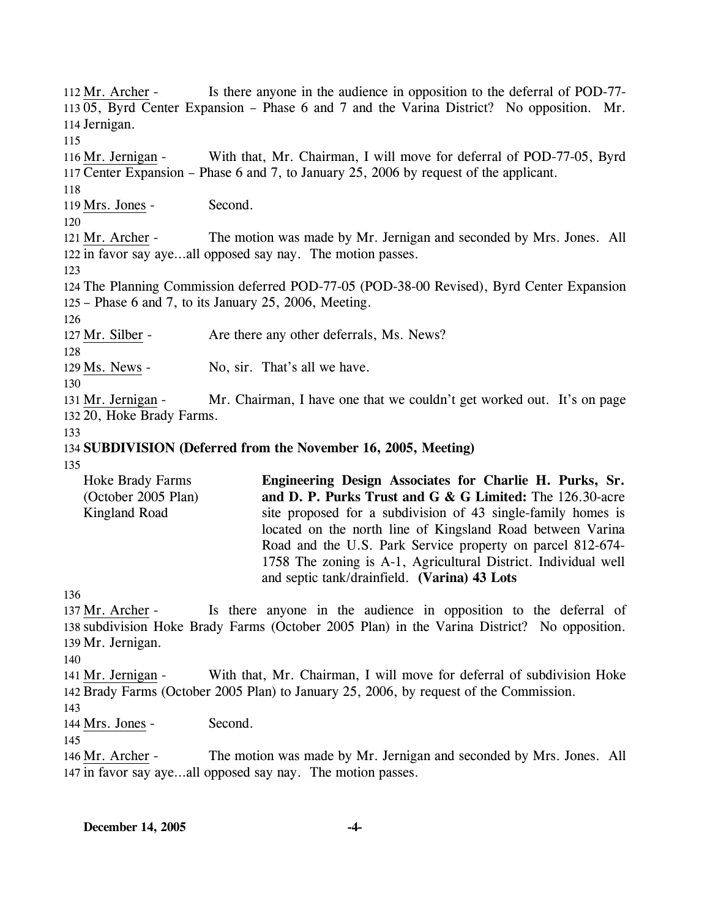Is there anyone in the audience in opposition to the deferral of POD-77-11305, Byrd Center Expansion – Phase 6 and 7 and the Varina District? No opposition. Mr. 114 Jernigan.  $112$  Mr. Archer -115 With that, Mr. Chairman, I will move for deferral of POD-77-05, Byrd 117 Center Expansion – Phase 6 and 7, to January 25, 2006 by request of the applicant. 116 Mr. Jernigan -118 119 Mrs. Jones - Second. 120 The motion was made by Mr. Jernigan and seconded by Mrs. Jones. All 122 in favor say aye...all opposed say nay. The motion passes. 121 Mr. Archer -123 124 The Planning Commission deferred POD-77-05 (POD-38-00 Revised), Byrd Center Expansion 125 – Phase 6 and 7, to its January 25, 2006, Meeting. 126 127 Mr. Silber - Are there any other deferrals, Ms. News? 128 129 Ms. News - No, sir. That's all we have. 130 Mr. Chairman, I have one that we couldn't get worked out. It's on page 132 20, Hoke Brady Farms. 131 Mr. Jernigan -133 134 **SUBDIVISION (Deferred from the November 16, 2005, Meeting)**  135 136 Hoke Brady Farms (October 2005 Plan) Kingland Road **Engineering Design Associates for Charlie H. Purks, Sr. and D. P. Purks Trust and G & G Limited:** The 126.30-acre site proposed for a subdivision of 43 single-family homes is located on the north line of Kingsland Road between Varina Road and the U.S. Park Service property on parcel 812-674- 1758 The zoning is A-1, Agricultural District. Individual well and septic tank/drainfield. **(Varina) 43 Lots**  Is there anyone in the audience in opposition to the deferral of 138 subdivision Hoke Brady Farms (October 2005 Plan) in the Varina District? No opposition. 139 Mr. Jernigan. 137 Mr. Archer -140 With that, Mr. Chairman, I will move for deferral of subdivision Hoke 142 Brady Farms (October 2005 Plan) to January 25, 2006, by request of the Commission. 141 Mr. Jernigan -143 144 Mrs. Jones - Second. 145 The motion was made by Mr. Jernigan and seconded by Mrs. Jones. All 147 in favor say aye...all opposed say nay. The motion passes. 146 Mr. Archer -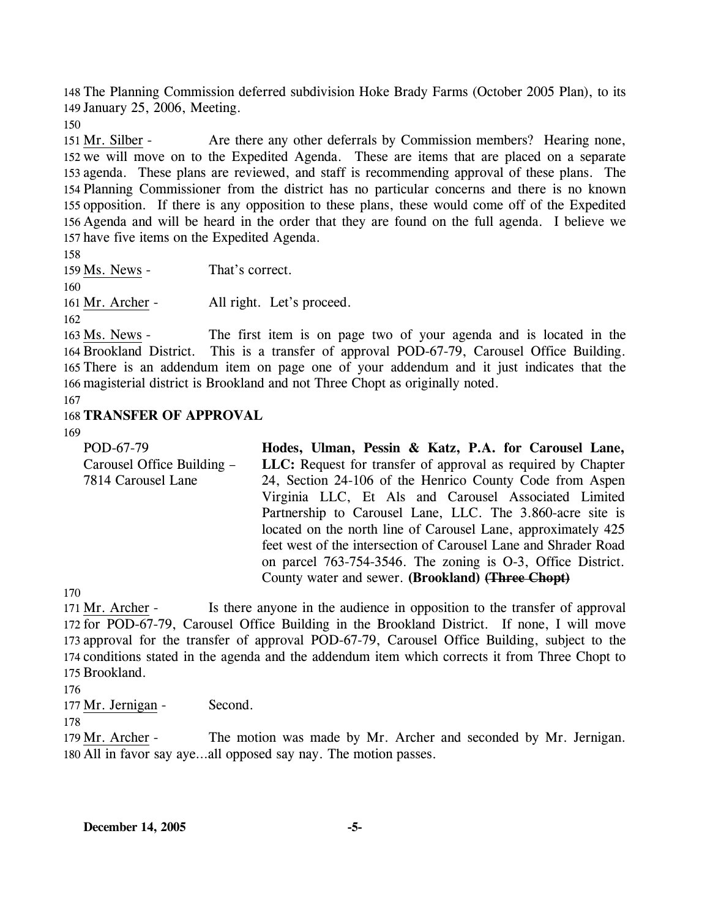148 The Planning Commission deferred subdivision Hoke Brady Farms (October 2005 Plan), to its 149 January 25, 2006, Meeting.

150

Are there any other deferrals by Commission members? Hearing none, 152 we will move on to the Expedited Agenda. These are items that are placed on a separate 153 agenda. These plans are reviewed, and staff is recommending approval of these plans. The Planning Commissioner from the district has no particular concerns and there is no known 154 155 opposition. If there is any opposition to these plans, these would come off of the Expedited 156 Agenda and will be heard in the order that they are found on the full agenda. I believe we 157 have five items on the Expedited Agenda. 151 Mr. Silber -

158

159 Ms. News - That's correct. 160 161 Mr. Archer - All right. Let's proceed. 162

The first item is on page two of your agenda and is located in the 164 Brookland District. This is a transfer of approval POD-67-79, Carousel Office Building. 165 There is an addendum item on page one of your addendum and it just indicates that the 166 magisterial district is Brookland and not Three Chopt as originally noted. 163 Ms. News -

167

## 168 **TRANSFER OF APPROVAL**

169

POD-67-79 Carousel Office Building – 7814 Carousel Lane **Hodes, Ulman, Pessin & Katz, P.A. for Carousel Lane, LLC:** Request for transfer of approval as required by Chapter 24, Section 24-106 of the Henrico County Code from Aspen Virginia LLC, Et Als and Carousel Associated Limited Partnership to Carousel Lane, LLC. The 3.860-acre site is located on the north line of Carousel Lane, approximately 425 feet west of the intersection of Carousel Lane and Shrader Road on parcel 763-754-3546. The zoning is O-3, Office District. County water and sewer. **(Brookland) (Three Chopt)**

170

Is there anyone in the audience in opposition to the transfer of approval 172 for POD-67-79, Carousel Office Building in the Brookland District. If none, I will move 173 approval for the transfer of approval POD-67-79, Carousel Office Building, subject to the 174 conditions stated in the agenda and the addendum item which corrects it from Three Chopt to 175 Brookland. 171 Mr. Archer -

176

177 Mr. Jernigan - Second.

178

The motion was made by Mr. Archer and seconded by Mr. Jernigan. All in favor say aye…all opposed say nay. The motion passes. 180 179 Mr. Archer -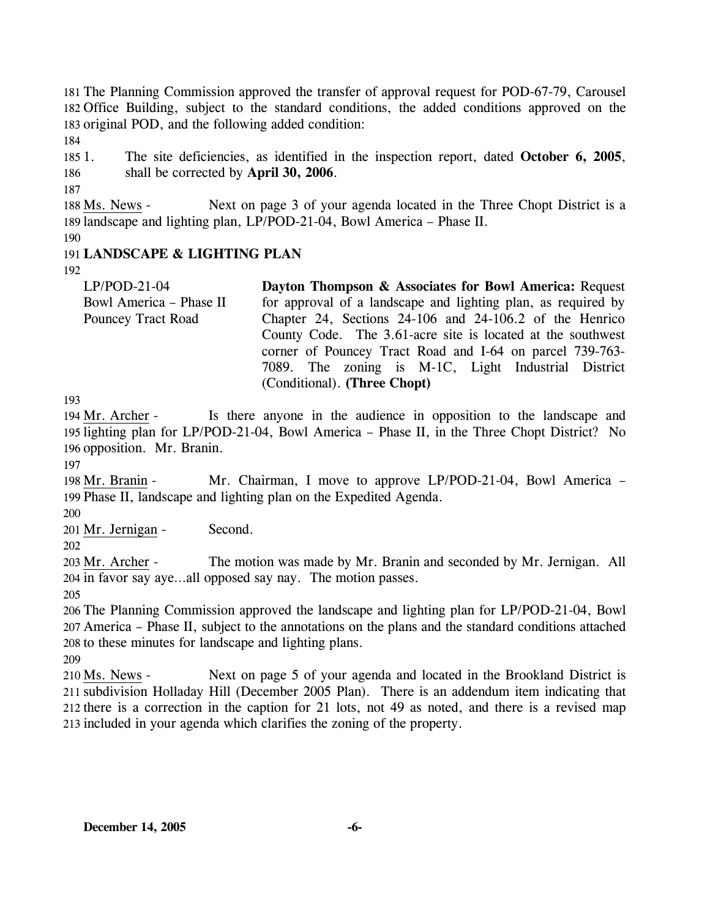181 The Planning Commission approved the transfer of approval request for POD-67-79, Carousel 182 Office Building, subject to the standard conditions, the added conditions approved on the 183 original POD, and the following added condition:

184

 $1851$ 186 1. The site deficiencies, as identified in the inspection report, dated **October 6, 2005**, shall be corrected by **April 30, 2006**.

187

Next on page 3 of your agenda located in the Three Chopt District is a 189 landscape and lighting plan, LP/POD-21-04, Bowl America - Phase II. 188 Ms. News -

190

## 191 **LANDSCAPE & LIGHTING PLAN**

192

LP/POD-21-04 Bowl America – Phase II Pouncey Tract Road **Dayton Thompson & Associates for Bowl America:** Request for approval of a landscape and lighting plan, as required by Chapter 24, Sections 24-106 and 24-106.2 of the Henrico County Code. The 3.61-acre site is located at the southwest corner of Pouncey Tract Road and I-64 on parcel 739-763- 7089. The zoning is M-1C, Light Industrial District (Conditional). **(Three Chopt)** 

193

Is there anyone in the audience in opposition to the landscape and 195 lighting plan for LP/POD-21-04, Bowl America - Phase II, in the Three Chopt District? No 196 opposition. Mr. Branin. 194 Mr. Archer -

197

Mr. Chairman, I move to approve LP/POD-21-04, Bowl America – 199 Phase II, landscape and lighting plan on the Expedited Agenda. 198 Mr. Branin -

200

201 Mr. Jernigan - Second.

202

The motion was made by Mr. Branin and seconded by Mr. Jernigan. All 204 in favor say aye...all opposed say nay. The motion passes. 203 Mr. Archer -

205

206 The Planning Commission approved the landscape and lighting plan for LP/POD-21-04, Bowl 207 America – Phase II, subject to the annotations on the plans and the standard conditions attached 208 to these minutes for landscape and lighting plans.

209

Next on page 5 of your agenda and located in the Brookland District is 211 subdivision Holladay Hill (December 2005 Plan). There is an addendum item indicating that 212 there is a correction in the caption for 21 lots, not 49 as noted, and there is a revised map 213 included in your agenda which clarifies the zoning of the property. 210 Ms. News -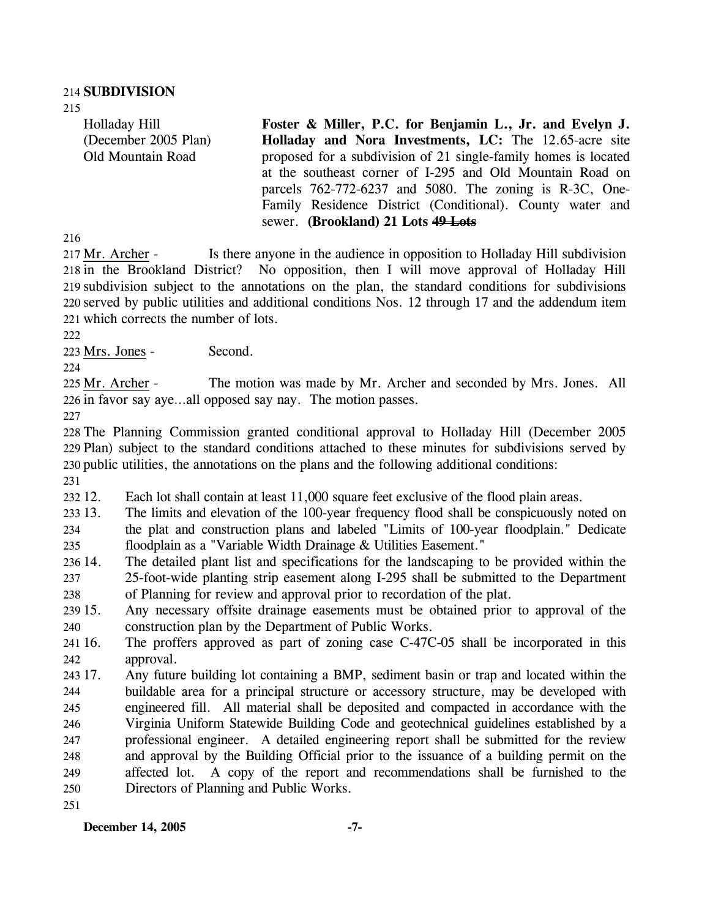215

Holladay Hill (December 2005 Plan) Old Mountain Road **Foster & Miller, P.C. for Benjamin L., Jr. and Evelyn J. Holladay and Nora Investments, LC:** The 12.65-acre site proposed for a subdivision of 21 single-family homes is located at the southeast corner of I-295 and Old Mountain Road on parcels 762-772-6237 and 5080. The zoning is R-3C, One-Family Residence District (Conditional). County water and sewer. **(Brookland) 21 Lots 49 Lots**

216

Is there anyone in the audience in opposition to Holladay Hill subdivision No opposition, then I will move approval of Holladay Hill 219 subdivision subject to the annotations on the plan, the standard conditions for subdivisions 220 served by public utilities and additional conditions Nos. 12 through 17 and the addendum item which corrects the number of lots. 221 217 Mr. Archer -218 in the Brookland District?

222

223 Mrs. Jones - Second.

224

The motion was made by Mr. Archer and seconded by Mrs. Jones. All 226 in favor say aye...all opposed say nay. The motion passes. 225 Mr. Archer -

227

 The Planning Commission granted conditional approval to Holladay Hill (December 2005 Plan) subject to the standard conditions attached to these minutes for subdivisions served by public utilities, the annotations on the plans and the following additional conditions: 231

232 12. Each lot shall contain at least 11,000 square feet exclusive of the flood plain areas.

233 13. 234 235 13. The limits and elevation of the 100-year frequency flood shall be conspicuously noted on the plat and construction plans and labeled "Limits of 100-year floodplain." Dedicate floodplain as a "Variable Width Drainage & Utilities Easement."

236 14. 237 238 The detailed plant list and specifications for the landscaping to be provided within the 25-foot-wide planting strip easement along I-295 shall be submitted to the Department of Planning for review and approval prior to recordation of the plat.

239 15. 240 Any necessary offsite drainage easements must be obtained prior to approval of the construction plan by the Department of Public Works.

241 16. 242 The proffers approved as part of zoning case  $C-47C-05$  shall be incorporated in this approval.

243 17. 244 245 246 247 248 249 250 251 17. Any future building lot containing a BMP, sediment basin or trap and located within the buildable area for a principal structure or accessory structure, may be developed with engineered fill. All material shall be deposited and compacted in accordance with the Virginia Uniform Statewide Building Code and geotechnical guidelines established by a professional engineer. A detailed engineering report shall be submitted for the review and approval by the Building Official prior to the issuance of a building permit on the affected lot. A copy of the report and recommendations shall be furnished to the Directors of Planning and Public Works.

**December 14, 2005 -7-**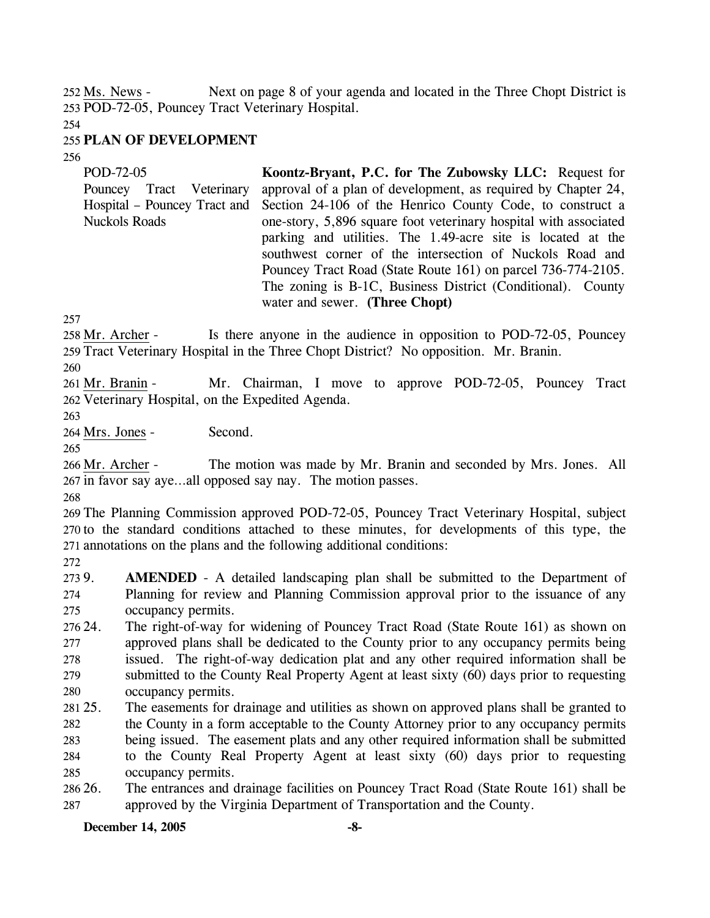Next on page 8 of your agenda and located in the Three Chopt District is 253 POD-72-05, Pouncey Tract Veterinary Hospital. 252 Ms. News -

254

### 255 **PLAN OF DEVELOPMENT**

256

| POD-72-05<br>Tract Veterinary<br>Pouncey<br>Hospital – Pouncey Tract and<br><b>Nuckols Roads</b> | Koontz-Bryant, P.C. for The Zubowsky LLC: Request for<br>approval of a plan of development, as required by Chapter 24,<br>Section 24-106 of the Henrico County Code, to construct a<br>one-story, 5,896 square foot veterinary hospital with associated<br>parking and utilities. The 1.49-acre site is located at the<br>southwest corner of the intersection of Nuckols Road and<br>Pouncey Tract Road (State Route 161) on parcel 736-774-2105. |
|--------------------------------------------------------------------------------------------------|----------------------------------------------------------------------------------------------------------------------------------------------------------------------------------------------------------------------------------------------------------------------------------------------------------------------------------------------------------------------------------------------------------------------------------------------------|
|                                                                                                  | The zoning is B-1C, Business District (Conditional). County<br>water and sewer. (Three Chopt)                                                                                                                                                                                                                                                                                                                                                      |

257

Is there anyone in the audience in opposition to POD-72-05, Pouncey 259 Tract Veterinary Hospital in the Three Chopt District? No opposition. Mr. Branin. 258 Mr. Archer -

260

Mr. Chairman, I move to approve POD-72-05, Pouncey Tract 262 Veterinary Hospital, on the Expedited Agenda. 261 Mr. Branin -

263

264 Mrs. Jones - Second.

265

The motion was made by Mr. Branin and seconded by Mrs. Jones. All 267 in favor say aye...all opposed say nay. The motion passes. 266 Mr. Archer -

268

269 The Planning Commission approved POD-72-05, Pouncey Tract Veterinary Hospital, subject 270 to the standard conditions attached to these minutes, for developments of this type, the 271 annotations on the plans and the following additional conditions:

272

2739. 274 275 **AMENDED** - A detailed landscaping plan shall be submitted to the Department of Planning for review and Planning Commission approval prior to the issuance of any occupancy permits.

276 24. 277 278 279 280 The right-of-way for widening of Pouncey Tract Road (State Route 161) as shown on approved plans shall be dedicated to the County prior to any occupancy permits being issued. The right-of-way dedication plat and any other required information shall be submitted to the County Real Property Agent at least sixty (60) days prior to requesting occupancy permits.

281 25. 282 283 284 285 The easements for drainage and utilities as shown on approved plans shall be granted to the County in a form acceptable to the County Attorney prior to any occupancy permits being issued. The easement plats and any other required information shall be submitted to the County Real Property Agent at least sixty (60) days prior to requesting occupancy permits.

286 26. 287 26. The entrances and drainage facilities on Pouncey Tract Road (State Route 161) shall be approved by the Virginia Department of Transportation and the County.

#### **December 14, 2005 -8-**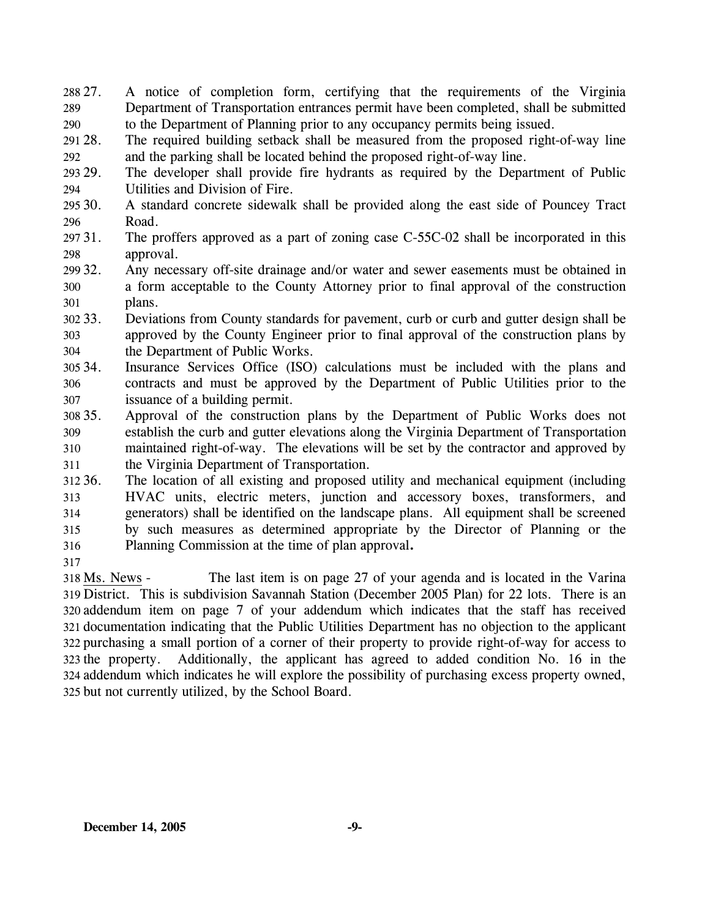288 27. 289 290 27. A notice of completion form, certifying that the requirements of the Virginia Department of Transportation entrances permit have been completed, shall be submitted to the Department of Planning prior to any occupancy permits being issued.

291 28. 292 The required building setback shall be measured from the proposed right-of-way line and the parking shall be located behind the proposed right-of-way line.

293. 294 The developer shall provide fire hydrants as required by the Department of Public Utilities and Division of Fire.

- 295 30. 296 30. A standard concrete sidewalk shall be provided along the east side of Pouncey Tract Road.
- 297 31. 298 The proffers approved as a part of zoning case C-55C-02 shall be incorporated in this approval.
- 299 32. 300 301 Any necessary off-site drainage and/or water and sewer easements must be obtained in a form acceptable to the County Attorney prior to final approval of the construction plans.
- 302 33. 303 304 33. Deviations from County standards for pavement, curb or curb and gutter design shall be approved by the County Engineer prior to final approval of the construction plans by the Department of Public Works.
- 305 34. 306 307 Insurance Services Office (ISO) calculations must be included with the plans and contracts and must be approved by the Department of Public Utilities prior to the issuance of a building permit.
- 308 35. 309 310 311 35. Approval of the construction plans by the Department of Public Works does not establish the curb and gutter elevations along the Virginia Department of Transportation maintained right-of-way. The elevations will be set by the contractor and approved by the Virginia Department of Transportation.

312 36. 313 314 315 316 The location of all existing and proposed utility and mechanical equipment (including HVAC units, electric meters, junction and accessory boxes, transformers, and generators) shall be identified on the landscape plans. All equipment shall be screened by such measures as determined appropriate by the Director of Planning or the Planning Commission at the time of plan approval**.**

317

The last item is on page 27 of your agenda and is located in the Varina 319 District. This is subdivision Savannah Station (December 2005 Plan) for 22 lots. There is an 320 addendum item on page 7 of your addendum which indicates that the staff has received 321 documentation indicating that the Public Utilities Department has no objection to the applicant 322 purchasing a small portion of a corner of their property to provide right-of-way for access to 323 the property. Additionally, the applicant has agreed to added condition No. 16 in the addendum which indicates he will explore the possibility of purchasing excess property owned, 324 325 but not currently utilized, by the School Board. 318 Ms. News -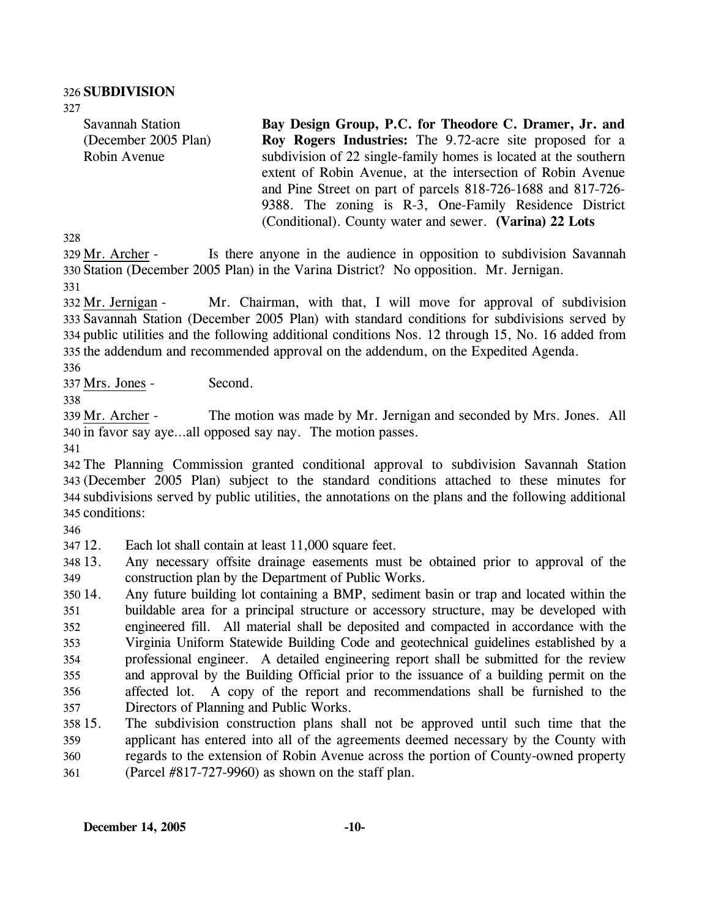327

Savannah Station (December 2005 Plan) Robin Avenue

**Bay Design Group, P.C. for Theodore C. Dramer, Jr. and Roy Rogers Industries:** The 9.72-acre site proposed for a subdivision of 22 single-family homes is located at the southern extent of Robin Avenue, at the intersection of Robin Avenue and Pine Street on part of parcels 818-726-1688 and 817-726- 9388. The zoning is R-3, One-Family Residence District (Conditional). County water and sewer. **(Varina) 22 Lots** 

328

Is there anyone in the audience in opposition to subdivision Savannah 330 Station (December 2005 Plan) in the Varina District? No opposition. Mr. Jernigan. 329 Mr. Archer -331

Mr. Chairman, with that, I will move for approval of subdivision 333 Savannah Station (December 2005 Plan) with standard conditions for subdivisions served by 334 public utilities and the following additional conditions Nos. 12 through 15, No. 16 added from 335 the addendum and recommended approval on the addendum, on the Expedited Agenda. 332 Mr. Jernigan -

336

337 Mrs. Jones - Second.

338

The motion was made by Mr. Jernigan and seconded by Mrs. Jones. All 340 in favor say aye...all opposed say nay. The motion passes. 339 Mr. Archer -

341

 The Planning Commission granted conditional approval to subdivision Savannah Station (December 2005 Plan) subject to the standard conditions attached to these minutes for subdivisions served by public utilities, the annotations on the plans and the following additional conditions:

346

347 12. Each lot shall contain at least 11,000 square feet.

348 13. 349 13. Any necessary offsite drainage easements must be obtained prior to approval of the construction plan by the Department of Public Works.

350 14. 351 352 353 354 355 356 357 14. Any future building lot containing a BMP, sediment basin or trap and located within the buildable area for a principal structure or accessory structure, may be developed with engineered fill. All material shall be deposited and compacted in accordance with the Virginia Uniform Statewide Building Code and geotechnical guidelines established by a professional engineer. A detailed engineering report shall be submitted for the review and approval by the Building Official prior to the issuance of a building permit on the affected lot. A copy of the report and recommendations shall be furnished to the Directors of Planning and Public Works.

- 358 15. 359 360 15. The subdivision construction plans shall not be approved until such time that the applicant has entered into all of the agreements deemed necessary by the County with regards to the extension of Robin Avenue across the portion of County-owned property
- 361 (Parcel #817-727-9960) as shown on the staff plan.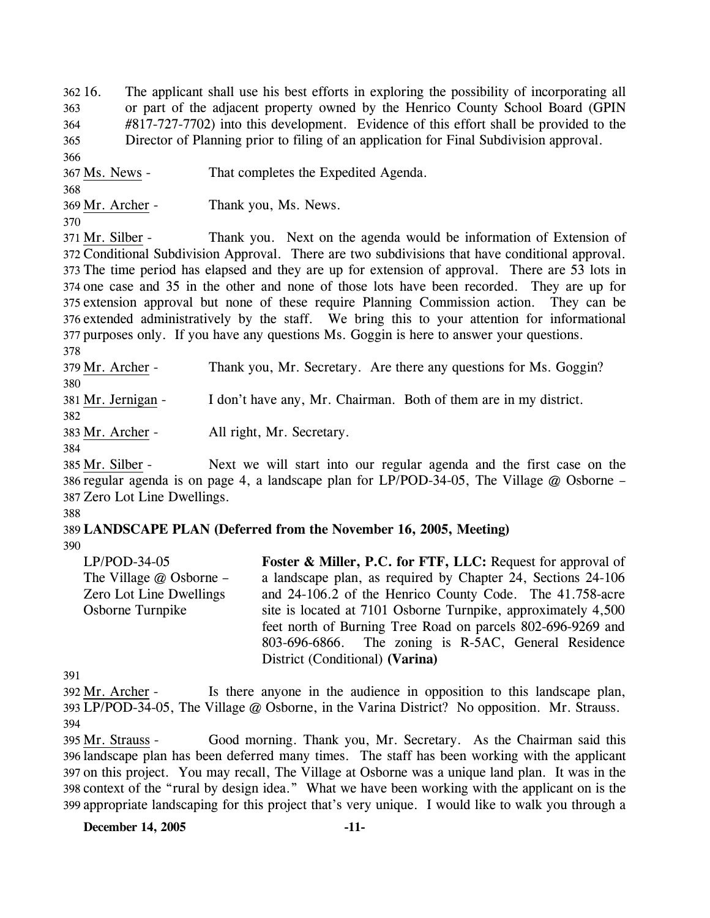362 16. 363 364 365 366 16. The applicant shall use his best efforts in exploring the possibility of incorporating all or part of the adjacent property owned by the Henrico County School Board (GPIN #817-727-7702) into this development. Evidence of this effort shall be provided to the Director of Planning prior to filing of an application for Final Subdivision approval.

367 Ms. News - That completes the Expedited Agenda.

369 Mr. Archer - Thank you, Ms. News.

370

368

Thank you. Next on the agenda would be information of Extension of 372 Conditional Subdivision Approval. There are two subdivisions that have conditional approval. 373 The time period has elapsed and they are up for extension of approval. There are 53 lots in 374 one case and 35 in the other and none of those lots have been recorded. They are up for 375 extension approval but none of these require Planning Commission action. They can be 376 extended administratively by the staff. We bring this to your attention for informational 377 purposes only. If you have any questions Ms. Goggin is here to answer your questions. 371 Mr. Silber -

378

379 Mr. Archer - Thank you, Mr. Secretary. Are there any questions for Ms. Goggin? 380 381 Mr. Jernigan - I don't have any, Mr. Chairman. Both of them are in my district. 382 383 Mr. Archer - All right, Mr. Secretary.

384

Next we will start into our regular agenda and the first case on the 386 regular agenda is on page 4, a landscape plan for LP/POD-34-05, The Village @ Osborne – 387 Zero Lot Line Dwellings. 385 Mr. Silber -

388

389 **LANDSCAPE PLAN (Deferred from the November 16, 2005, Meeting)**  390

LP/POD-34-05 The Village @ Osborne – Zero Lot Line Dwellings Osborne Turnpike **Foster & Miller, P.C. for FTF, LLC:** Request for approval of a landscape plan, as required by Chapter 24, Sections 24-106 and 24-106.2 of the Henrico County Code. The 41.758-acre site is located at 7101 Osborne Turnpike, approximately 4,500 feet north of Burning Tree Road on parcels 802-696-9269 and 803-696-6866. The zoning is R-5AC, General Residence District (Conditional) **(Varina)** 

391

Is there anyone in the audience in opposition to this landscape plan, LP/POD-34-05, The Village @ Osborne, in the Varina District? No opposition. Mr. Strauss. 393 392 Mr. Archer -394

Good morning. Thank you, Mr. Secretary. As the Chairman said this 396 landscape plan has been deferred many times. The staff has been working with the applicant 397 on this project. You may recall, The Village at Osborne was a unique land plan. It was in the 398 context of the "rural by design idea." What we have been working with the applicant on is the 399 appropriate landscaping for this project that's very unique. I would like to walk you through a 395 Mr. Strauss -

**December 14, 2005 -11-**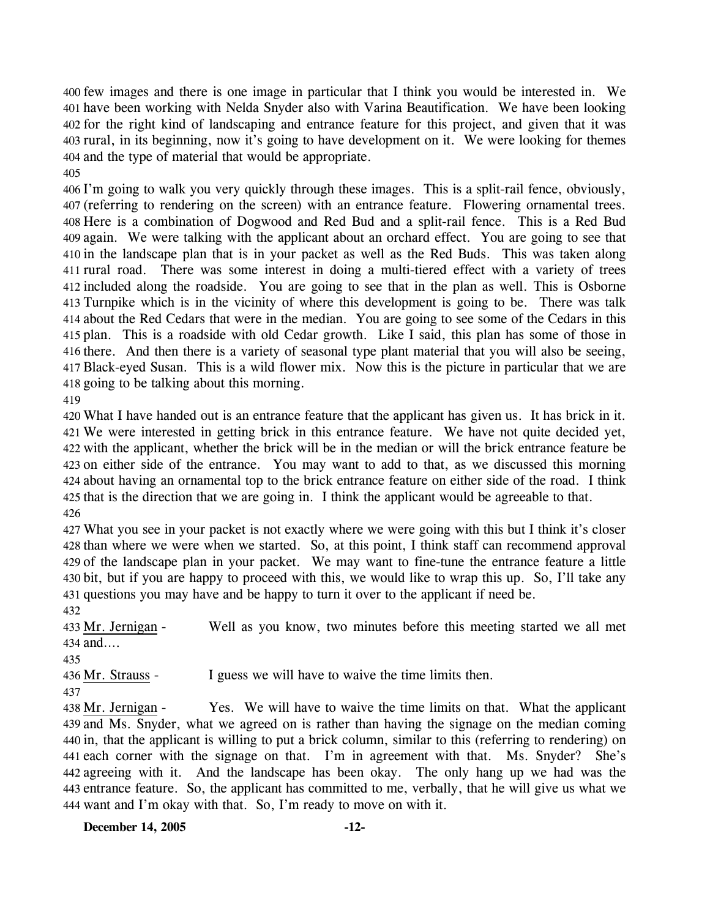few images and there is one image in particular that I think you would be interested in. We have been working with Nelda Snyder also with Varina Beautification. We have been looking for the right kind of landscaping and entrance feature for this project, and given that it was rural, in its beginning, now it's going to have development on it. We were looking for themes and the type of material that would be appropriate. 

 I'm going to walk you very quickly through these images. This is a split-rail fence, obviously, (referring to rendering on the screen) with an entrance feature. Flowering ornamental trees. Here is a combination of Dogwood and Red Bud and a split-rail fence. This is a Red Bud again. We were talking with the applicant about an orchard effect. You are going to see that in the landscape plan that is in your packet as well as the Red Buds. This was taken along rural road. There was some interest in doing a multi-tiered effect with a variety of trees included along the roadside. You are going to see that in the plan as well. This is Osborne Turnpike which is in the vicinity of where this development is going to be. There was talk about the Red Cedars that were in the median. You are going to see some of the Cedars in this plan. This is a roadside with old Cedar growth. Like I said, this plan has some of those in there. And then there is a variety of seasonal type plant material that you will also be seeing, Black-eyed Susan. This is a wild flower mix. Now this is the picture in particular that we are going to be talking about this morning.

 What I have handed out is an entrance feature that the applicant has given us. It has brick in it. We were interested in getting brick in this entrance feature. We have not quite decided yet, with the applicant, whether the brick will be in the median or will the brick entrance feature be on either side of the entrance. You may want to add to that, as we discussed this morning about having an ornamental top to the brick entrance feature on either side of the road. I think that is the direction that we are going in. I think the applicant would be agreeable to that. 

 What you see in your packet is not exactly where we were going with this but I think it's closer than where we were when we started. So, at this point, I think staff can recommend approval of the landscape plan in your packet. We may want to fine-tune the entrance feature a little bit, but if you are happy to proceed with this, we would like to wrap this up. So, I'll take any questions you may have and be happy to turn it over to the applicant if need be. 

Well as you know, two minutes before this meeting started we all met and…. 433 Mr. Jernigan -

436 Mr. Strauss - I guess we will have to waive the time limits then.

Yes. We will have to waive the time limits on that. What the applicant 439 and Ms. Snyder, what we agreed on is rather than having the signage on the median coming 440 in, that the applicant is willing to put a brick column, similar to this (referring to rendering) on 441 each corner with the signage on that. I'm in agreement with that. Ms. Snyder? She's agreeing with it. And the landscape has been okay. The only hang up we had was the 443 entrance feature. So, the applicant has committed to me, verbally, that he will give us what we 444 want and I'm okay with that. So, I'm ready to move on with it. 438 Mr. Jernigan -

**December 14, 2005 -12-**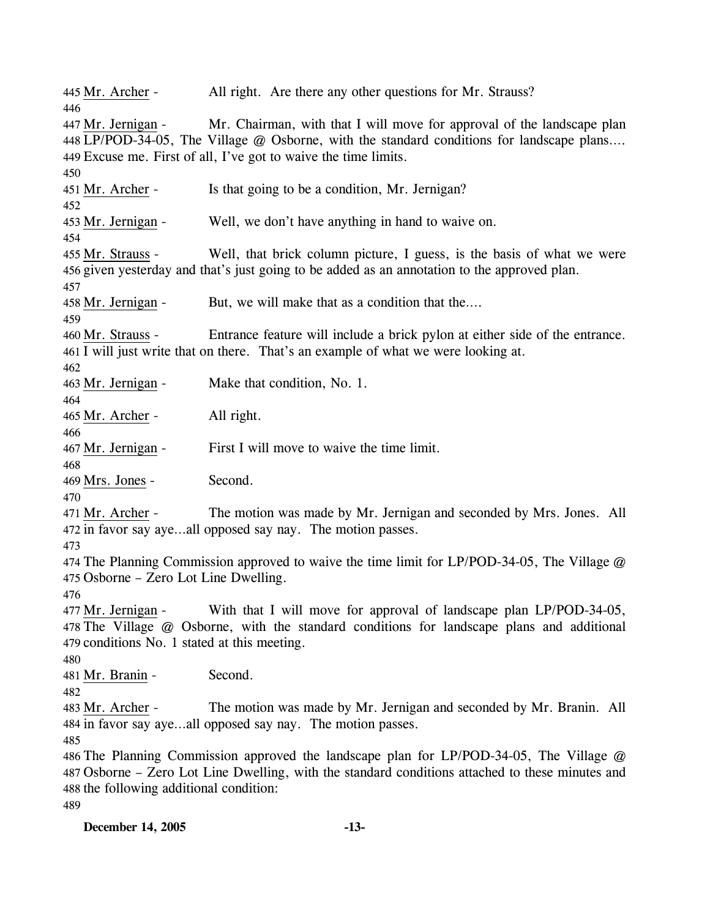445 Mr. Archer - All right. Are there any other questions for Mr. Strauss? 446 Mr. Chairman, with that I will move for approval of the landscape plan LP/POD-34-05, The Village @ Osborne, with the standard conditions for landscape plans…. 448 Excuse me. First of all, I've got to waive the time limits. 449 447 Mr. Jernigan -450 451 Mr. Archer - Is that going to be a condition, Mr. Jernigan? 452 453 Mr. Jernigan - Well, we don't have anything in hand to waive on. 454 Well, that brick column picture, I guess, is the basis of what we were 456 given yesterday and that's just going to be added as an annotation to the approved plan. 455 Mr. Strauss -457 458 Mr. Jernigan - But, we will make that as a condition that the…. 459 Entrance feature will include a brick pylon at either side of the entrance. 461 I will just write that on there. That's an example of what we were looking at. 460 Mr. Strauss -462 463 Mr. Jernigan - Make that condition, No. 1. 464 465 Mr. Archer - All right. 466 467 Mr. Jernigan - First I will move to waive the time limit. 468 469 Mrs. Jones - Second. 470 The motion was made by Mr. Jernigan and seconded by Mrs. Jones. All 472 in favor say aye...all opposed say nay. The motion passes. 471 Mr. Archer -473 474 The Planning Commission approved to waive the time limit for LP/POD-34-05, The Village @ 475 Osborne – Zero Lot Line Dwelling. 476 With that I will move for approval of landscape plan LP/POD-34-05, The Village @ Osborne, with the standard conditions for landscape plans and additional 478 479 conditions No. 1 stated at this meeting. 477 Mr. Jernigan -480 481 Mr. Branin - Second. 482 The motion was made by Mr. Jernigan and seconded by Mr. Branin. All 484 in favor say aye...all opposed say nay. The motion passes. 483 Mr. Archer -485 486 The Planning Commission approved the landscape plan for LP/POD-34-05, The Village @ 487 Osborne – Zero Lot Line Dwelling, with the standard conditions attached to these minutes and 488 the following additional condition: 489

**December 14, 2005 -13-**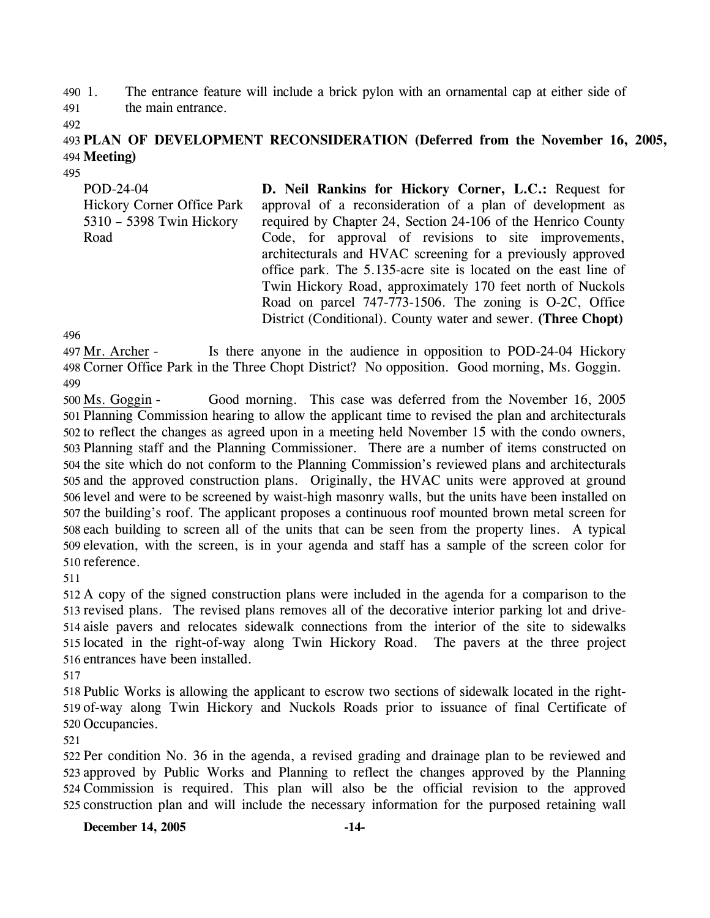490 1. The entrance feature will include a brick pylon with an ornamental cap at either side of the main entrance.

491

492

## 493 **PLAN OF DEVELOPMENT RECONSIDERATION (Deferred from the November 16, 2005,**  494 **Meeting)**

495

POD-24-04 Hickory Corner Office Park 5310 – 5398 Twin Hickory Road

**D. Neil Rankins for Hickory Corner, L.C.:** Request for approval of a reconsideration of a plan of development as required by Chapter 24, Section 24-106 of the Henrico County Code, for approval of revisions to site improvements, architecturals and HVAC screening for a previously approved office park. The 5.135-acre site is located on the east line of Twin Hickory Road, approximately 170 feet north of Nuckols Road on parcel 747-773-1506. The zoning is O-2C, Office District (Conditional). County water and sewer. **(Three Chopt)** 

496

Is there anyone in the audience in opposition to POD-24-04 Hickory 498 Corner Office Park in the Three Chopt District? No opposition. Good morning, Ms. Goggin. 497 Mr. Archer -499

Good morning. This case was deferred from the November 16, 2005 501 Planning Commission hearing to allow the applicant time to revised the plan and architecturals 502 to reflect the changes as agreed upon in a meeting held November 15 with the condo owners, 503 Planning staff and the Planning Commissioner. There are a number of items constructed on 504 the site which do not conform to the Planning Commission's reviewed plans and architecturals 505 and the approved construction plans. Originally, the HVAC units were approved at ground 506 level and were to be screened by waist-high masonry walls, but the units have been installed on 507 the building's roof. The applicant proposes a continuous roof mounted brown metal screen for 508 each building to screen all of the units that can be seen from the property lines. A typical 509 elevation, with the screen, is in your agenda and staff has a sample of the screen color for 510 reference. 500 Ms. Goggin -

511

 A copy of the signed construction plans were included in the agenda for a comparison to the revised plans. The revised plans removes all of the decorative interior parking lot and drive- aisle pavers and relocates sidewalk connections from the interior of the site to sidewalks located in the right-of-way along Twin Hickory Road. The pavers at the three project entrances have been installed.

517

518 Public Works is allowing the applicant to escrow two sections of sidewalk located in the right-519 of-way along Twin Hickory and Nuckols Roads prior to issuance of final Certificate of 520 Occupancies.

521

 Per condition No. 36 in the agenda, a revised grading and drainage plan to be reviewed and approved by Public Works and Planning to reflect the changes approved by the Planning Commission is required. This plan will also be the official revision to the approved construction plan and will include the necessary information for the purposed retaining wall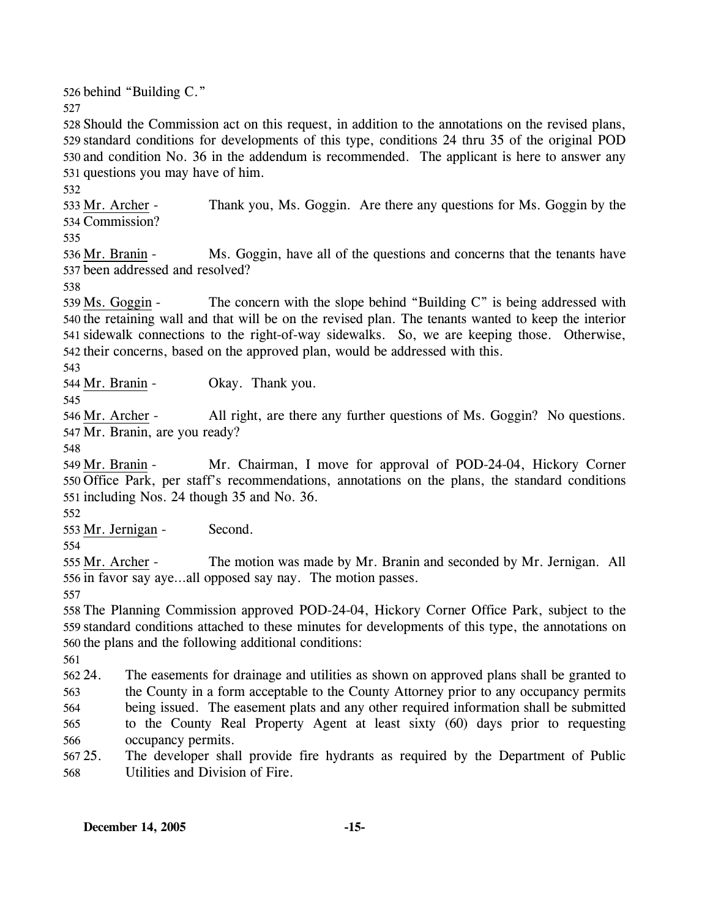526 behind "Building C."

527

 Should the Commission act on this request, in addition to the annotations on the revised plans, standard conditions for developments of this type, conditions 24 thru 35 of the original POD and condition No. 36 in the addendum is recommended. The applicant is here to answer any questions you may have of him.

532

Thank you, Ms. Goggin. Are there any questions for Ms. Goggin by the Commission? 534 533 Mr. Archer -

535

Ms. Goggin, have all of the questions and concerns that the tenants have 537 been addressed and resolved? 536 Mr. Branin -

538

The concern with the slope behind "Building  $C$ " is being addressed with 540 the retaining wall and that will be on the revised plan. The tenants wanted to keep the interior 541 sidewalk connections to the right-of-way sidewalks. So, we are keeping those. Otherwise, 542 their concerns, based on the approved plan, would be addressed with this. 539 Ms. Goggin -

543

544 Mr. Branin - Okay. Thank you.

545

All right, are there any further questions of Ms. Goggin? No questions. 547 Mr. Branin, are you ready? 546 Mr. Archer -

548

Mr. Chairman, I move for approval of POD-24-04, Hickory Corner 550 Office Park, per staff's recommendations, annotations on the plans, the standard conditions  $551$  including Nos. 24 though 35 and No. 36. 549 Mr. Branin -

552

553 Mr. Jernigan - Second.

554

The motion was made by Mr. Branin and seconded by Mr. Jernigan. All 556 in favor say aye...all opposed say nay. The motion passes. 555 Mr. Archer -

557

558 The Planning Commission approved POD-24-04, Hickory Corner Office Park, subject to the 559 standard conditions attached to these minutes for developments of this type, the annotations on 560 the plans and the following additional conditions:

561

562 24. 563 564 565 566 24. The easements for drainage and utilities as shown on approved plans shall be granted to the County in a form acceptable to the County Attorney prior to any occupancy permits being issued. The easement plats and any other required information shall be submitted to the County Real Property Agent at least sixty (60) days prior to requesting occupancy permits.

567 25. 568 The developer shall provide fire hydrants as required by the Department of Public Utilities and Division of Fire.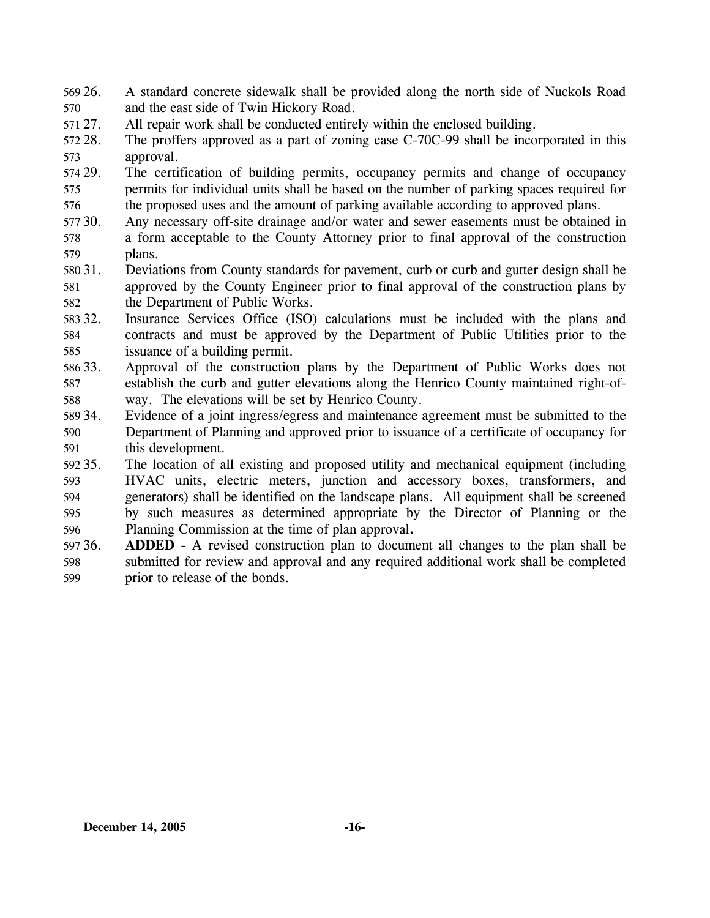- 569 26. 570 26. A standard concrete sidewalk shall be provided along the north side of Nuckols Road and the east side of Twin Hickory Road.
- 571 27. All repair work shall be conducted entirely within the enclosed building.
- 572 28. 573 The proffers approved as a part of zoning case C-70C-99 shall be incorporated in this approval.
- 574 29. 575 576 The certification of building permits, occupancy permits and change of occupancy permits for individual units shall be based on the number of parking spaces required for the proposed uses and the amount of parking available according to approved plans.
- 577 30. 578 579 Any necessary off-site drainage and/or water and sewer easements must be obtained in a form acceptable to the County Attorney prior to final approval of the construction plans.
- 580 31. 581 582 Deviations from County standards for pavement, curb or curb and gutter design shall be approved by the County Engineer prior to final approval of the construction plans by the Department of Public Works.
- 58332. 584 585 Insurance Services Office (ISO) calculations must be included with the plans and contracts and must be approved by the Department of Public Utilities prior to the issuance of a building permit.
- 586 33. 587 588 Approval of the construction plans by the Department of Public Works does not establish the curb and gutter elevations along the Henrico County maintained right-ofway. The elevations will be set by Henrico County.
- 589 34. 590 591 Evidence of a joint ingress/egress and maintenance agreement must be submitted to the Department of Planning and approved prior to issuance of a certificate of occupancy for this development.
- 592 35. 593 594 595 596 35. The location of all existing and proposed utility and mechanical equipment (including HVAC units, electric meters, junction and accessory boxes, transformers, and generators) shall be identified on the landscape plans. All equipment shall be screened by such measures as determined appropriate by the Director of Planning or the Planning Commission at the time of plan approval**.**
- 597 36. 598 599 **ADDED** - A revised construction plan to document all changes to the plan shall be submitted for review and approval and any required additional work shall be completed prior to release of the bonds.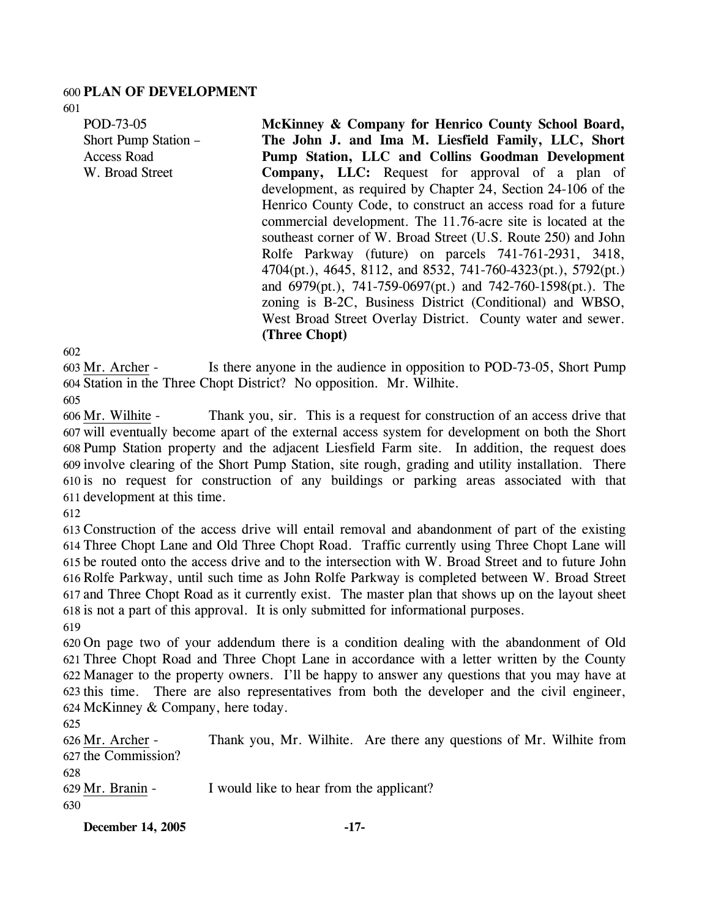#### 600 **PLAN OF DEVELOPMENT**

601

POD-73-05 Short Pump Station – Access Road W. Broad Street

**McKinney & Company for Henrico County School Board, The John J. and Ima M. Liesfield Family, LLC, Short Pump Station, LLC and Collins Goodman Development Company, LLC:** Request for approval of a plan of development, as required by Chapter 24, Section 24-106 of the Henrico County Code, to construct an access road for a future commercial development. The 11.76-acre site is located at the southeast corner of W. Broad Street (U.S. Route 250) and John Rolfe Parkway (future) on parcels 741-761-2931, 3418, 4704(pt.), 4645, 8112, and 8532, 741-760-4323(pt.), 5792(pt.) and 6979(pt.), 741-759-0697(pt.) and 742-760-1598(pt.). The zoning is B-2C, Business District (Conditional) and WBSO, West Broad Street Overlay District. County water and sewer. **(Three Chopt)**

602

Is there anyone in the audience in opposition to POD-73-05, Short Pump 604 Station in the Three Chopt District? No opposition. Mr. Wilhite. 603 Mr. Archer -605

Thank you, sir. This is a request for construction of an access drive that 607 will eventually become apart of the external access system for development on both the Short 608 Pump Station property and the adjacent Liesfield Farm site. In addition, the request does 609 involve clearing of the Short Pump Station, site rough, grading and utility installation. There 610 is no request for construction of any buildings or parking areas associated with that 611 development at this time. 606 Mr. Wilhite -

612

 Construction of the access drive will entail removal and abandonment of part of the existing Three Chopt Lane and Old Three Chopt Road. Traffic currently using Three Chopt Lane will be routed onto the access drive and to the intersection with W. Broad Street and to future John Rolfe Parkway, until such time as John Rolfe Parkway is completed between W. Broad Street and Three Chopt Road as it currently exist. The master plan that shows up on the layout sheet is not a part of this approval. It is only submitted for informational purposes.

619

 On page two of your addendum there is a condition dealing with the abandonment of Old Three Chopt Road and Three Chopt Lane in accordance with a letter written by the County Manager to the property owners. I'll be happy to answer any questions that you may have at this time. There are also representatives from both the developer and the civil engineer, McKinney & Company, here today.

625

Thank you, Mr. Wilhite. Are there any questions of Mr. Wilhite from 627 the Commission? 626 Mr. Archer -

628

629 Mr. Branin - I would like to hear from the applicant?

630

**December 14, 2005 -17-**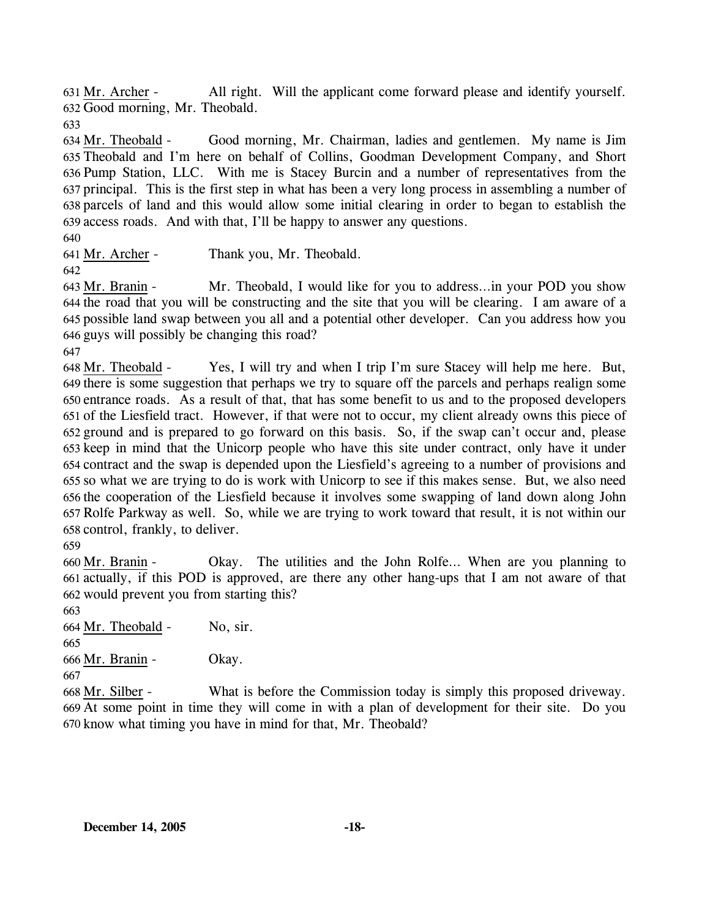All right. Will the applicant come forward please and identify yourself. 632 Good morning, Mr. Theobald.  $631$  Mr. Archer -

633

Good morning, Mr. Chairman, ladies and gentlemen. My name is Jim Theobald and I'm here on behalf of Collins, Goodman Development Company, and Short 635 636 Pump Station, LLC. With me is Stacey Burcin and a number of representatives from the 637 principal. This is the first step in what has been a very long process in assembling a number of 638 parcels of land and this would allow some initial clearing in order to began to establish the 639 access roads. And with that, I'll be happy to answer any questions. 634 Mr. Theobald -

640

641 Mr. Archer - Thank you, Mr. Theobald.

642

Mr. Theobald, I would like for you to address...in your POD you show 644 the road that you will be constructing and the site that you will be clearing. I am aware of a possible land swap between you all and a potential other developer. Can you address how you 645 646 guys will possibly be changing this road? 643 Mr. Branin -

647

Yes, I will try and when I trip I'm sure Stacey will help me here. But, 649 there is some suggestion that perhaps we try to square off the parcels and perhaps realign some 650 entrance roads. As a result of that, that has some benefit to us and to the proposed developers 651 of the Liesfield tract. However, if that were not to occur, my client already owns this piece of 652 ground and is prepared to go forward on this basis. So, if the swap can't occur and, please 653 keep in mind that the Unicorp people who have this site under contract, only have it under contract and the swap is depended upon the Liesfield's agreeing to a number of provisions and 654 655 so what we are trying to do is work with Unicorp to see if this makes sense. But, we also need 656 the cooperation of the Liesfield because it involves some swapping of land down along John 657 Rolfe Parkway as well. So, while we are trying to work toward that result, it is not within our 658 control, frankly, to deliver. 648 Mr. Theobald -

659

Okay. The utilities and the John Rolfe... When are you planning to 661 actually, if this POD is approved, are there any other hang-ups that I am not aware of that 662 would prevent you from starting this? 660 Mr. Branin -

663

664 Mr. Theobald - No, sir.

665

666 Mr. Branin - Okay.

667

What is before the Commission today is simply this proposed driveway. At some point in time they will come in with a plan of development for their site. Do you 669 670 know what timing you have in mind for that, Mr. Theobald? 668 Mr. Silber -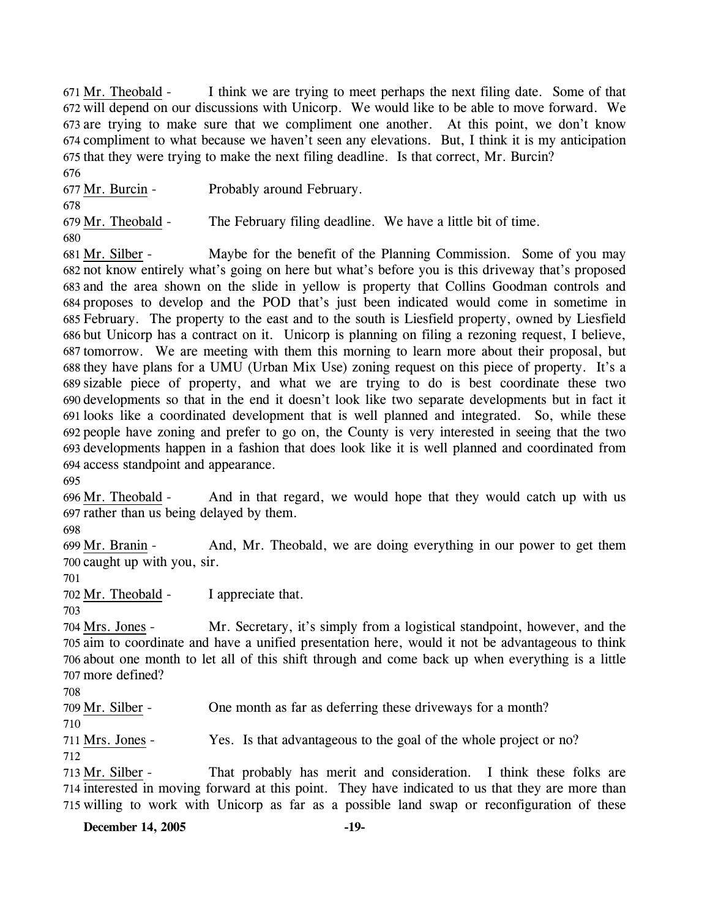I think we are trying to meet perhaps the next filing date. Some of that 672 will depend on our discussions with Unicorp. We would like to be able to move forward. We 673 are trying to make sure that we compliment one another. At this point, we don't know 674 compliment to what because we haven't seen any elevations. But, I think it is my anticipation 675 that they were trying to make the next filing deadline. Is that correct, Mr. Burcin? 671 Mr. Theobald -676

677 Mr. Burcin - Probably around February.

679 Mr. Theobald - The February filing deadline. We have a little bit of time.

680

678

Maybe for the benefit of the Planning Commission. Some of you may not know entirely what's going on here but what's before you is this driveway that's proposed 682 683 and the area shown on the slide in yellow is property that Collins Goodman controls and 684 proposes to develop and the POD that's just been indicated would come in sometime in February. The property to the east and to the south is Liesfield property, owned by Liesfield 685 686 but Unicorp has a contract on it. Unicorp is planning on filing a rezoning request, I believe, 687 tomorrow. We are meeting with them this morning to learn more about their proposal, but 688 they have plans for a UMU (Urban Mix Use) zoning request on this piece of property. It's a sizable piece of property, and what we are trying to do is best coordinate these two 689 690 developments so that in the end it doesn't look like two separate developments but in fact it 691 looks like a coordinated development that is well planned and integrated. So, while these people have zoning and prefer to go on, the County is very interested in seeing that the two 692 693 developments happen in a fashion that does look like it is well planned and coordinated from 694 access standpoint and appearance. 681 Mr. Silber -

695

And in that regard, we would hope that they would catch up with us 697 rather than us being delayed by them. 696 Mr. Theobald -

698

And, Mr. Theobald, we are doing everything in our power to get them 700 caught up with you, sir. 699 Mr. Branin -

701

702 Mr. Theobald - I appreciate that.

703

Mr. Secretary, it's simply from a logistical standpoint, however, and the 705 aim to coordinate and have a unified presentation here, would it not be advantageous to think 706 about one month to let all of this shift through and come back up when everything is a little 707 more defined? 704 Mrs. Jones -

708

709 Mr. Silber - One month as far as deferring these driveways for a month?

710 711 Mrs. Jones - Yes. Is that advantageous to the goal of the whole project or no?

712

That probably has merit and consideration. I think these folks are 714 interested in moving forward at this point. They have indicated to us that they are more than 715 willing to work with Unicorp as far as a possible land swap or reconfiguration of these 713 Mr. Silber -

**December 14, 2005 -19-**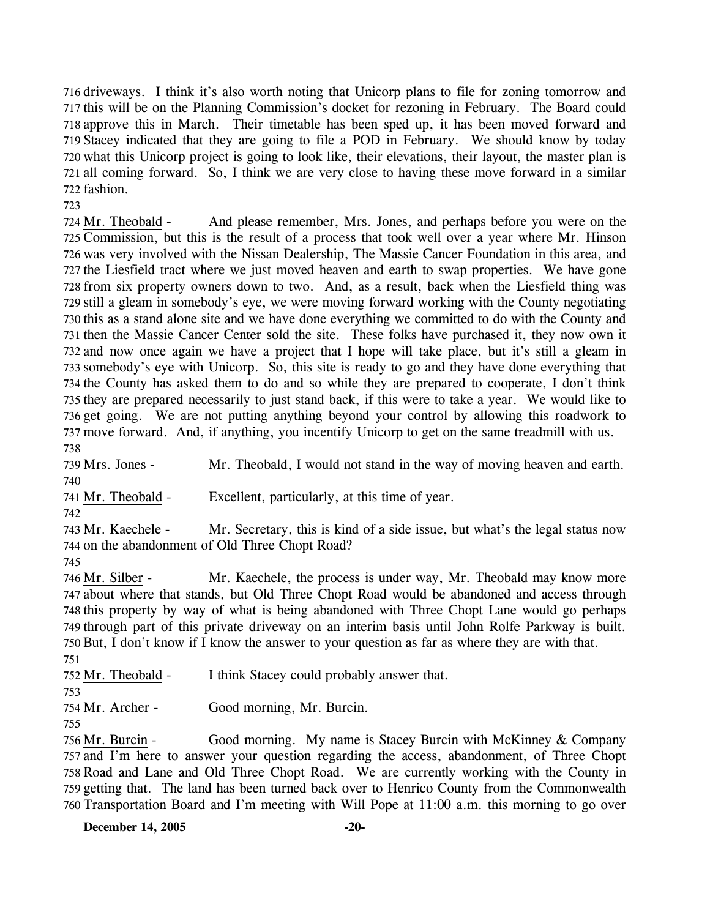driveways. I think it's also worth noting that Unicorp plans to file for zoning tomorrow and this will be on the Planning Commission's docket for rezoning in February. The Board could approve this in March. Their timetable has been sped up, it has been moved forward and Stacey indicated that they are going to file a POD in February. We should know by today what this Unicorp project is going to look like, their elevations, their layout, the master plan is all coming forward. So, I think we are very close to having these move forward in a similar fashion.

723

And please remember, Mrs. Jones, and perhaps before you were on the 725 Commission, but this is the result of a process that took well over a year where Mr. Hinson 726 was very involved with the Nissan Dealership, The Massie Cancer Foundation in this area, and 727 the Liesfield tract where we just moved heaven and earth to swap properties. We have gone 728 from six property owners down to two. And, as a result, back when the Liesfield thing was 729 still a gleam in somebody's eye, we were moving forward working with the County negotiating 730 this as a stand alone site and we have done everything we committed to do with the County and 731 then the Massie Cancer Center sold the site. These folks have purchased it, they now own it 732 and now once again we have a project that I hope will take place, but it's still a gleam in 733 somebody's eye with Unicorp. So, this site is ready to go and they have done everything that 734 the County has asked them to do and so while they are prepared to cooperate, I don't think 735 they are prepared necessarily to just stand back, if this were to take a year. We would like to 736 get going. We are not putting anything beyond your control by allowing this roadwork to 737 move forward. And, if anything, you incentify Unicorp to get on the same treadmill with us. 724 Mr. Theobald -738

739 Mrs. Jones - Mr. Theobald, I would not stand in the way of moving heaven and earth. 740

741 Mr. Theobald - Excellent, particularly, at this time of year.

742

Mr. Secretary, this is kind of a side issue, but what's the legal status now 744 on the abandonment of Old Three Chopt Road? 743 Mr. Kaechele -

745

Mr. Kaechele, the process is under way, Mr. Theobald may know more 747 about where that stands, but Old Three Chopt Road would be abandoned and access through 748 this property by way of what is being abandoned with Three Chopt Lane would go perhaps 749 through part of this private driveway on an interim basis until John Rolfe Parkway is built. 750 But, I don't know if I know the answer to your question as far as where they are with that. 746 Mr. Silber -751

752 Mr. Theobald - I think Stacey could probably answer that.

754 Mr. Archer - Good morning, Mr. Burcin.

Good morning. My name is Stacey Burcin with McKinney  $&$  Company 757 and I'm here to answer your question regarding the access, abandonment, of Three Chopt 758 Road and Lane and Old Three Chopt Road. We are currently working with the County in 759 getting that. The land has been turned back over to Henrico County from the Commonwealth 760 Transportation Board and I'm meeting with Will Pope at 11:00 a.m. this morning to go over 756 Mr. Burcin -

<sup>753</sup> 

<sup>755</sup>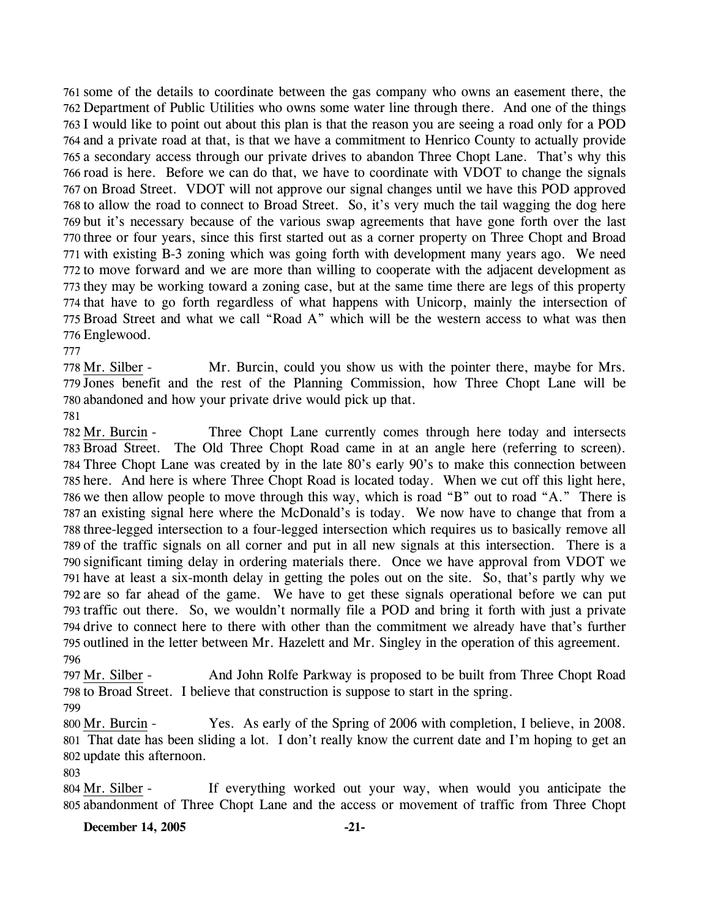some of the details to coordinate between the gas company who owns an easement there, the Department of Public Utilities who owns some water line through there. And one of the things I would like to point out about this plan is that the reason you are seeing a road only for a POD and a private road at that, is that we have a commitment to Henrico County to actually provide a secondary access through our private drives to abandon Three Chopt Lane. That's why this road is here. Before we can do that, we have to coordinate with VDOT to change the signals on Broad Street. VDOT will not approve our signal changes until we have this POD approved to allow the road to connect to Broad Street. So, it's very much the tail wagging the dog here but it's necessary because of the various swap agreements that have gone forth over the last three or four years, since this first started out as a corner property on Three Chopt and Broad with existing B-3 zoning which was going forth with development many years ago. We need to move forward and we are more than willing to cooperate with the adjacent development as they may be working toward a zoning case, but at the same time there are legs of this property that have to go forth regardless of what happens with Unicorp, mainly the intersection of Broad Street and what we call "Road A" which will be the western access to what was then Englewood.

777

Mr. Burcin, could you show us with the pointer there, maybe for Mrs. 779 Jones benefit and the rest of the Planning Commission, how Three Chopt Lane will be 780 abandoned and how your private drive would pick up that. 778 Mr. Silber -

781

Three Chopt Lane currently comes through here today and intersects 783 Broad Street. The Old Three Chopt Road came in at an angle here (referring to screen). Three Chopt Lane was created by in the late 80's early 90's to make this connection between 784 785 here. And here is where Three Chopt Road is located today. When we cut off this light here, 786 we then allow people to move through this way, which is road "B" out to road "A." There is 787 an existing signal here where the McDonald's is today. We now have to change that from a 788 three-legged intersection to a four-legged intersection which requires us to basically remove all 789 of the traffic signals on all corner and put in all new signals at this intersection. There is a 790 significant timing delay in ordering materials there. Once we have approval from VDOT we 791 have at least a six-month delay in getting the poles out on the site. So, that's partly why we 792 are so far ahead of the game. We have to get these signals operational before we can put 793 traffic out there. So, we wouldn't normally file a POD and bring it forth with just a private 794 drive to connect here to there with other than the commitment we already have that's further 795 outlined in the letter between Mr. Hazelett and Mr. Singley in the operation of this agreement. 782 Mr. Burcin -796

And John Rolfe Parkway is proposed to be built from Three Chopt Road 798 to Broad Street. I believe that construction is suppose to start in the spring. 797 Mr. Silber -799

Yes. As early of the Spring of 2006 with completion, I believe, in 2008. That date has been sliding a lot. I don't really know the current date and I'm hoping to get an 801 802 update this afternoon. 800 Mr. Burcin -

803

If everything worked out your way, when would you anticipate the 805 abandonment of Three Chopt Lane and the access or movement of traffic from Three Chopt 804 Mr. Silber -

#### **December 14, 2005 -21-**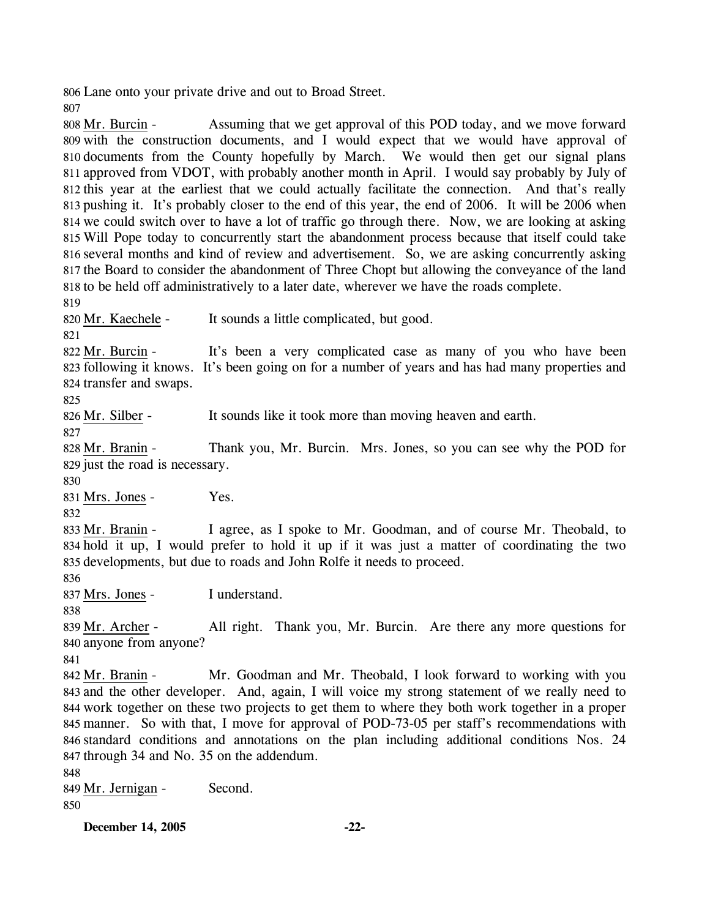806 Lane onto your private drive and out to Broad Street.

807

Assuming that we get approval of this POD today, and we move forward 809 with the construction documents, and I would expect that we would have approval of 810 documents from the County hopefully by March. We would then get our signal plans 811 approved from VDOT, with probably another month in April. I would say probably by July of 812 this year at the earliest that we could actually facilitate the connection. And that's really 813 pushing it. It's probably closer to the end of this year, the end of 2006. It will be 2006 when 814 we could switch over to have a lot of traffic go through there. Now, we are looking at asking 815 Will Pope today to concurrently start the abandonment process because that itself could take 816 several months and kind of review and advertisement. So, we are asking concurrently asking 817 the Board to consider the abandonment of Three Chopt but allowing the conveyance of the land 818 to be held off administratively to a later date, wherever we have the roads complete. 808 Mr. Burcin -819

820 Mr. Kaechele - It sounds a little complicated, but good.

821

It's been a very complicated case as many of you who have been 823 following it knows. It's been going on for a number of years and has had many properties and 824 transfer and swaps. 822 Mr. Burcin -

825

826 Mr. Silber - It sounds like it took more than moving heaven and earth.

827

Thank you, Mr. Burcin. Mrs. Jones, so you can see why the POD for 829 just the road is necessary. 828 Mr. Branin -

830

831 Mrs. Jones - Yes.

832

I agree, as I spoke to Mr. Goodman, and of course Mr. Theobald, to 834 hold it up, I would prefer to hold it up if it was just a matter of coordinating the two 835 developments, but due to roads and John Rolfe it needs to proceed. 833 Mr. Branin -

836

837 Mrs. Jones - I understand.

838

All right. Thank you, Mr. Burcin. Are there any more questions for 840 anyone from anyone? 839 Mr. Archer -

841

Mr. Goodman and Mr. Theobald, I look forward to working with you 843 and the other developer. And, again, I will voice my strong statement of we really need to 844 work together on these two projects to get them to where they both work together in a proper 845 manner. So with that, I move for approval of POD-73-05 per staff's recommendations with standard conditions and annotations on the plan including additional conditions Nos. 24 846 847 through 34 and No. 35 on the addendum. 842 Mr. Branin -

848

849 Mr. Jernigan - Second. 850

**December 14, 2005 -22-**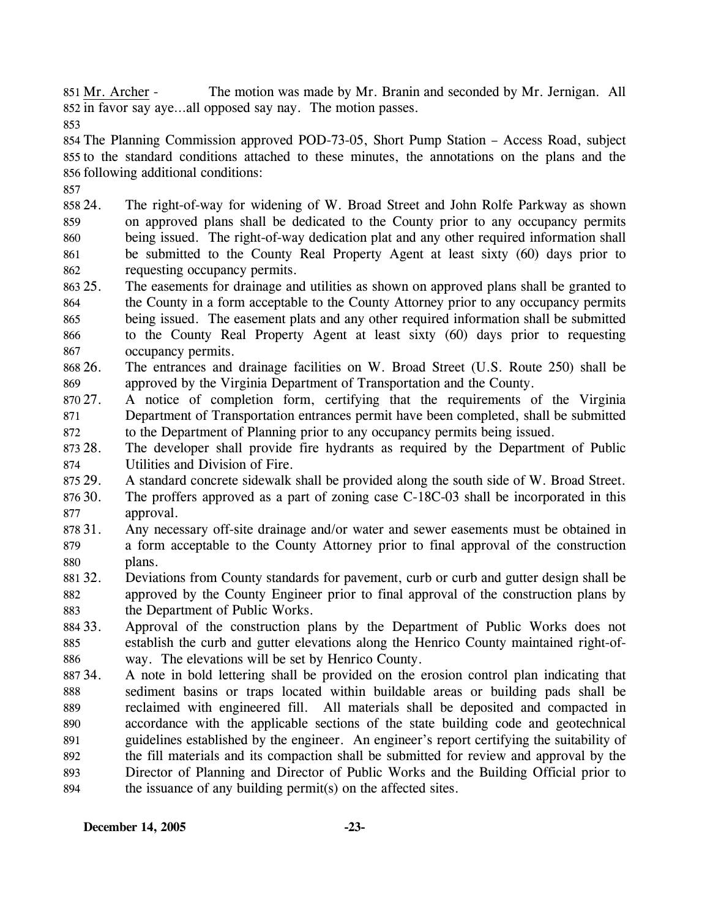The motion was made by Mr. Branin and seconded by Mr. Jernigan. All 852 in favor say aye...all opposed say nay. The motion passes. 851 Mr. Archer -

853

854 The Planning Commission approved POD-73-05, Short Pump Station – Access Road, subject 855 to the standard conditions attached to these minutes, the annotations on the plans and the 856 following additional conditions:

857

858 24. 859 860 861 862 24. The right-of-way for widening of W. Broad Street and John Rolfe Parkway as shown on approved plans shall be dedicated to the County prior to any occupancy permits being issued. The right-of-way dedication plat and any other required information shall be submitted to the County Real Property Agent at least sixty (60) days prior to requesting occupancy permits.

- 863 25. 864 865 866 867 The easements for drainage and utilities as shown on approved plans shall be granted to the County in a form acceptable to the County Attorney prior to any occupancy permits being issued. The easement plats and any other required information shall be submitted to the County Real Property Agent at least sixty (60) days prior to requesting occupancy permits.
- 868 26. 869 26. The entrances and drainage facilities on W. Broad Street (U.S. Route 250) shall be approved by the Virginia Department of Transportation and the County.
- 870 27. 871 872 27. A notice of completion form, certifying that the requirements of the Virginia Department of Transportation entrances permit have been completed, shall be submitted to the Department of Planning prior to any occupancy permits being issued.
- 873 28. 874 The developer shall provide fire hydrants as required by the Department of Public Utilities and Division of Fire.
- 875 29. 29. A standard concrete sidewalk shall be provided along the south side of W. Broad Street.
- 876 30. 877 The proffers approved as a part of zoning case  $C-18C-03$  shall be incorporated in this approval.
- 878 31. 879 880 Any necessary off-site drainage and/or water and sewer easements must be obtained in a form acceptable to the County Attorney prior to final approval of the construction plans.
- 881 32. 882 883 32. Deviations from County standards for pavement, curb or curb and gutter design shall be approved by the County Engineer prior to final approval of the construction plans by the Department of Public Works.
- 884 33. 885 886 Approval of the construction plans by the Department of Public Works does not establish the curb and gutter elevations along the Henrico County maintained right-ofway. The elevations will be set by Henrico County.
- 887 34. 888 889 890 891 892 893 894 34. A note in bold lettering shall be provided on the erosion control plan indicating that sediment basins or traps located within buildable areas or building pads shall be reclaimed with engineered fill. All materials shall be deposited and compacted in accordance with the applicable sections of the state building code and geotechnical guidelines established by the engineer. An engineer's report certifying the suitability of the fill materials and its compaction shall be submitted for review and approval by the Director of Planning and Director of Public Works and the Building Official prior to the issuance of any building permit(s) on the affected sites.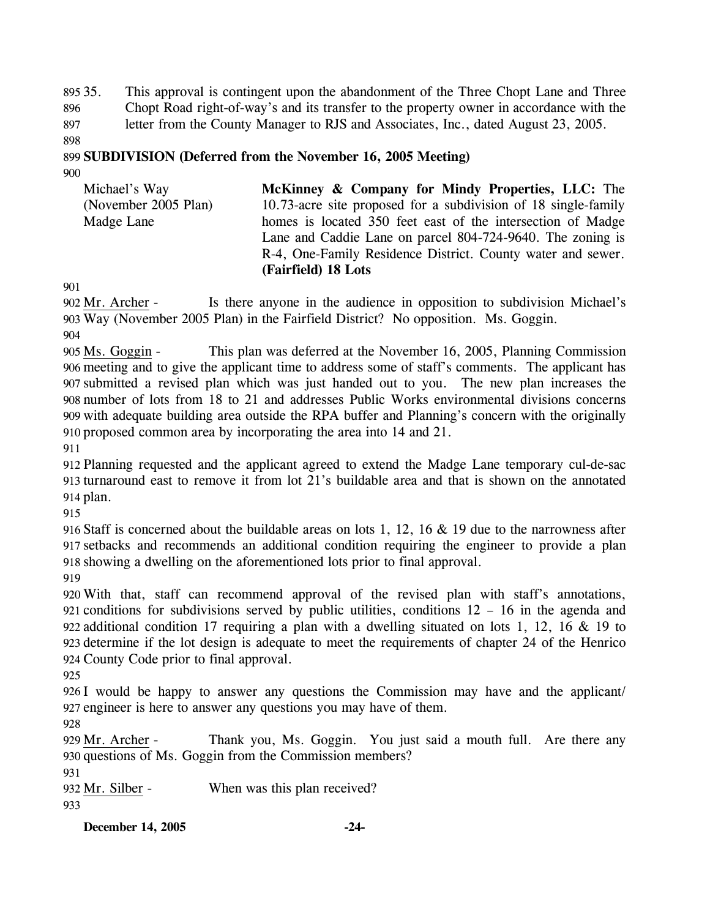895 35. 896 897 This approval is contingent upon the abandonment of the Three Chopt Lane and Three Chopt Road right-of-way's and its transfer to the property owner in accordance with the letter from the County Manager to RJS and Associates, Inc., dated August 23, 2005.

898

# 899 **SUBDIVISION (Deferred from the November 16, 2005 Meeting)**

900

| Michael's Way        | <b>McKinney &amp; Company for Mindy Properties, LLC:</b> The   |
|----------------------|----------------------------------------------------------------|
| (November 2005 Plan) | 10.73-acre site proposed for a subdivision of 18 single-family |
| Madge Lane           | homes is located 350 feet east of the intersection of Madge    |
|                      | Lane and Caddie Lane on parcel 804-724-9640. The zoning is     |
|                      | R-4, One-Family Residence District. County water and sewer.    |
|                      | (Fairfield) 18 Lots                                            |

901

Is there anyone in the audience in opposition to subdivision Michael's Way (November 2005 Plan) in the Fairfield District? No opposition. Ms. Goggin. 903 902 Mr. Archer -

904

This plan was deferred at the November 16, 2005, Planning Commission meeting and to give the applicant time to address some of staff's comments. The applicant has 906 submitted a revised plan which was just handed out to you. The new plan increases the 907 number of lots from 18 to 21 and addresses Public Works environmental divisions concerns 908 909 with adequate building area outside the RPA buffer and Planning's concern with the originally proposed common area by incorporating the area into 14 and 21. 910 905 Ms. Goggin -

911

912 Planning requested and the applicant agreed to extend the Madge Lane temporary cul-de-sac 913 turnaround east to remove it from lot 21's buildable area and that is shown on the annotated 914 plan.

915

916 Staff is concerned about the buildable areas on lots 1, 12, 16 & 19 due to the narrowness after 917 setbacks and recommends an additional condition requiring the engineer to provide a plan 918 showing a dwelling on the aforementioned lots prior to final approval.

919

 With that, staff can recommend approval of the revised plan with staff's annotations, conditions for subdivisions served by public utilities, conditions 12 – 16 in the agenda and additional condition 17 requiring a plan with a dwelling situated on lots 1, 12, 16 & 19 to determine if the lot design is adequate to meet the requirements of chapter 24 of the Henrico County Code prior to final approval.

925

926 I would be happy to answer any questions the Commission may have and the applicant/ 927 engineer is here to answer any questions you may have of them.

928

Thank you, Ms. Goggin. You just said a mouth full. Are there any 930 questions of Ms. Goggin from the Commission members? 929 Mr. Archer -

931

932 Mr. Silber - When was this plan received?

933

**December 14, 2005 -24-**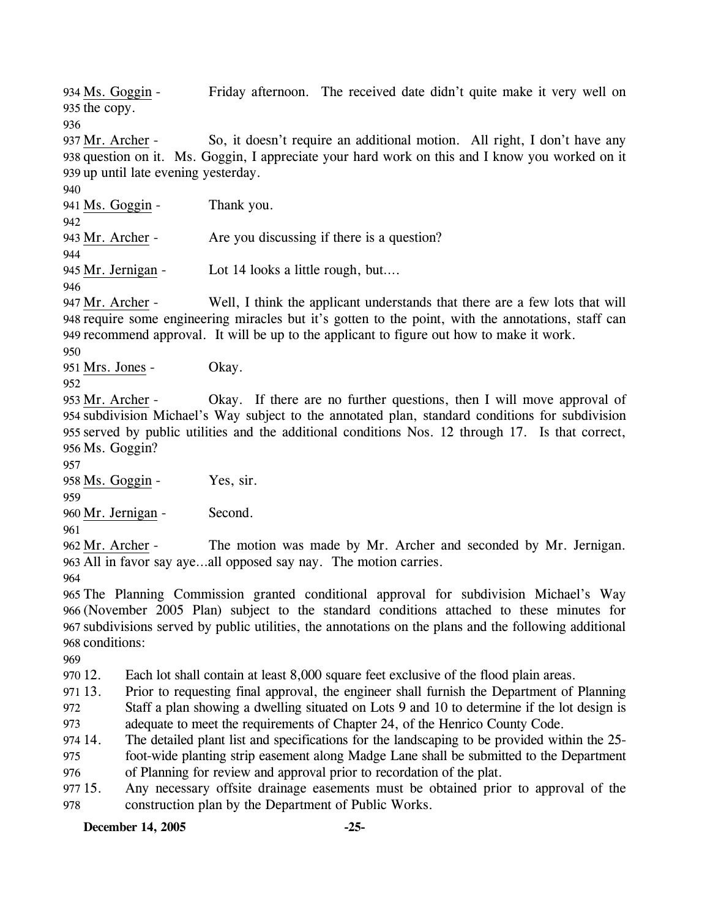Friday afternoon. The received date didn't quite make it very well on 935 the copy. 934 Ms. Goggin -

936

So, it doesn't require an additional motion. All right, I don't have any 938 question on it. Ms. Goggin, I appreciate your hard work on this and I know you worked on it 939 up until late evening yesterday. 937 Mr. Archer -

940

941 Ms. Goggin - Thank you.

942

943 Mr. Archer - Are you discussing if there is a question?

944

945 Mr. Jernigan - Lot 14 looks a little rough, but….

946

Well, I think the applicant understands that there are a few lots that will 948 require some engineering miracles but it's gotten to the point, with the annotations, staff can 949 recommend approval. It will be up to the applicant to figure out how to make it work. 947 Mr. Archer -

950

951 Mrs. Jones - Okay.

952

Okay. If there are no further questions, then I will move approval of 954 subdivision Michael's Way subject to the annotated plan, standard conditions for subdivision 955 served by public utilities and the additional conditions Nos. 12 through 17. Is that correct, 956 Ms. Goggin? 953 Mr. Archer -

957

958 Ms. Goggin - Yes, sir.

959

960 Mr. Jernigan - Second.

961

The motion was made by Mr. Archer and seconded by Mr. Jernigan. All in favor say aye…all opposed say nay. The motion carries. 963 962 Mr. Archer -

964

 The Planning Commission granted conditional approval for subdivision Michael's Way (November 2005 Plan) subject to the standard conditions attached to these minutes for subdivisions served by public utilities, the annotations on the plans and the following additional conditions:

969

970 12. Each lot shall contain at least 8,000 square feet exclusive of the flood plain areas.

971 13. 13. Prior to requesting final approval, the engineer shall furnish the Department of Planning

972 Staff a plan showing a dwelling situated on Lots 9 and 10 to determine if the lot design is

973 adequate to meet the requirements of Chapter 24, of the Henrico County Code.

974 14. 975 The detailed plant list and specifications for the landscaping to be provided within the 25foot-wide planting strip easement along Madge Lane shall be submitted to the Department

976 of Planning for review and approval prior to recordation of the plat.

977 15. 978 Any necessary offsite drainage easements must be obtained prior to approval of the construction plan by the Department of Public Works.

**December 14, 2005 -25-**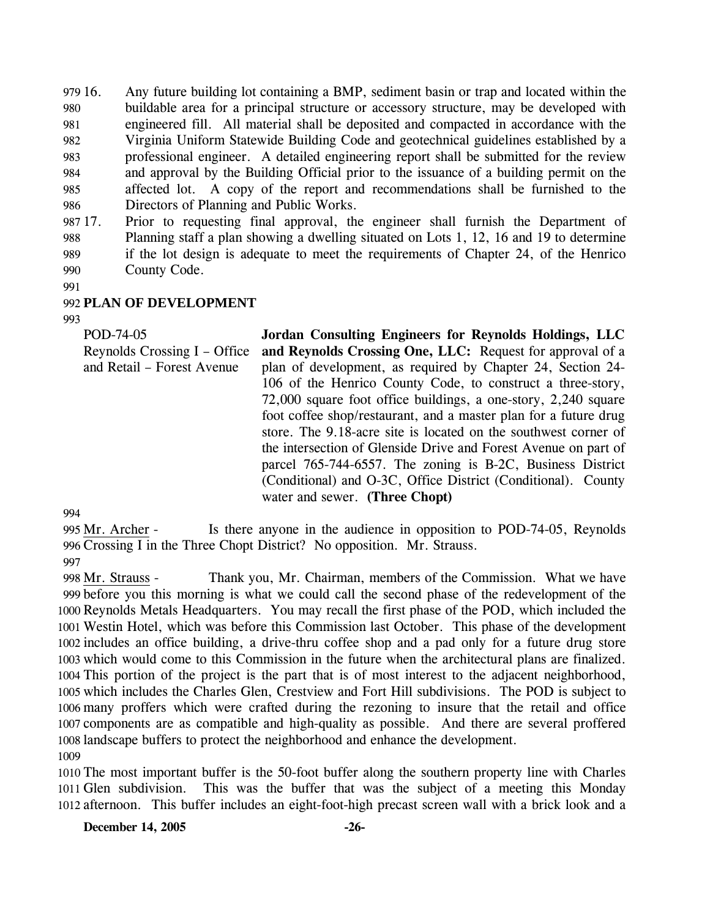979 16. 980 981 982 983 984 985 986 16. Any future building lot containing a BMP, sediment basin or trap and located within the buildable area for a principal structure or accessory structure, may be developed with engineered fill. All material shall be deposited and compacted in accordance with the Virginia Uniform Statewide Building Code and geotechnical guidelines established by a professional engineer. A detailed engineering report shall be submitted for the review and approval by the Building Official prior to the issuance of a building permit on the affected lot. A copy of the report and recommendations shall be furnished to the Directors of Planning and Public Works.

987 17. 988 989 990 17. Prior to requesting final approval, the engineer shall furnish the Department of Planning staff a plan showing a dwelling situated on Lots 1, 12, 16 and 19 to determine if the lot design is adequate to meet the requirements of Chapter 24, of the Henrico County Code.

991

## 992 **PLAN OF DEVELOPMENT**

993

POD-74-05 Reynolds Crossing I – Office and Retail – Forest Avenue **Jordan Consulting Engineers for Reynolds Holdings, LLC and Reynolds Crossing One, LLC:** Request for approval of a plan of development, as required by Chapter 24, Section 24- 106 of the Henrico County Code, to construct a three-story, 72,000 square foot office buildings, a one-story, 2,240 square foot coffee shop/restaurant, and a master plan for a future drug store. The 9.18-acre site is located on the southwest corner of the intersection of Glenside Drive and Forest Avenue on part of parcel 765-744-6557. The zoning is B-2C, Business District (Conditional) and O-3C, Office District (Conditional). County water and sewer. **(Three Chopt)**

994

Is there anyone in the audience in opposition to POD-74-05, Reynolds 996 Crossing I in the Three Chopt District? No opposition. Mr. Strauss. 995 Mr. Archer -997

Thank you, Mr. Chairman, members of the Commission. What we have before you this morning is what we could call the second phase of the redevelopment of the 999 1000 Reynolds Metals Headquarters. You may recall the first phase of the POD, which included the Westin Hotel, which was before this Commission last October. This phase of the development 1001 1002 includes an office building, a drive-thru coffee shop and a pad only for a future drug store 1003 which would come to this Commission in the future when the architectural plans are finalized. 1004 This portion of the project is the part that is of most interest to the adjacent neighborhood, 1005 which includes the Charles Glen, Crestview and Fort Hill subdivisions. The POD is subject to 1006 many proffers which were crafted during the rezoning to insure that the retail and office 1007 components are as compatible and high-quality as possible. And there are several proffered 1008 landscape buffers to protect the neighborhood and enhance the development. 998 Mr. Strauss -1009

1010 The most important buffer is the 50-foot buffer along the southern property line with Charles 1011 Glen subdivision. 1012 afternoon. This buffer includes an eight-foot-high precast screen wall with a brick look and a This was the buffer that was the subject of a meeting this Monday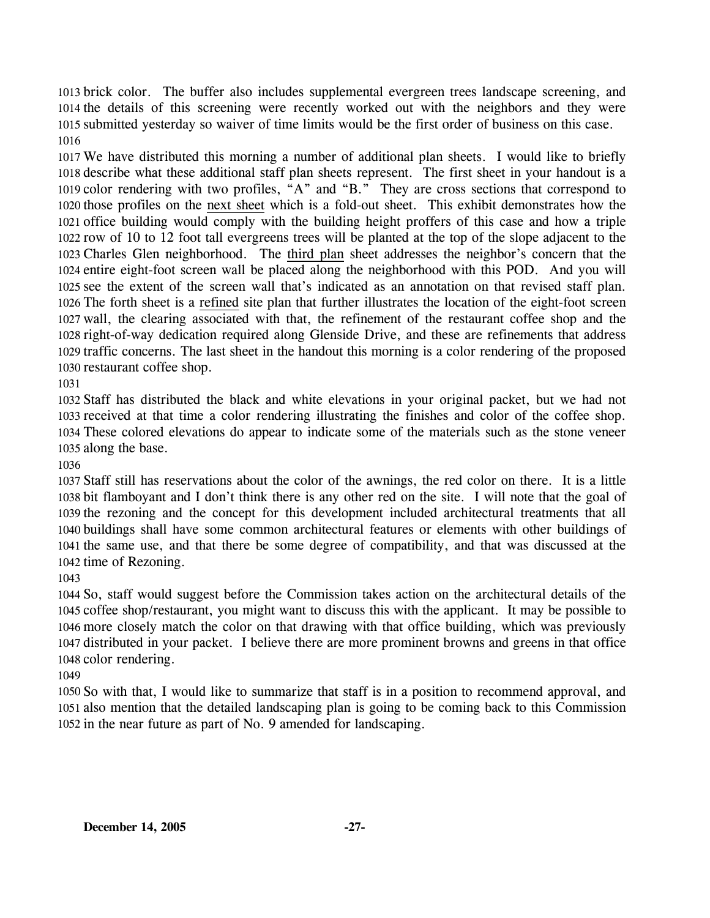brick color. The buffer also includes supplemental evergreen trees landscape screening, and the details of this screening were recently worked out with the neighbors and they were submitted yesterday so waiver of time limits would be the first order of business on this case. 

 We have distributed this morning a number of additional plan sheets. I would like to briefly describe what these additional staff plan sheets represent. The first sheet in your handout is a color rendering with two profiles, "A" and "B." They are cross sections that correspond to 1020 those profiles on the next sheet which is a fold-out sheet. This exhibit demonstrates how the 1021 office building would comply with the building height proffers of this case and how a triple 1022 row of 10 to 12 foot tall evergreens trees will be planted at the top of the slope adjacent to the 1023 Charles Glen neighborhood. The third plan sheet addresses the neighbor's concern that the 1024 entire eight-foot screen wall be placed along the neighborhood with this POD. And you will 1025 see the extent of the screen wall that's indicated as an annotation on that revised staff plan. 1026 The forth sheet is a refined site plan that further illustrates the location of the eight-foot screen 1027 wall, the clearing associated with that, the refinement of the restaurant coffee shop and the 1028 right-of-way dedication required along Glenside Drive, and these are refinements that address 1029 traffic concerns. The last sheet in the handout this morning is a color rendering of the proposed 1030 restaurant coffee shop.

 Staff has distributed the black and white elevations in your original packet, but we had not received at that time a color rendering illustrating the finishes and color of the coffee shop. These colored elevations do appear to indicate some of the materials such as the stone veneer along the base.

 Staff still has reservations about the color of the awnings, the red color on there. It is a little bit flamboyant and I don't think there is any other red on the site. I will note that the goal of the rezoning and the concept for this development included architectural treatments that all buildings shall have some common architectural features or elements with other buildings of the same use, and that there be some degree of compatibility, and that was discussed at the time of Rezoning.

 So, staff would suggest before the Commission takes action on the architectural details of the coffee shop/restaurant, you might want to discuss this with the applicant. It may be possible to more closely match the color on that drawing with that office building, which was previously distributed in your packet. I believe there are more prominent browns and greens in that office color rendering.

 So with that, I would like to summarize that staff is in a position to recommend approval, and also mention that the detailed landscaping plan is going to be coming back to this Commission in the near future as part of No. 9 amended for landscaping.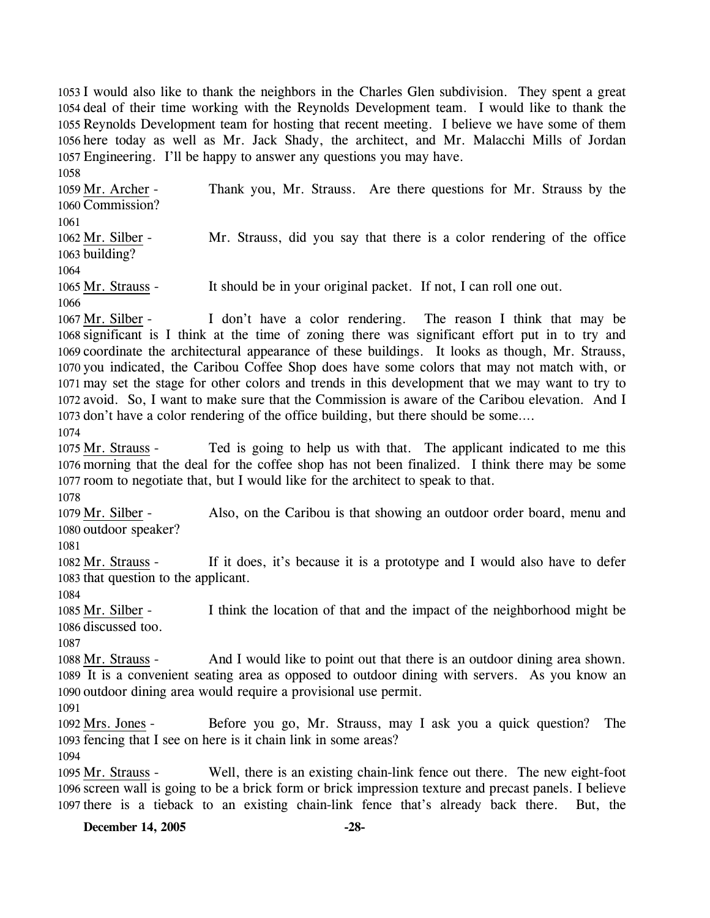I would also like to thank the neighbors in the Charles Glen subdivision. They spent a great deal of their time working with the Reynolds Development team. I would like to thank the Reynolds Development team for hosting that recent meeting. I believe we have some of them here today as well as Mr. Jack Shady, the architect, and Mr. Malacchi Mills of Jordan Engineering. I'll be happy to answer any questions you may have.

1058 Thank you, Mr. Strauss. Are there questions for Mr. Strauss by the 1060 Commission? 1059 Mr. Archer -1061 Mr. Strauss, did you say that there is a color rendering of the office 1063 building? 1062 Mr. Silber -1064 1065 Mr. Strauss - It should be in your original packet. If not, I can roll one out. 1066

I don't have a color rendering. The reason I think that may be 1068 significant is I think at the time of zoning there was significant effort put in to try and 1069 coordinate the architectural appearance of these buildings. It looks as though, Mr. Strauss, 1070 you indicated, the Caribou Coffee Shop does have some colors that may not match with, or 1071 may set the stage for other colors and trends in this development that we may want to try to 1072 avoid. So, I want to make sure that the Commission is aware of the Caribou elevation. And I 1073 don't have a color rendering of the office building, but there should be some.... 1067 Mr. Silber -

1074

Ted is going to help us with that. The applicant indicated to me this 1076 morning that the deal for the coffee shop has not been finalized. I think there may be some 1077 room to negotiate that, but I would like for the architect to speak to that. 1075 Mr. Strauss -

1078

Also, on the Caribou is that showing an outdoor order board, menu and 1080 outdoor speaker? 1079 Mr. Silber -

1081

If it does, it's because it is a prototype and I would also have to defer 1083 that question to the applicant. 1082 Mr. Strauss -

1084

I think the location of that and the impact of the neighborhood might be 1086 discussed too. 1085 Mr. Silber -

1087

And I would like to point out that there is an outdoor dining area shown. 1089 It is a convenient seating area as opposed to outdoor dining with servers. As you know an 1090 outdoor dining area would require a provisional use permit. 1088 Mr. Strauss -

1091

Before you go, Mr. Strauss, may I ask you a quick question? The 1093 fencing that I see on here is it chain link in some areas? 1092 Mrs. Jones -

1094

Well, there is an existing chain-link fence out there. The new eight-foot 1096 screen wall is going to be a brick form or brick impression texture and precast panels. I believe 1097 there is a tieback to an existing chain-link fence that's already back there. But, the 1095 Mr. Strauss -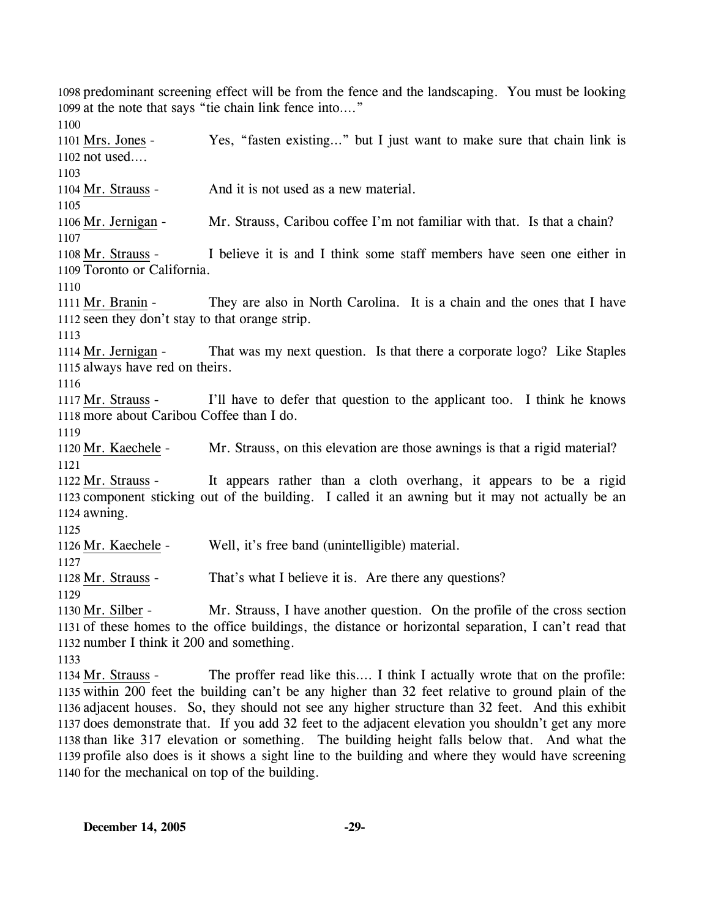1098 predominant screening effect will be from the fence and the landscaping. You must be looking 1099 at the note that says "tie chain link fence into…." 1100 Yes, "fasten existing..." but I just want to make sure that chain link is 1102 not used.... 1101 Mrs. Jones -1103 1104 Mr. Strauss - And it is not used as a new material. 1105 1106 Mr. Jernigan - Mr. Strauss, Caribou coffee I'm not familiar with that. Is that a chain? 1107 I believe it is and I think some staff members have seen one either in 1109 Toronto or California. 1108 Mr. Strauss -1110 They are also in North Carolina. It is a chain and the ones that I have 1112 seen they don't stay to that orange strip. 1111 Mr. Branin -1113 That was my next question. Is that there a corporate logo? Like Staples 1115 always have red on theirs. 1114 Mr. Jernigan -1116 I'll have to defer that question to the applicant too. I think he knows 1118 more about Caribou Coffee than I do. 1117 Mr. Strauss -1119 1120 Mr. Kaechele - Mr. Strauss, on this elevation are those awnings is that a rigid material? 1121 It appears rather than a cloth overhang, it appears to be a rigid 1123 component sticking out of the building. I called it an awning but it may not actually be an 1124 awning. 1122 Mr. Strauss -1125 1126 Mr. Kaechele - Well, it's free band (unintelligible) material. 1127 1128 Mr. Strauss - That's what I believe it is. Are there any questions? 1129 Mr. Strauss, I have another question. On the profile of the cross section 1131 of these homes to the office buildings, the distance or horizontal separation, I can't read that 1132 number I think it 200 and something. 1130 Mr. Silber -1133 The proffer read like this…. I think I actually wrote that on the profile: 1135 within 200 feet the building can't be any higher than 32 feet relative to ground plain of the 1136 adjacent houses. So, they should not see any higher structure than 32 feet. And this exhibit 1137 does demonstrate that. If you add 32 feet to the adjacent elevation you shouldn't get any more 1134 Mr. Strauss -

1138 than like 317 elevation or something. The building height falls below that. And what the 1139 profile also does is it shows a sight line to the building and where they would have screening 1140 for the mechanical on top of the building.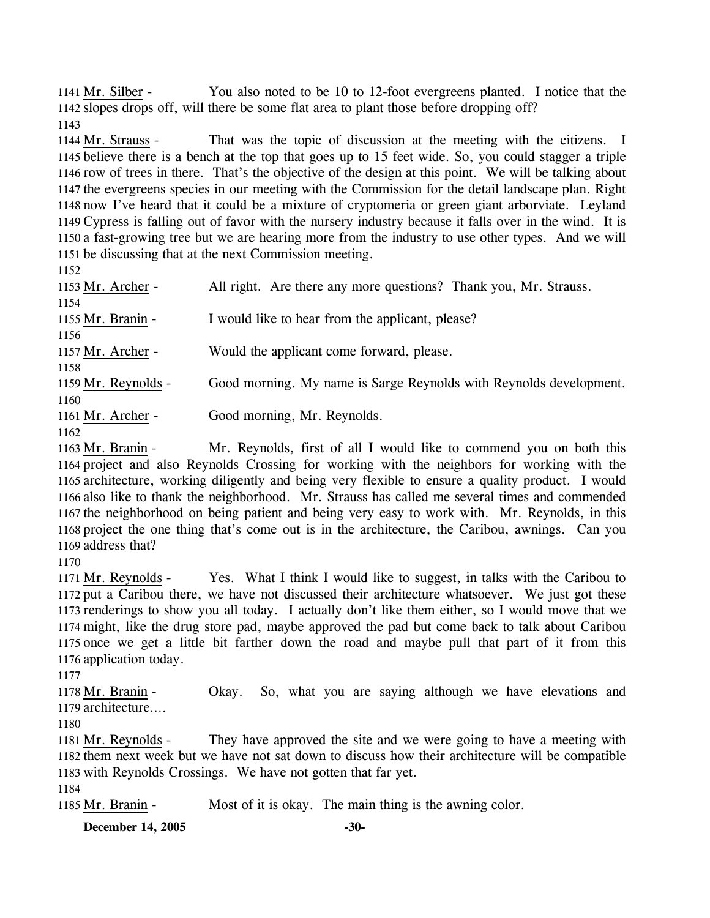You also noted to be 10 to 12-foot evergreens planted. I notice that the 1142 slopes drops off, will there be some flat area to plant those before dropping off? 1141 Mr. Silber -1143

That was the topic of discussion at the meeting with the citizens. I 1145 believe there is a bench at the top that goes up to 15 feet wide. So, you could stagger a triple 1146 row of trees in there. That's the objective of the design at this point. We will be talking about 1147 the evergreens species in our meeting with the Commission for the detail landscape plan. Right 1148 now I've heard that it could be a mixture of cryptomeria or green giant arborviate. Leyland Cypress is falling out of favor with the nursery industry because it falls over in the wind. It is 1149 1150 a fast-growing tree but we are hearing more from the industry to use other types. And we will 1151 be discussing that at the next Commission meeting. 1144 Mr. Strauss -

1152

| 11.72               |                                                                    |
|---------------------|--------------------------------------------------------------------|
| 1153 Mr. Archer -   | All right. Are there any more questions? Thank you, Mr. Strauss.   |
| 1154                |                                                                    |
| 1155 Mr. Branin -   | I would like to hear from the applicant, please?                   |
| 1156                |                                                                    |
| 1157 Mr. Archer -   | Would the applicant come forward, please.                          |
| 1158                |                                                                    |
| 1159 Mr. Reynolds - | Good morning. My name is Sarge Reynolds with Reynolds development. |
| 1160                |                                                                    |
| 1161 Mr. Archer -   | Good morning, Mr. Reynolds.                                        |
| 1162                |                                                                    |

1162

Mr. Reynolds, first of all I would like to commend you on both this 1164 project and also Reynolds Crossing for working with the neighbors for working with the 1165 architecture, working diligently and being very flexible to ensure a quality product. I would 1166 also like to thank the neighborhood. Mr. Strauss has called me several times and commended 1167 the neighborhood on being patient and being very easy to work with. Mr. Reynolds, in this 1168 project the one thing that's come out is in the architecture, the Caribou, awnings. Can you 1169 address that? 1163 Mr. Branin -

1170

Yes. What I think I would like to suggest, in talks with the Caribou to 1172 put a Caribou there, we have not discussed their architecture whatsoever. We just got these 1173 renderings to show you all today. I actually don't like them either, so I would move that we 1174 might, like the drug store pad, maybe approved the pad but come back to talk about Caribou 1175 once we get a little bit farther down the road and maybe pull that part of it from this 1176 application today. 1171 Mr. Reynolds -

1177

Okay. So, what you are saying although we have elevations and architecture…. 1179 1178 Mr. Branin -

1180

They have approved the site and we were going to have a meeting with 1182 them next week but we have not sat down to discuss how their architecture will be compatible 1183 with Reynolds Crossings. We have not gotten that far yet. 1181 Mr. Reynolds -

1184

1185 Mr. Branin - Most of it is okay. The main thing is the awning color.

**December 14, 2005 -30-**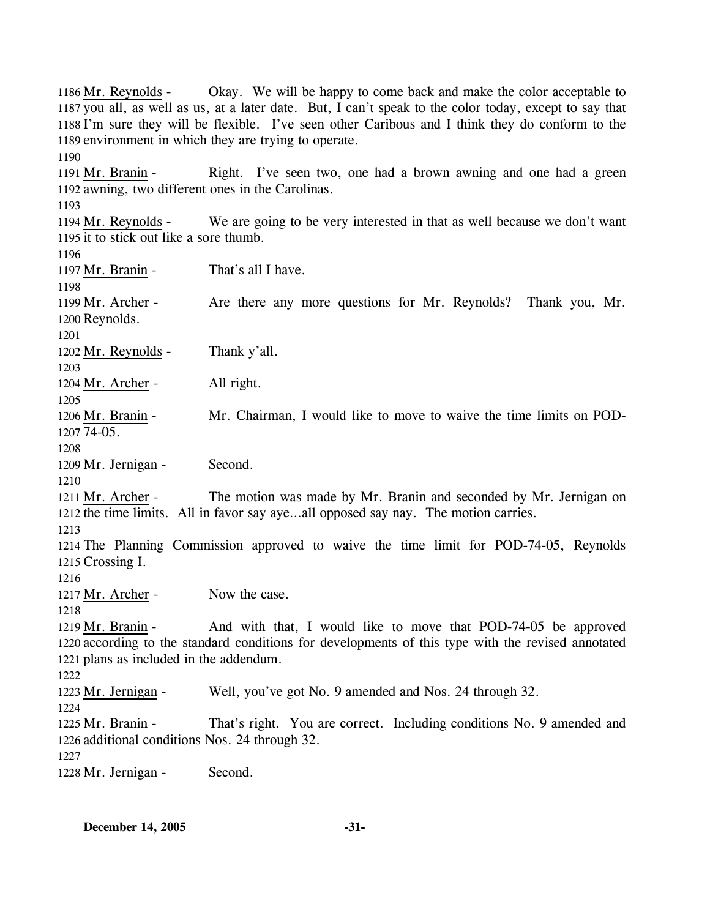Okay. We will be happy to come back and make the color acceptable to 1187 you all, as well as us, at a later date. But, I can't speak to the color today, except to say that 1188 I'm sure they will be flexible. I've seen other Caribous and I think they do conform to the 1189 environment in which they are trying to operate.  $1186$  Mr. Revnolds -1190 Right. I've seen two, one had a brown awning and one had a green 1192 awning, two different ones in the Carolinas. 1191 Mr. Branin -1193 We are going to be very interested in that as well because we don't want 1195 it to stick out like a sore thumb. 1194 Mr. Reynolds -1196 1197 Mr. Branin - That's all I have. 1198 Are there any more questions for Mr. Reynolds? Thank you, Mr. 1200 Reynolds. 1199 Mr. Archer -1201 1202 Mr. Reynolds - Thank y'all. 1203 1204 Mr. Archer - All right. 1205 Mr. Chairman, I would like to move to waive the time limits on POD-1207 74-05. 1206 Mr. Branin -1208 1209 Mr. Jernigan - Second. 1210 The motion was made by Mr. Branin and seconded by Mr. Jernigan on 1212 the time limits. All in favor say aye...all opposed say nay. The motion carries. 1211 Mr. Archer -1213 1214 The Planning Commission approved to waive the time limit for POD-74-05, Reynolds 1215 Crossing I. 1216 1217 Mr. Archer - Now the case. 1218 And with that, I would like to move that POD-74-05 be approved 1220 according to the standard conditions for developments of this type with the revised annotated 1221 plans as included in the addendum.  $1219$  Mr. Branin -1222 1223 Mr. Jernigan - Well, you've got No. 9 amended and Nos. 24 through 32. 1224 That's right. You are correct. Including conditions No. 9 amended and 1226 additional conditions Nos. 24 through 32. 1225 Mr. Branin -1227 1228 Mr. Jernigan - Second.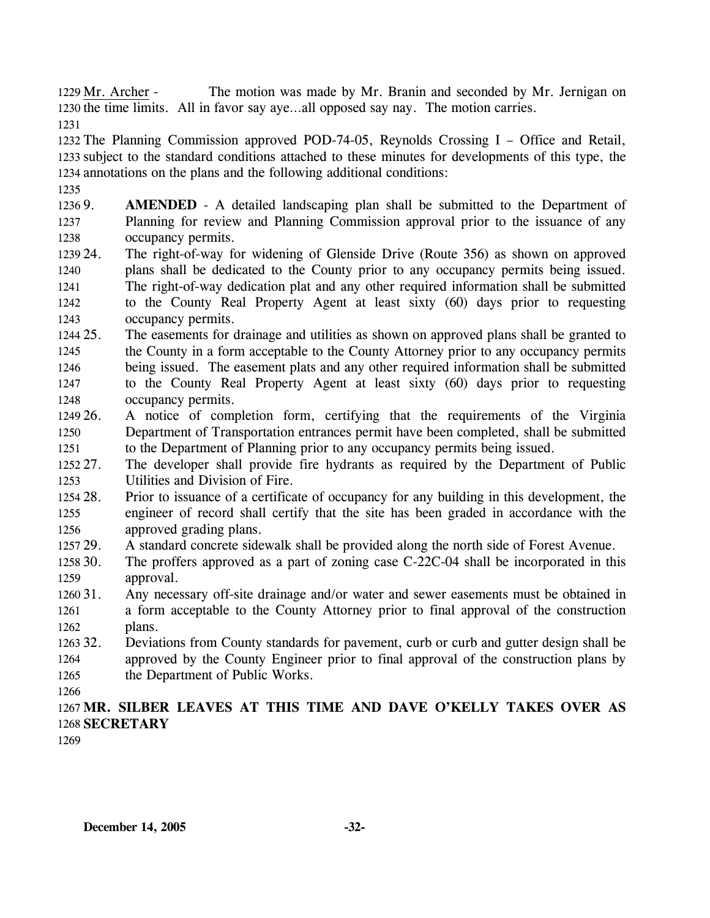The motion was made by Mr. Branin and seconded by Mr. Jernigan on 1230 the time limits. All in favor say aye...all opposed say nay. The motion carries. 1229 Mr. Archer -

1231

1232 The Planning Commission approved POD-74-05, Reynolds Crossing I – Office and Retail, 1233 subject to the standard conditions attached to these minutes for developments of this type, the 1234 annotations on the plans and the following additional conditions:

1235

1236 9. 1237 1238 AMENDED - A detailed landscaping plan shall be submitted to the Department of Planning for review and Planning Commission approval prior to the issuance of any occupancy permits.

- 1239 24. 1240 1241 1242 1243 The right-of-way for widening of Glenside Drive (Route 356) as shown on approved plans shall be dedicated to the County prior to any occupancy permits being issued. The right-of-way dedication plat and any other required information shall be submitted to the County Real Property Agent at least sixty (60) days prior to requesting occupancy permits.
- 1244 25 1245 1246 1247 1248 The easements for drainage and utilities as shown on approved plans shall be granted to the County in a form acceptable to the County Attorney prior to any occupancy permits being issued. The easement plats and any other required information shall be submitted to the County Real Property Agent at least sixty (60) days prior to requesting occupancy permits.
- 1249 26. 1250 1251 26. A notice of completion form, certifying that the requirements of the Virginia Department of Transportation entrances permit have been completed, shall be submitted to the Department of Planning prior to any occupancy permits being issued.
- 1252 27. 1253 The developer shall provide fire hydrants as required by the Department of Public Utilities and Division of Fire.
- 1254 28. 1255 1256 Prior to issuance of a certificate of occupancy for any building in this development, the engineer of record shall certify that the site has been graded in accordance with the approved grading plans.
- 1257 29. A standard concrete sidewalk shall be provided along the north side of Forest Avenue.
- 1258 30. 1259 The proffers approved as a part of zoning case  $C-22C-04$  shall be incorporated in this approval.
- 1260 31. 1261 1262 Any necessary off-site drainage and/or water and sewer easements must be obtained in a form acceptable to the County Attorney prior to final approval of the construction plans.
- 1263 32. 1264 1265 32. Deviations from County standards for pavement, curb or curb and gutter design shall be approved by the County Engineer prior to final approval of the construction plans by the Department of Public Works.
- 1266

1267 **MR. SILBER LEAVES AT THIS TIME AND DAVE O'KELLY TAKES OVER AS**  1268 **SECRETARY** 

1269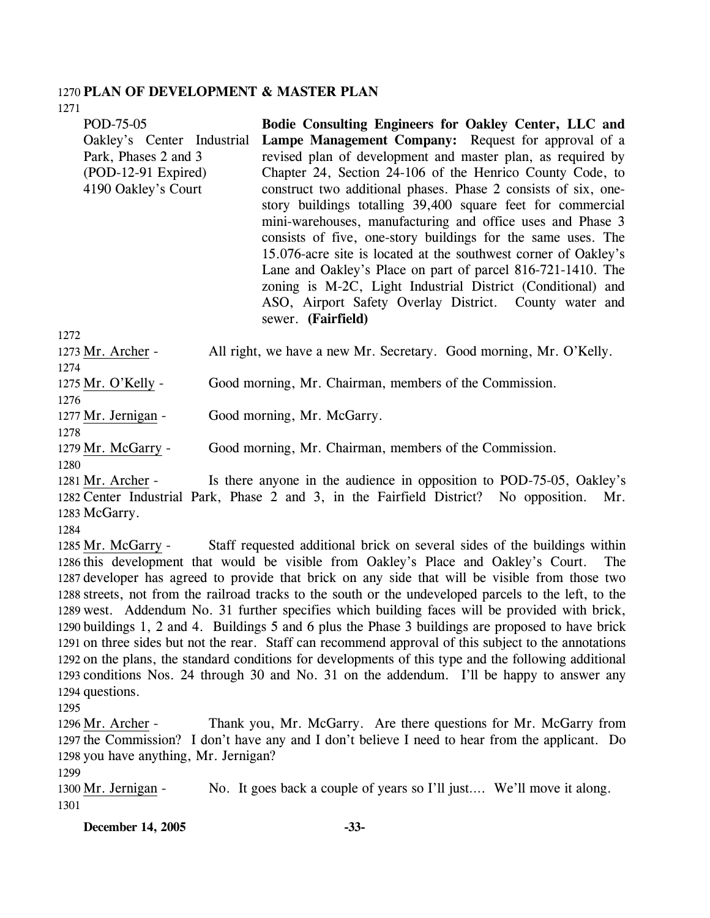## 1270 **PLAN OF DEVELOPMENT & MASTER PLAN**

1271

| POD-75-05                  | Bodie Consulting Engineers for Oakley Center, LLC and              |
|----------------------------|--------------------------------------------------------------------|
| Oakley's Center Industrial | Lampe Management Company: Request for approval of a                |
| Park, Phases 2 and 3       | revised plan of development and master plan, as required by        |
| $(POD-12-91)$ Expired)     | Chapter 24, Section 24-106 of the Henrico County Code, to          |
| 4190 Oakley's Court        | construct two additional phases. Phase 2 consists of six, one-     |
|                            | story buildings totalling 39,400 square feet for commercial        |
|                            | mini-warehouses, manufacturing and office uses and Phase 3         |
|                            | consists of five, one-story buildings for the same uses. The       |
|                            | 15.076-acre site is located at the southwest corner of Oakley's    |
|                            | Lane and Oakley's Place on part of parcel 816-721-1410. The        |
|                            | zoning is M-2C, Light Industrial District (Conditional) and        |
|                            | ASO, Airport Safety Overlay District. County water and             |
|                            | sewer. (Fairfield)                                                 |
| 1272                       |                                                                    |
| 1273 Mr. Archer -          | All right, we have a new Mr. Secretary. Good morning, Mr. O'Kelly. |
| 1274                       |                                                                    |
| 1275 Mr. O'Kelly -         | Good morning, Mr. Chairman, members of the Commission.             |
| 1276                       |                                                                    |

1277 Mr. Jernigan - Good morning, Mr. McGarry.

1279 Mr. McGarry - Good morning, Mr. Chairman, members of the Commission.

1280

1278

Is there anyone in the audience in opposition to POD-75-05, Oakley's 1282 Center Industrial Park, Phase 2 and 3, in the Fairfield District? No opposition. Mr. 1283 McGarry. 1281 Mr. Archer -

1284

Staff requested additional brick on several sides of the buildings within 1286 this development that would be visible from Oakley's Place and Oakley's Court. The 1287 developer has agreed to provide that brick on any side that will be visible from those two 1288 streets, not from the railroad tracks to the south or the undeveloped parcels to the left, to the 1289 west. Addendum No. 31 further specifies which building faces will be provided with brick, 1290 buildings 1, 2 and 4. Buildings 5 and 6 plus the Phase 3 buildings are proposed to have brick 1291 on three sides but not the rear. Staff can recommend approval of this subject to the annotations 1292 on the plans, the standard conditions for developments of this type and the following additional 1293 conditions Nos. 24 through 30 and No. 31 on the addendum. I'll be happy to answer any 1294 questions. 1285 Mr. McGarry -

1295

Thank you, Mr. McGarry. Are there questions for Mr. McGarry from 1297 the Commission? I don't have any and I don't believe I need to hear from the applicant. Do 1298 you have anything, Mr. Jernigan? 1296 Mr. Archer -

1299

1300 Mr. Jernigan - No. It goes back a couple of years so I'll just…. We'll move it along. 1301

**December 14, 2005 -33-**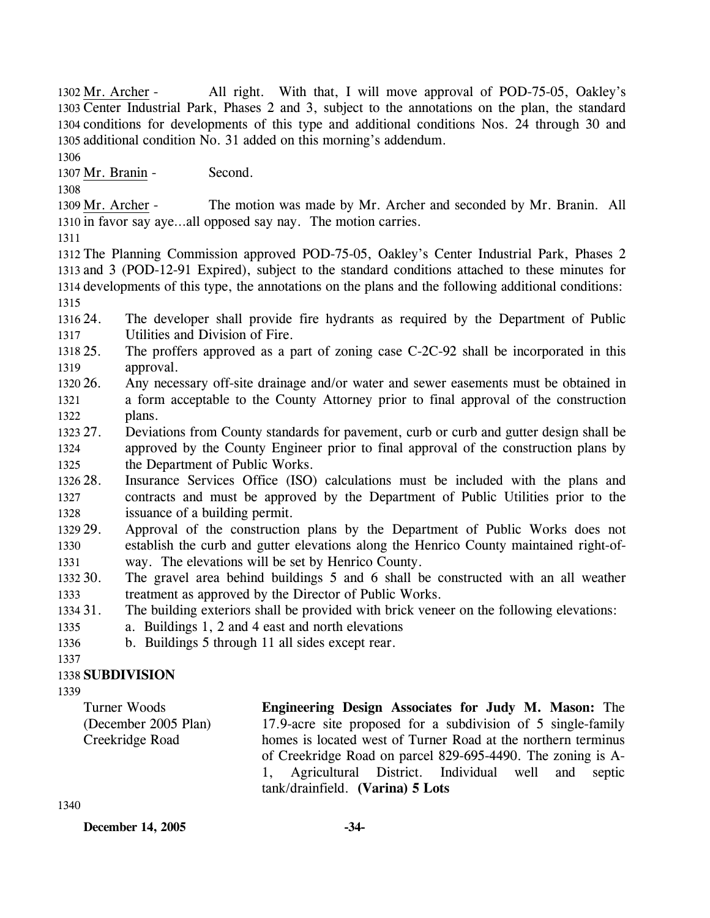All right. With that, I will move approval of POD-75-05, Oakley's 1303 Center Industrial Park, Phases 2 and 3, subject to the annotations on the plan, the standard 1304 conditions for developments of this type and additional conditions Nos. 24 through 30 and 1305 additional condition No. 31 added on this morning's addendum. 1302 Mr. Archer -

1306

1307 Mr. Branin - Second.

1308

The motion was made by Mr. Archer and seconded by Mr. Branin. All 1310 in favor say aye...all opposed say nay. The motion carries. 1309 Mr. Archer -

1311

 The Planning Commission approved POD-75-05, Oakley's Center Industrial Park, Phases 2 and 3 (POD-12-91 Expired), subject to the standard conditions attached to these minutes for developments of this type, the annotations on the plans and the following additional conditions: 1315

1316 24. 1317 The developer shall provide fire hydrants as required by the Department of Public Utilities and Division of Fire.

1318 25. 1319 The proffers approved as a part of zoning case  $C-2C-92$  shall be incorporated in this approval.

- 1320 26. 1321 1322 26. Any necessary off-site drainage and/or water and sewer easements must be obtained in a form acceptable to the County Attorney prior to final approval of the construction plans.
- 1323 27. 1324 1325 27. Deviations from County standards for pavement, curb or curb and gutter design shall be approved by the County Engineer prior to final approval of the construction plans by the Department of Public Works.

1326 28. 1327 1328 Insurance Services Office (ISO) calculations must be included with the plans and contracts and must be approved by the Department of Public Utilities prior to the issuance of a building permit.

- 1329 29. 1330 1331 Approval of the construction plans by the Department of Public Works does not establish the curb and gutter elevations along the Henrico County maintained right-ofway. The elevations will be set by Henrico County.
- 1332 30. 1333 The gravel area behind buildings 5 and 6 shall be constructed with an all weather treatment as approved by the Director of Public Works.

1334 31. The building exteriors shall be provided with brick veneer on the following elevations:

- 1335 a. Buildings 1, 2 and 4 east and north elevations
- 1336 b. Buildings 5 through 11 all sides except rear.

1337

# 1338 **SUBDIVISION**

1339

Turner Woods (December 2005 Plan) Creekridge Road

**Engineering Design Associates for Judy M. Mason:** The 17.9-acre site proposed for a subdivision of 5 single-family homes is located west of Turner Road at the northern terminus of Creekridge Road on parcel 829-695-4490. The zoning is A-1, Agricultural District. Individual well and septic tank/drainfield. **(Varina) 5 Lots** 

1340

**December 14, 2005 -34-**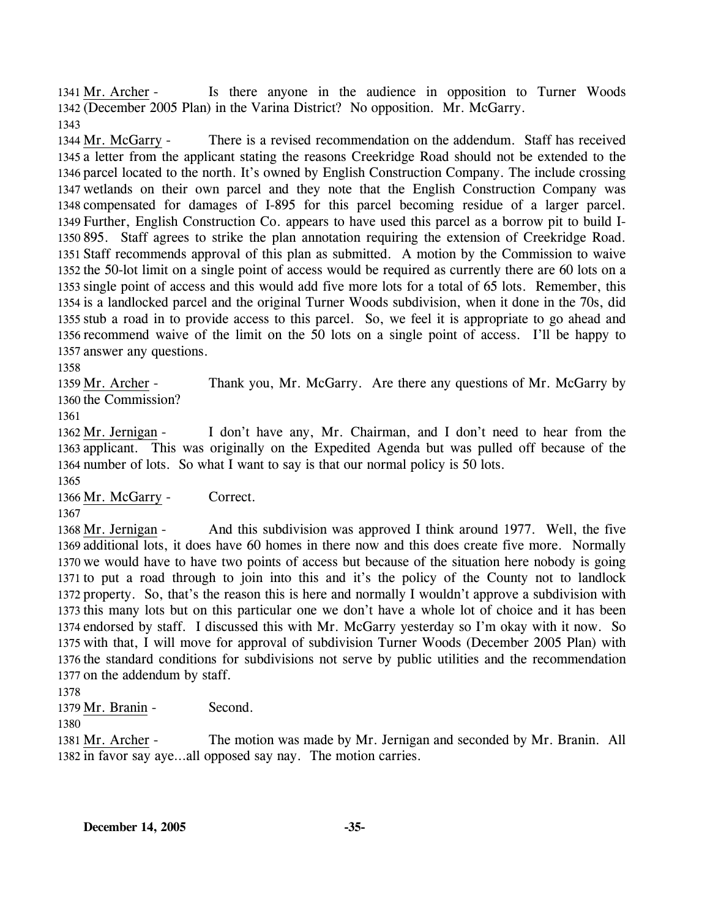Is there anyone in the audience in opposition to Turner Woods (December 2005 Plan) in the Varina District? No opposition. Mr. McGarry. 1342 1341 Mr. Archer -1343

There is a revised recommendation on the addendum. Staff has received 1345 a letter from the applicant stating the reasons Creekridge Road should not be extended to the 1346 parcel located to the north. It's owned by English Construction Company. The include crossing 1347 wetlands on their own parcel and they note that the English Construction Company was 1348 compensated for damages of I-895 for this parcel becoming residue of a larger parcel. 1349 Further, English Construction Co. appears to have used this parcel as a borrow pit to build I-895. Staff agrees to strike the plan annotation requiring the extension of Creekridge Road. 1350 1351 Staff recommends approval of this plan as submitted. A motion by the Commission to waive 1352 the 50-lot limit on a single point of access would be required as currently there are 60 lots on a 1353 single point of access and this would add five more lots for a total of 65 lots. Remember, this 1354 is a landlocked parcel and the original Turner Woods subdivision, when it done in the 70s, did 1355 stub a road in to provide access to this parcel. So, we feel it is appropriate to go ahead and 1356 recommend waive of the limit on the 50 lots on a single point of access. I'll be happy to 1357 answer any questions. 1344 Mr. McGarry -

1358

Thank you, Mr. McGarry. Are there any questions of Mr. McGarry by 1360 the Commission? 1359 Mr. Archer -

1361

I don't have any, Mr. Chairman, and I don't need to hear from the 1363 applicant. This was originally on the Expedited Agenda but was pulled off because of the 1364 number of lots. So what I want to say is that our normal policy is 50 lots. 1362 Mr. Jernigan -1365

1366 Mr. McGarry - Correct.

1367

And this subdivision was approved I think around 1977. Well, the five 1369 additional lots, it does have 60 homes in there now and this does create five more. Normally 1370 we would have to have two points of access but because of the situation here nobody is going 1371 to put a road through to join into this and it's the policy of the County not to landlock 1372 property. So, that's the reason this is here and normally I wouldn't approve a subdivision with 1373 this many lots but on this particular one we don't have a whole lot of choice and it has been 1374 endorsed by staff. I discussed this with Mr. McGarry yesterday so I'm okay with it now. So 1375 with that, I will move for approval of subdivision Turner Woods (December 2005 Plan) with 1376 the standard conditions for subdivisions not serve by public utilities and the recommendation 1377 on the addendum by staff. 1368 Mr. Jernigan -

1378

1379 Mr. Branin - Second.

1380

The motion was made by Mr. Jernigan and seconded by Mr. Branin. All 1382 in favor say aye...all opposed say nay. The motion carries. 1381 Mr. Archer -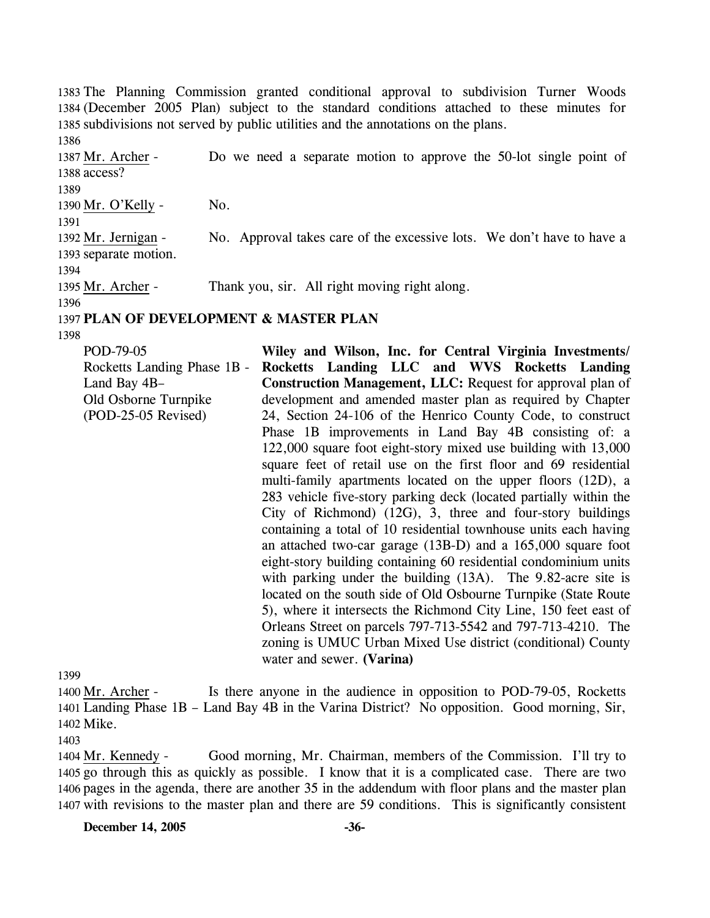1383 The Planning Commission granted conditional approval to subdivision Turner Woods 1384 (December 2005 Plan) subject to the standard conditions attached to these minutes for 1385 subdivisions not served by public utilities and the annotations on the plans.

1386 Do we need a separate motion to approve the 50-lot single point of 1388 access? 1387 Mr. Archer -1389 1390 Mr. O'Kelly - No. 1391 No. Approval takes care of the excessive lots. We don't have to have a 1393 separate motion. 1392 Mr. Jernigan -1394 1395 Mr. Archer - Thank you, sir. All right moving right along. 1396

#### 1397 **PLAN OF DEVELOPMENT & MASTER PLAN**

1398

POD-79-05 Rocketts Landing Phase 1B - Land Bay 4B– Old Osborne Turnpike (POD-25-05 Revised) **Wiley and Wilson, Inc. for Central Virginia Investments/ Rocketts Landing LLC and WVS Rocketts Landing Construction Management, LLC:** Request for approval plan of development and amended master plan as required by Chapter 24, Section 24-106 of the Henrico County Code, to construct Phase 1B improvements in Land Bay 4B consisting of: a 122,000 square foot eight-story mixed use building with 13,000 square feet of retail use on the first floor and 69 residential multi-family apartments located on the upper floors (12D), a 283 vehicle five-story parking deck (located partially within the City of Richmond) (12G), 3, three and four-story buildings containing a total of 10 residential townhouse units each having an attached two-car garage (13B-D) and a 165,000 square foot eight-story building containing 60 residential condominium units with parking under the building (13A). The 9.82-acre site is located on the south side of Old Osbourne Turnpike (State Route 5), where it intersects the Richmond City Line, 150 feet east of Orleans Street on parcels 797-713-5542 and 797-713-4210. The zoning is UMUC Urban Mixed Use district (conditional) County water and sewer. **(Varina)**

1399

Is there anyone in the audience in opposition to POD-79-05, Rocketts Landing Phase 1B – Land Bay 4B in the Varina District? No opposition. Good morning, Sir, 1401 1402 Mike. 1400 Mr. Archer -

1403

Good morning, Mr. Chairman, members of the Commission. I'll try to 1405 go through this as quickly as possible. I know that it is a complicated case. There are two 1406 pages in the agenda, there are another 35 in the addendum with floor plans and the master plan 1407 with revisions to the master plan and there are 59 conditions. This is significantly consistent 1404 Mr. Kennedy -

#### **December 14, 2005 -36-**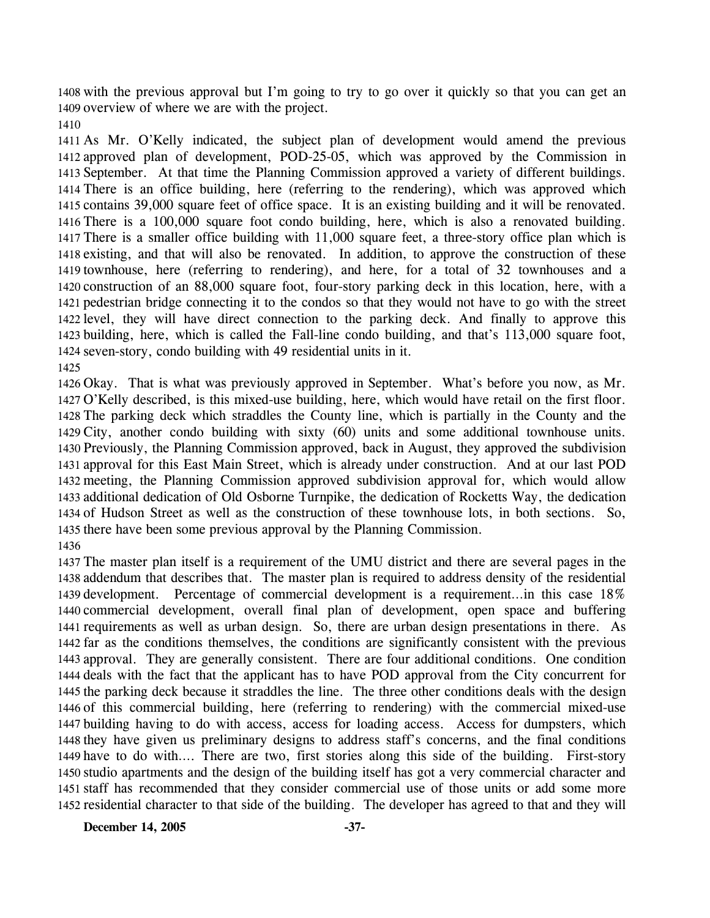with the previous approval but I'm going to try to go over it quickly so that you can get an overview of where we are with the project.

 As Mr. O'Kelly indicated, the subject plan of development would amend the previous approved plan of development, POD-25-05, which was approved by the Commission in September. At that time the Planning Commission approved a variety of different buildings. There is an office building, here (referring to the rendering), which was approved which contains 39,000 square feet of office space. It is an existing building and it will be renovated. There is a 100,000 square foot condo building, here, which is also a renovated building. There is a smaller office building with 11,000 square feet, a three-story office plan which is existing, and that will also be renovated. In addition, to approve the construction of these townhouse, here (referring to rendering), and here, for a total of 32 townhouses and a construction of an 88,000 square foot, four-story parking deck in this location, here, with a pedestrian bridge connecting it to the condos so that they would not have to go with the street level, they will have direct connection to the parking deck. And finally to approve this building, here, which is called the Fall-line condo building, and that's 113,000 square foot, seven-story, condo building with 49 residential units in it. 

 Okay. That is what was previously approved in September. What's before you now, as Mr. O'Kelly described, is this mixed-use building, here, which would have retail on the first floor. The parking deck which straddles the County line, which is partially in the County and the City, another condo building with sixty (60) units and some additional townhouse units. Previously, the Planning Commission approved, back in August, they approved the subdivision approval for this East Main Street, which is already under construction. And at our last POD meeting, the Planning Commission approved subdivision approval for, which would allow additional dedication of Old Osborne Turnpike, the dedication of Rocketts Way, the dedication of Hudson Street as well as the construction of these townhouse lots, in both sections. So, there have been some previous approval by the Planning Commission. 

 The master plan itself is a requirement of the UMU district and there are several pages in the addendum that describes that. The master plan is required to address density of the residential development. Percentage of commercial development is a requirement…in this case 18% commercial development, overall final plan of development, open space and buffering requirements as well as urban design. So, there are urban design presentations in there. As far as the conditions themselves, the conditions are significantly consistent with the previous approval. They are generally consistent. There are four additional conditions. One condition deals with the fact that the applicant has to have POD approval from the City concurrent for the parking deck because it straddles the line. The three other conditions deals with the design of this commercial building, here (referring to rendering) with the commercial mixed-use building having to do with access, access for loading access. Access for dumpsters, which they have given us preliminary designs to address staff's concerns, and the final conditions have to do with…. There are two, first stories along this side of the building. First-story studio apartments and the design of the building itself has got a very commercial character and staff has recommended that they consider commercial use of those units or add some more residential character to that side of the building. The developer has agreed to that and they will

**December 14, 2005** -37-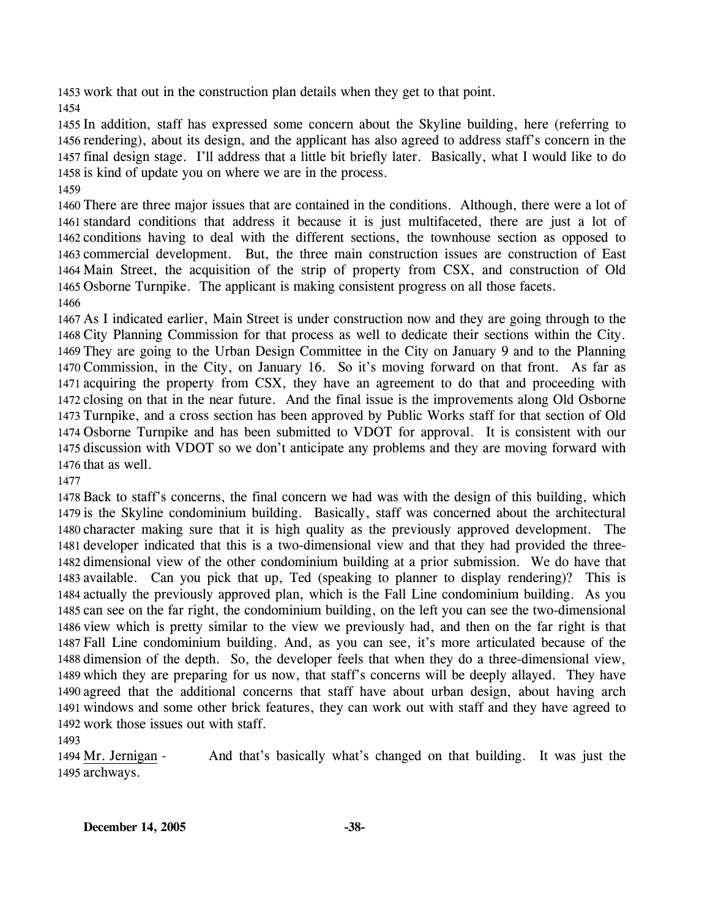work that out in the construction plan details when they get to that point.

 In addition, staff has expressed some concern about the Skyline building, here (referring to rendering), about its design, and the applicant has also agreed to address staff's concern in the final design stage. I'll address that a little bit briefly later. Basically, what I would like to do is kind of update you on where we are in the process.

 There are three major issues that are contained in the conditions. Although, there were a lot of standard conditions that address it because it is just multifaceted, there are just a lot of conditions having to deal with the different sections, the townhouse section as opposed to commercial development. But, the three main construction issues are construction of East Main Street, the acquisition of the strip of property from CSX, and construction of Old Osborne Turnpike. The applicant is making consistent progress on all those facets. 

 As I indicated earlier, Main Street is under construction now and they are going through to the City Planning Commission for that process as well to dedicate their sections within the City. They are going to the Urban Design Committee in the City on January 9 and to the Planning Commission, in the City, on January 16. So it's moving forward on that front. As far as acquiring the property from CSX, they have an agreement to do that and proceeding with closing on that in the near future. And the final issue is the improvements along Old Osborne Turnpike, and a cross section has been approved by Public Works staff for that section of Old Osborne Turnpike and has been submitted to VDOT for approval. It is consistent with our discussion with VDOT so we don't anticipate any problems and they are moving forward with 1476 that as well.

 Back to staff's concerns, the final concern we had was with the design of this building, which is the Skyline condominium building. Basically, staff was concerned about the architectural character making sure that it is high quality as the previously approved development. The developer indicated that this is a two-dimensional view and that they had provided the three- dimensional view of the other condominium building at a prior submission. We do have that available. Can you pick that up, Ted (speaking to planner to display rendering)? This is actually the previously approved plan, which is the Fall Line condominium building. As you can see on the far right, the condominium building, on the left you can see the two-dimensional view which is pretty similar to the view we previously had, and then on the far right is that Fall Line condominium building. And, as you can see, it's more articulated because of the dimension of the depth. So, the developer feels that when they do a three-dimensional view, which they are preparing for us now, that staff's concerns will be deeply allayed. They have agreed that the additional concerns that staff have about urban design, about having arch windows and some other brick features, they can work out with staff and they have agreed to work those issues out with staff.

And that's basically what's changed on that building. It was just the 1495 archways. 1494 Mr. Jernigan -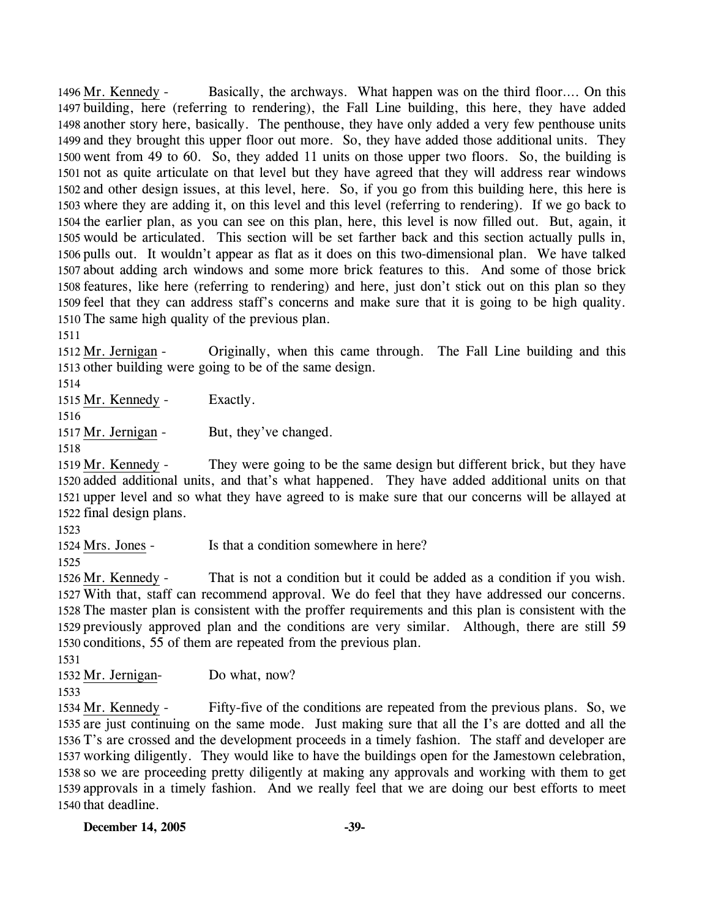Basically, the archways. What happen was on the third floor…. On this 1497 building, here (referring to rendering), the Fall Line building, this here, they have added 1498 another story here, basically. The penthouse, they have only added a very few penthouse units 1499 and they brought this upper floor out more. So, they have added those additional units. They 1500 went from 49 to 60. So, they added 11 units on those upper two floors. So, the building is 1501 not as quite articulate on that level but they have agreed that they will address rear windows 1502 and other design issues, at this level, here. So, if you go from this building here, this here is 1503 where they are adding it, on this level and this level (referring to rendering). If we go back to 1504 the earlier plan, as you can see on this plan, here, this level is now filled out. But, again, it 1505 would be articulated. This section will be set farther back and this section actually pulls in, 1506 pulls out. It wouldn't appear as flat as it does on this two-dimensional plan. We have talked 1507 about adding arch windows and some more brick features to this. And some of those brick 1508 features, like here (referring to rendering) and here, just don't stick out on this plan so they 1509 feel that they can address staff's concerns and make sure that it is going to be high quality. 1510 The same high quality of the previous plan. 1496 Mr. Kennedy -

1511

Originally, when this came through. The Fall Line building and this 1513 other building were going to be of the same design. 1512 Mr. Jernigan -

1514

1515 Mr. Kennedy - Exactly.

1516

1517 Mr. Jernigan - But, they've changed.

1518

They were going to be the same design but different brick, but they have 1520 added additional units, and that's what happened. They have added additional units on that 1521 upper level and so what they have agreed to is make sure that our concerns will be allayed at 1522 final design plans. 1519 Mr. Kennedy -

1523

1524 Mrs. Jones - Is that a condition somewhere in here?

1525

That is not a condition but it could be added as a condition if you wish. 1527 With that, staff can recommend approval. We do feel that they have addressed our concerns. 1528 The master plan is consistent with the proffer requirements and this plan is consistent with the 1529 previously approved plan and the conditions are very similar. Although, there are still 59 1530 conditions, 55 of them are repeated from the previous plan. 1526 Mr. Kennedy -

1531

1532 Mr. Jernigan- Do what, now?

1533

Fifty-five of the conditions are repeated from the previous plans. So, we 1535 are just continuing on the same mode. Just making sure that all the I's are dotted and all the 1536 T's are crossed and the development proceeds in a timely fashion. The staff and developer are 1537 working diligently. They would like to have the buildings open for the Jamestown celebration, 1538 so we are proceeding pretty diligently at making any approvals and working with them to get 1539 approvals in a timely fashion. And we really feel that we are doing our best efforts to meet 1540 that deadline. 1534 Mr. Kennedy -

**December 14, 2005 -39-**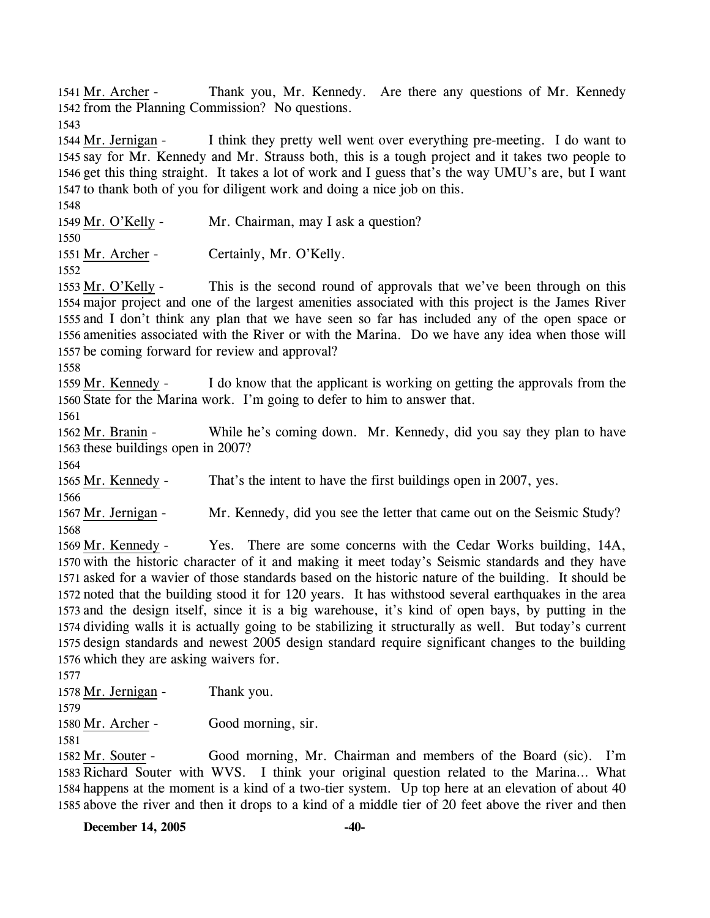Thank you, Mr. Kennedy. Are there any questions of Mr. Kennedy. 1542 from the Planning Commission? No questions. 1541 Mr. Archer -

1543

I think they pretty well went over everything pre-meeting. I do want to 1545 say for Mr. Kennedy and Mr. Strauss both, this is a tough project and it takes two people to 1546 get this thing straight. It takes a lot of work and I guess that's the way UMU's are, but I want 1547 to thank both of you for diligent work and doing a nice job on this. 1544 Mr. Jernigan -

1548

1549 Mr. O'Kelly - Mr. Chairman, may I ask a question?

1550

1551 Mr. Archer - Certainly, Mr. O'Kelly.

1552

This is the second round of approvals that we've been through on this 1554 major project and one of the largest amenities associated with this project is the James River 1555 and I don't think any plan that we have seen so far has included any of the open space or 1556 amenities associated with the River or with the Marina. Do we have any idea when those will 1557 be coming forward for review and approval? 1553 Mr. O'Kelly -

1558

I do know that the applicant is working on getting the approvals from the 1560 State for the Marina work. I'm going to defer to him to answer that. 1559 Mr. Kennedy -

1561

While he's coming down. Mr. Kennedy, did you say they plan to have 1563 these buildings open in 2007? 1562 Mr. Branin -

1564

1565 Mr. Kennedy - That's the intent to have the first buildings open in 2007, yes.

1566

1567 Mr. Jernigan - Mr. Kennedy, did you see the letter that came out on the Seismic Study? 1568

Yes. There are some concerns with the Cedar Works building, 14A, 1570 with the historic character of it and making it meet today's Seismic standards and they have 1571 asked for a wavier of those standards based on the historic nature of the building. It should be noted that the building stood it for 120 years. It has withstood several earthquakes in the area 1572 1573 and the design itself, since it is a big warehouse, it's kind of open bays, by putting in the 1574 dividing walls it is actually going to be stabilizing it structurally as well. But today's current 1575 design standards and newest 2005 design standard require significant changes to the building 1576 which they are asking waivers for. 1569 Mr. Kennedy -

1577

1578 Mr. Jernigan - Thank you.

1579

1580 Mr. Archer - Good morning, sir. 1581

Good morning, Mr. Chairman and members of the Board (sic). I'm 1583 Richard Souter with WVS. I think your original question related to the Marina... What 1584 happens at the moment is a kind of a two-tier system. Up top here at an elevation of about 40 1585 above the river and then it drops to a kind of a middle tier of 20 feet above the river and then 1582 Mr. Souter -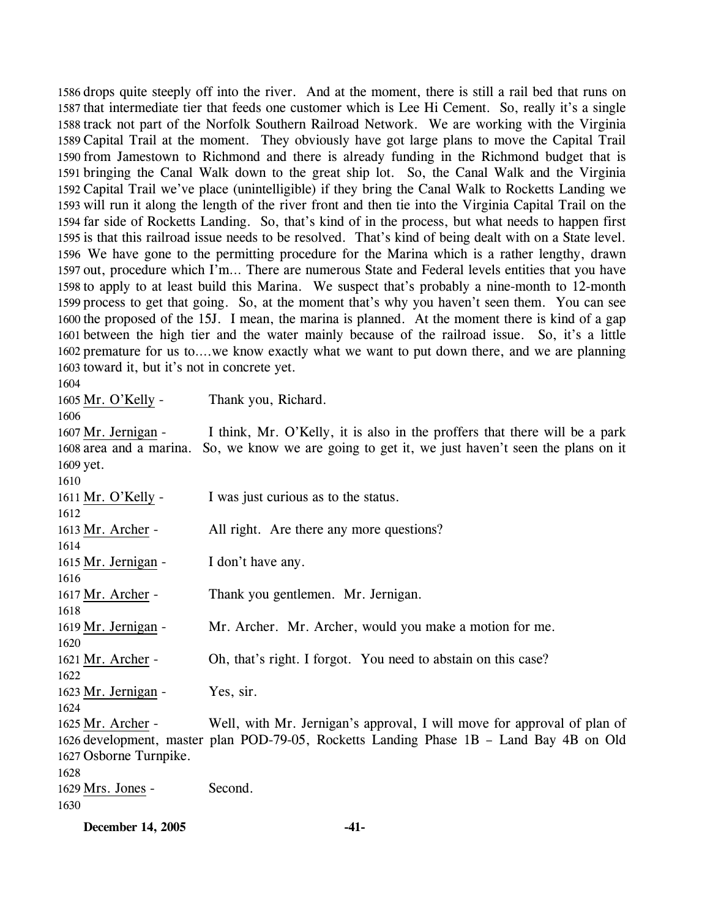drops quite steeply off into the river. And at the moment, there is still a rail bed that runs on that intermediate tier that feeds one customer which is Lee Hi Cement. So, really it's a single track not part of the Norfolk Southern Railroad Network. We are working with the Virginia Capital Trail at the moment. They obviously have got large plans to move the Capital Trail from Jamestown to Richmond and there is already funding in the Richmond budget that is bringing the Canal Walk down to the great ship lot. So, the Canal Walk and the Virginia Capital Trail we've place (unintelligible) if they bring the Canal Walk to Rocketts Landing we will run it along the length of the river front and then tie into the Virginia Capital Trail on the far side of Rocketts Landing. So, that's kind of in the process, but what needs to happen first is that this railroad issue needs to be resolved. That's kind of being dealt with on a State level. We have gone to the permitting procedure for the Marina which is a rather lengthy, drawn out, procedure which I'm… There are numerous State and Federal levels entities that you have to apply to at least build this Marina. We suspect that's probably a nine-month to 12-month process to get that going. So, at the moment that's why you haven't seen them. You can see the proposed of the 15J. I mean, the marina is planned. At the moment there is kind of a gap between the high tier and the water mainly because of the railroad issue. So, it's a little premature for us to….we know exactly what we want to put down there, and we are planning toward it, but it's not in concrete yet.

1605 Mr. O'Kelly - Thank you, Richard.

 I think, Mr. O'Kelly, it is also in the proffers that there will be a park 1608 area and a marina. So, we know we are going to get it, we just haven't seen the plans on it 1609 yet. 1607 Mr. Jernigan - 1611 Mr. O'Kelly - I was just curious as to the status. 1613 Mr. Archer - All right. Are there any more questions? 1615 Mr. Jernigan - I don't have any. 1617 Mr. Archer - Thank you gentlemen. Mr. Jernigan. 1619 Mr. Jernigan - Mr. Archer. Mr. Archer, would you make a motion for me. 1621 Mr. Archer - Oh, that's right. I forgot. You need to abstain on this case? 1623 Mr. Jernigan - Yes, sir. Well, with Mr. Jernigan's approval, I will move for approval of plan of 1626 development, master plan POD-79-05, Rocketts Landing Phase 1B - Land Bay 4B on Old 1627 Osborne Turnpike. 1625 Mr. Archer - 1629 Mrs. Jones - Second. 

**December 14, 2005 -41-**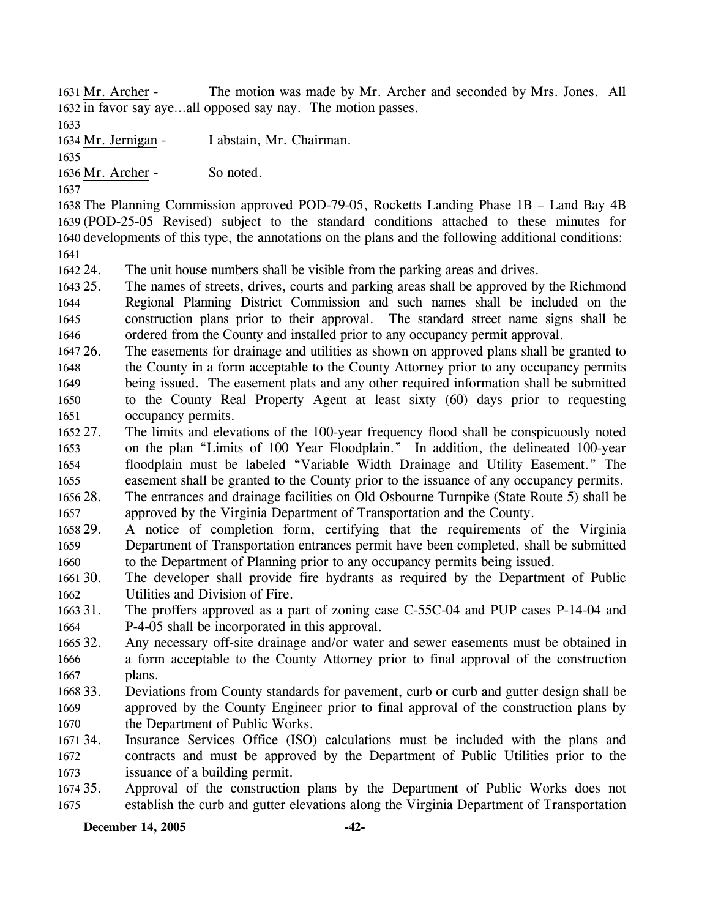The motion was made by Mr. Archer and seconded by Mrs. Jones. All 1632 in favor say aye...all opposed say nay. The motion passes. 1631 Mr. Archer -

1633

1634 Mr. Jernigan - I abstain, Mr. Chairman.

1635

1636 Mr. Archer - So noted.

1637

 The Planning Commission approved POD-79-05, Rocketts Landing Phase 1B – Land Bay 4B (POD-25-05 Revised) subject to the standard conditions attached to these minutes for developments of this type, the annotations on the plans and the following additional conditions: 1641

1642 24. The unit house numbers shall be visible from the parking areas and drives.

1643 25. 1644 1645 1646 The names of streets, drives, courts and parking areas shall be approved by the Richmond Regional Planning District Commission and such names shall be included on the construction plans prior to their approval. The standard street name signs shall be ordered from the County and installed prior to any occupancy permit approval.

1647 26. 1648 1649 1650 1651 The easements for drainage and utilities as shown on approved plans shall be granted to the County in a form acceptable to the County Attorney prior to any occupancy permits being issued. The easement plats and any other required information shall be submitted to the County Real Property Agent at least sixty (60) days prior to requesting occupancy permits.

1652 27. 1653 1654 1655 1656 28. The limits and elevations of the 100-year frequency flood shall be conspicuously noted on the plan "Limits of 100 Year Floodplain." In addition, the delineated 100-year floodplain must be labeled "Variable Width Drainage and Utility Easement." The easement shall be granted to the County prior to the issuance of any occupancy permits. 28. The entrances and drainage facilities on Old Osbourne Turnpike (State Route 5) shall be

1657 approved by the Virginia Department of Transportation and the County.

1658 29. 1659 1660 29. A notice of completion form, certifying that the requirements of the Virginia Department of Transportation entrances permit have been completed, shall be submitted to the Department of Planning prior to any occupancy permits being issued.

 $166130.$ 1662 The developer shall provide fire hydrants as required by the Department of Public Utilities and Division of Fire.

1663 31. 1664 The proffers approved as a part of zoning case C-55C-04 and PUP cases P-14-04 and P-4-05 shall be incorporated in this approval.

1665 32. 1666 1667 Any necessary off-site drainage and/or water and sewer easements must be obtained in a form acceptable to the County Attorney prior to final approval of the construction plans.

1668 33. 1669 1670 33. Deviations from County standards for pavement, curb or curb and gutter design shall be approved by the County Engineer prior to final approval of the construction plans by the Department of Public Works.

1671 34. 1672 1673 Insurance Services Office (ISO) calculations must be included with the plans and contracts and must be approved by the Department of Public Utilities prior to the issuance of a building permit.

1674 35. 1675 35. Approval of the construction plans by the Department of Public Works does not establish the curb and gutter elevations along the Virginia Department of Transportation

**December 14, 2005 -42-**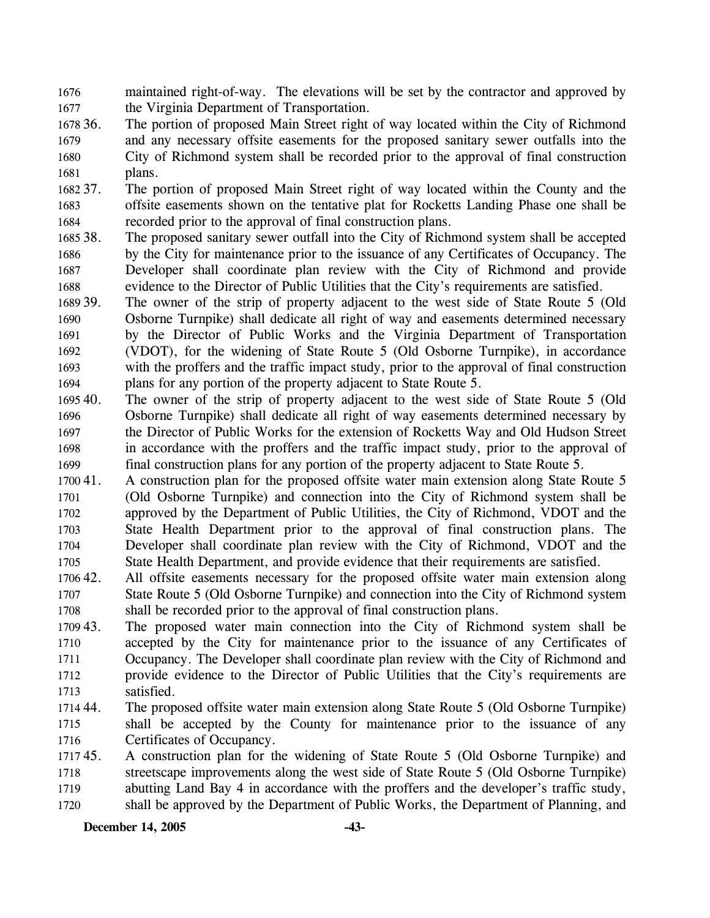1676 1677 maintained right-of-way. The elevations will be set by the contractor and approved by the Virginia Department of Transportation.

- 1678 36. 1679 1680 1681 The portion of proposed Main Street right of way located within the City of Richmond and any necessary offsite easements for the proposed sanitary sewer outfalls into the City of Richmond system shall be recorded prior to the approval of final construction plans.
- 1682 37. 1683 1684 The portion of proposed Main Street right of way located within the County and the offsite easements shown on the tentative plat for Rocketts Landing Phase one shall be recorded prior to the approval of final construction plans.
- 1685 38. 1686 1687 1688 The proposed sanitary sewer outfall into the City of Richmond system shall be accepted by the City for maintenance prior to the issuance of any Certificates of Occupancy. The Developer shall coordinate plan review with the City of Richmond and provide evidence to the Director of Public Utilities that the City's requirements are satisfied.
- 1689 39. 1690 1691 1692 1693 1694 The owner of the strip of property adjacent to the west side of State Route 5 (Old Osborne Turnpike) shall dedicate all right of way and easements determined necessary by the Director of Public Works and the Virginia Department of Transportation (VDOT), for the widening of State Route 5 (Old Osborne Turnpike), in accordance with the proffers and the traffic impact study, prior to the approval of final construction plans for any portion of the property adjacent to State Route 5.
- 1695 40. 1696 1697 1698 1699 The owner of the strip of property adjacent to the west side of State Route 5 (Old Osborne Turnpike) shall dedicate all right of way easements determined necessary by the Director of Public Works for the extension of Rocketts Way and Old Hudson Street in accordance with the proffers and the traffic impact study, prior to the approval of final construction plans for any portion of the property adjacent to State Route 5.
- 1700 41. 1701 1702 1703 1704 1705 A construction plan for the proposed offsite water main extension along State Route 5 (Old Osborne Turnpike) and connection into the City of Richmond system shall be approved by the Department of Public Utilities, the City of Richmond, VDOT and the State Health Department prior to the approval of final construction plans. The Developer shall coordinate plan review with the City of Richmond, VDOT and the State Health Department, and provide evidence that their requirements are satisfied.
- 1706 42. 1707 1708 All offsite easements necessary for the proposed offsite water main extension along State Route 5 (Old Osborne Turnpike) and connection into the City of Richmond system shall be recorded prior to the approval of final construction plans.
- 1709 43. 1710 1711 1712 1713 The proposed water main connection into the City of Richmond system shall be accepted by the City for maintenance prior to the issuance of any Certificates of Occupancy. The Developer shall coordinate plan review with the City of Richmond and provide evidence to the Director of Public Utilities that the City's requirements are satisfied.
- 1714 44. 1715 1716 The proposed offsite water main extension along State Route 5 (Old Osborne Turnpike) shall be accepted by the County for maintenance prior to the issuance of any Certificates of Occupancy.
- 171745. 1718 1719 1720 45. A construction plan for the widening of State Route 5 (Old Osborne Turnpike) and streetscape improvements along the west side of State Route 5 (Old Osborne Turnpike) abutting Land Bay 4 in accordance with the proffers and the developer's traffic study, shall be approved by the Department of Public Works, the Department of Planning, and

**December 14, 2005 -43-**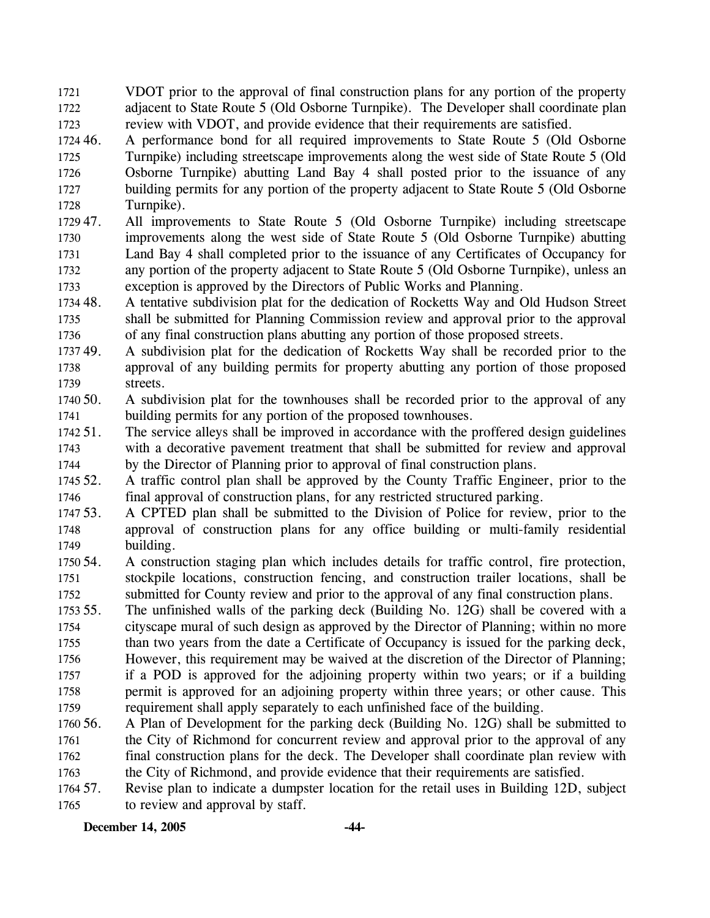1721 1722 1723 VDOT prior to the approval of final construction plans for any portion of the property adjacent to State Route 5 (Old Osborne Turnpike). The Developer shall coordinate plan review with VDOT, and provide evidence that their requirements are satisfied.

1724 46. 1725 1726 1727 1728 46. A performance bond for all required improvements to State Route 5 (Old Osborne Turnpike) including streetscape improvements along the west side of State Route 5 (Old Osborne Turnpike) abutting Land Bay 4 shall posted prior to the issuance of any building permits for any portion of the property adjacent to State Route 5 (Old Osborne Turnpike).

- 1729 47. 1730 1731 1732 1733 All improvements to State Route 5 (Old Osborne Turnpike) including streetscape improvements along the west side of State Route 5 (Old Osborne Turnpike) abutting Land Bay 4 shall completed prior to the issuance of any Certificates of Occupancy for any portion of the property adjacent to State Route 5 (Old Osborne Turnpike), unless an exception is approved by the Directors of Public Works and Planning.
- 1734 48. 1735 1736 48. A tentative subdivision plat for the dedication of Rocketts Way and Old Hudson Street shall be submitted for Planning Commission review and approval prior to the approval of any final construction plans abutting any portion of those proposed streets.
- 173749. 1738 1739 A subdivision plat for the dedication of Rocketts Way shall be recorded prior to the approval of any building permits for property abutting any portion of those proposed streets.
- 1740 50. 1741 A subdivision plat for the townhouses shall be recorded prior to the approval of any building permits for any portion of the proposed townhouses.
- 1742 51. 1743 1744 The service alleys shall be improved in accordance with the proffered design guidelines with a decorative pavement treatment that shall be submitted for review and approval by the Director of Planning prior to approval of final construction plans.
- 1745 52. 1746 52. A traffic control plan shall be approved by the County Traffic Engineer, prior to the final approval of construction plans, for any restricted structured parking.
- 1747 53. 1748 1749 53. A CPTED plan shall be submitted to the Division of Police for review, prior to the approval of construction plans for any office building or multi-family residential building.
- 1750 54. 1751 1752 54. A construction staging plan which includes details for traffic control, fire protection, stockpile locations, construction fencing, and construction trailer locations, shall be submitted for County review and prior to the approval of any final construction plans.
- 1753 55. 1754 1755 1756 1757 1758 1759 The unfinished walls of the parking deck (Building No. 12G) shall be covered with a cityscape mural of such design as approved by the Director of Planning; within no more than two years from the date a Certificate of Occupancy is issued for the parking deck, However, this requirement may be waived at the discretion of the Director of Planning; if a POD is approved for the adjoining property within two years; or if a building permit is approved for an adjoining property within three years; or other cause. This requirement shall apply separately to each unfinished face of the building.
- 1760 56. 1761 1762 1763 56. A Plan of Development for the parking deck (Building No. 12G) shall be submitted to the City of Richmond for concurrent review and approval prior to the approval of any final construction plans for the deck. The Developer shall coordinate plan review with the City of Richmond, and provide evidence that their requirements are satisfied.
- 1764 57. 1765 57. Revise plan to indicate a dumpster location for the retail uses in Building 12D, subject to review and approval by staff.

**December 14, 2005 -44-**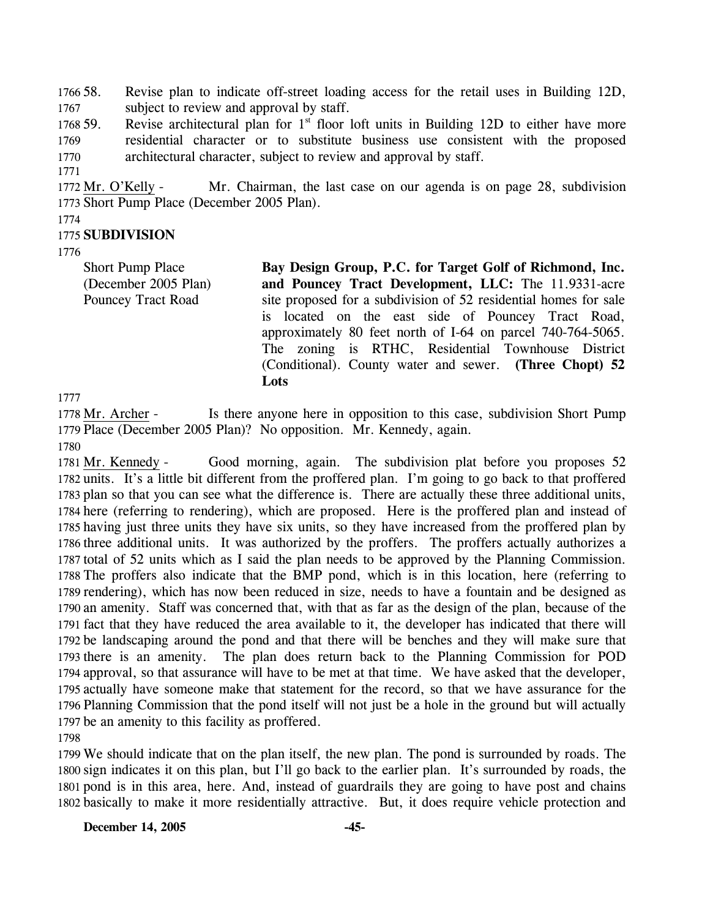1766 58. 1767 58. Revise plan to indicate off-street loading access for the retail uses in Building 12D, subject to review and approval by staff.

1768 59. 1769 1770 Revise architectural plan for  $1<sup>st</sup>$  floor loft units in Building 12D to either have more residential character or to substitute business use consistent with the proposed architectural character, subject to review and approval by staff.

Mr. Chairman, the last case on our agenda is on page 28, subdivision 1773 Short Pump Place (December 2005 Plan). 1772 Mr. O'Kelly -

1774

1771

## 1775 **SUBDIVISION**

1776

Short Pump Place (December 2005 Plan) Pouncey Tract Road

**Bay Design Group, P.C. for Target Golf of Richmond, Inc. and Pouncey Tract Development, LLC:** The 11.9331-acre site proposed for a subdivision of 52 residential homes for sale is located on the east side of Pouncey Tract Road, approximately 80 feet north of I-64 on parcel 740-764-5065. The zoning is RTHC, Residential Townhouse District (Conditional). County water and sewer. **(Three Chopt) 52 Lots** 

1777

Is there anyone here in opposition to this case, subdivision Short Pump 1779 Place (December 2005 Plan)? No opposition. Mr. Kennedy, again. 1778 Mr. Archer -1780

Good morning, again. The subdivision plat before you proposes 52 1782 units. It's a little bit different from the proffered plan. I'm going to go back to that proffered 1783 plan so that you can see what the difference is. There are actually these three additional units, 1784 here (referring to rendering), which are proposed. Here is the proffered plan and instead of 1785 having just three units they have six units, so they have increased from the proffered plan by 1786 three additional units. It was authorized by the proffers. The proffers actually authorizes a 1787 total of 52 units which as I said the plan needs to be approved by the Planning Commission. 1788 The proffers also indicate that the BMP pond, which is in this location, here (referring to 1789 rendering), which has now been reduced in size, needs to have a fountain and be designed as 1790 an amenity. Staff was concerned that, with that as far as the design of the plan, because of the 1791 fact that they have reduced the area available to it, the developer has indicated that there will 1792 be landscaping around the pond and that there will be benches and they will make sure that 1793 there is an amenity. The plan does return back to the Planning Commission for POD 1794 approval, so that assurance will have to be met at that time. We have asked that the developer, 1795 actually have someone make that statement for the record, so that we have assurance for the 1796 Planning Commission that the pond itself will not just be a hole in the ground but will actually 1797 be an amenity to this facility as proffered. 1781 Mr. Kennedy -

1798

 We should indicate that on the plan itself, the new plan. The pond is surrounded by roads. The sign indicates it on this plan, but I'll go back to the earlier plan. It's surrounded by roads, the pond is in this area, here. And, instead of guardrails they are going to have post and chains basically to make it more residentially attractive. But, it does require vehicle protection and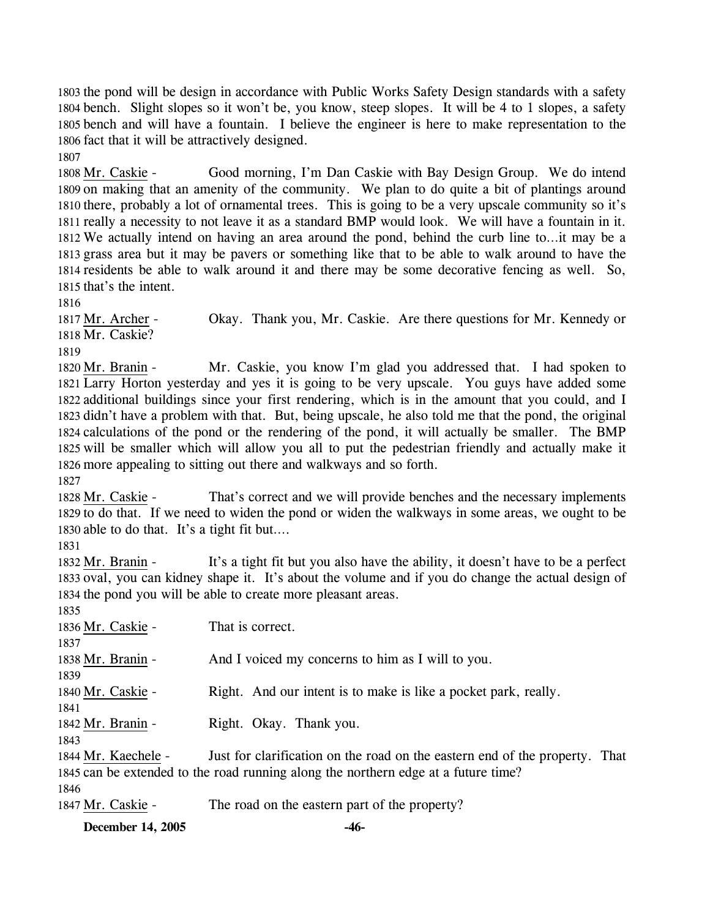the pond will be design in accordance with Public Works Safety Design standards with a safety bench. Slight slopes so it won't be, you know, steep slopes. It will be 4 to 1 slopes, a safety bench and will have a fountain. I believe the engineer is here to make representation to the fact that it will be attractively designed. 1807

Good morning, I'm Dan Caskie with Bay Design Group. We do intend 1809 on making that an amenity of the community. We plan to do quite a bit of plantings around 1810 there, probably a lot of ornamental trees. This is going to be a very upscale community so it's 1811 really a necessity to not leave it as a standard BMP would look. We will have a fountain in it. 1812 We actually intend on having an area around the pond, behind the curb line to...it may be a 1813 grass area but it may be pavers or something like that to be able to walk around to have the 1814 residents be able to walk around it and there may be some decorative fencing as well. So, 1815 that's the intent. 1808 Mr. Caskie -

1816

Okay. Thank you, Mr. Caskie. Are there questions for Mr. Kennedy or 1818 Mr. Caskie? 1817 Mr. Archer -

1819

Mr. Caskie, you know I'm glad you addressed that. I had spoken to Larry Horton yesterday and yes it is going to be very upscale. You guys have added some 1821 1822 additional buildings since your first rendering, which is in the amount that you could, and I 1823 didn't have a problem with that. But, being upscale, he also told me that the pond, the original 1824 calculations of the pond or the rendering of the pond, it will actually be smaller. The BMP 1825 will be smaller which will allow you all to put the pedestrian friendly and actually make it 1826 more appealing to sitting out there and walkways and so forth. 1820 Mr. Branin -

1827

That's correct and we will provide benches and the necessary implements 1829 to do that. If we need to widen the pond or widen the walkways in some areas, we ought to be 1830 able to do that. It's a tight fit but.... 1828 Mr. Caskie -

1831

It's a tight fit but you also have the ability, it doesn't have to be a perfect 1833 oval, you can kidney shape it. It's about the volume and if you do change the actual design of 1834 the pond you will be able to create more pleasant areas. 1832 Mr. Branin - $18355$ 

| 1835                |                                                                                    |
|---------------------|------------------------------------------------------------------------------------|
| 1836 Mr. Caskie -   | That is correct.                                                                   |
| 1837                |                                                                                    |
| 1838 Mr. Branin -   | And I voiced my concerns to him as I will to you.                                  |
| 1839                |                                                                                    |
| 1840 Mr. Caskie -   | Right. And our intent is to make is like a pocket park, really.                    |
| 1841                |                                                                                    |
| 1842 Mr. Branin -   | Right. Okay. Thank you.                                                            |
| 1843                |                                                                                    |
| 1844 Mr. Kaechele - | Just for clarification on the road on the eastern end of the property. That        |
|                     | 1845 can be extended to the road running along the northern edge at a future time? |
| 1846                |                                                                                    |
| 1847 Mr. Caskie -   | The road on the eastern part of the property?                                      |
|                     |                                                                                    |

**December 14, 2005 -46-**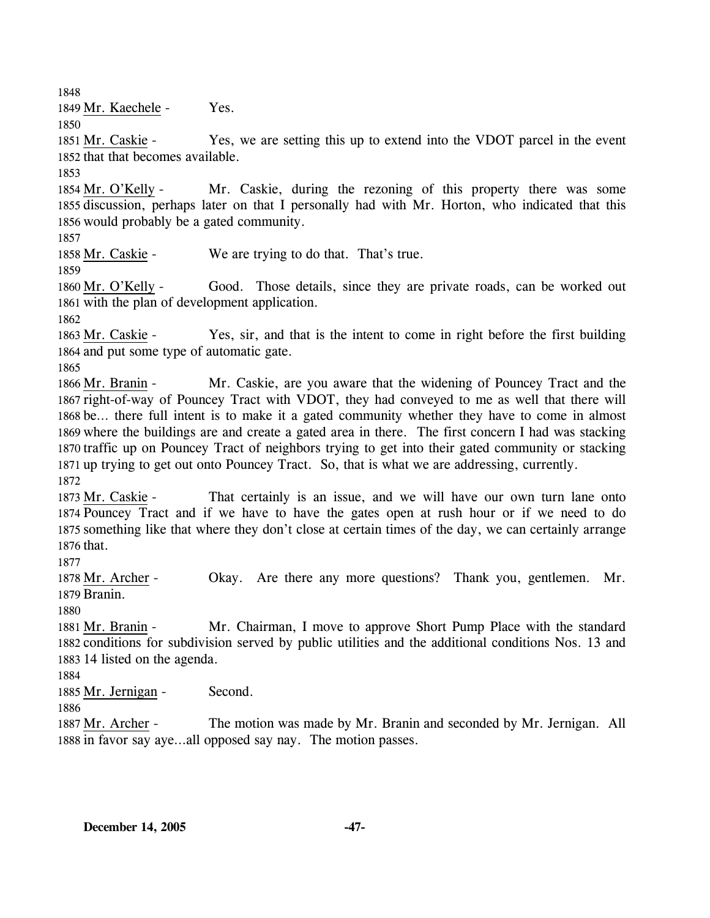1848

1849 Mr. Kaechele - Yes.

1850

Yes, we are setting this up to extend into the VDOT parcel in the event 1852 that that becomes available. 1851 Mr. Caskie -

1853

Mr. Caskie, during the rezoning of this property there was some 1855 discussion, perhaps later on that I personally had with Mr. Horton, who indicated that this 1856 would probably be a gated community. 1854 Mr. O'Kelly -

1857

1858 Mr. Caskie - We are trying to do that. That's true.

1859

Good. Those details, since they are private roads, can be worked out 1861 with the plan of development application. 1860 Mr. O'Kelly -

1862

Yes, sir, and that is the intent to come in right before the first building 1864 and put some type of automatic gate. 1863 Mr. Caskie -

1865

Mr. Caskie, are you aware that the widening of Pouncey Tract and the 1867 right-of-way of Pouncey Tract with VDOT, they had conveyed to me as well that there will 1868 be... there full intent is to make it a gated community whether they have to come in almost 1869 where the buildings are and create a gated area in there. The first concern I had was stacking 1870 traffic up on Pouncey Tract of neighbors trying to get into their gated community or stacking 1871 up trying to get out onto Pouncey Tract. So, that is what we are addressing, currently. 1866 Mr. Branin -

1872

That certainly is an issue, and we will have our own turn lane onto 1874 Pouncey Tract and if we have to have the gates open at rush hour or if we need to do 1875 something like that where they don't close at certain times of the day, we can certainly arrange 1876 that. 1873 Mr. Caskie -

1877

Okay. Are there any more questions? Thank you, gentlemen. Mr. 1879 Branin. 1878 Mr. Archer -

1880

Mr. Chairman, I move to approve Short Pump Place with the standard 1882 conditions for subdivision served by public utilities and the additional conditions Nos. 13 and 1883 14 listed on the agenda. 1881 Mr. Branin -

1884

1885 Mr. Jernigan - Second.

1886

The motion was made by Mr. Branin and seconded by Mr. Jernigan. All 1888 in favor say aye...all opposed say nay. The motion passes. 1887 Mr. Archer -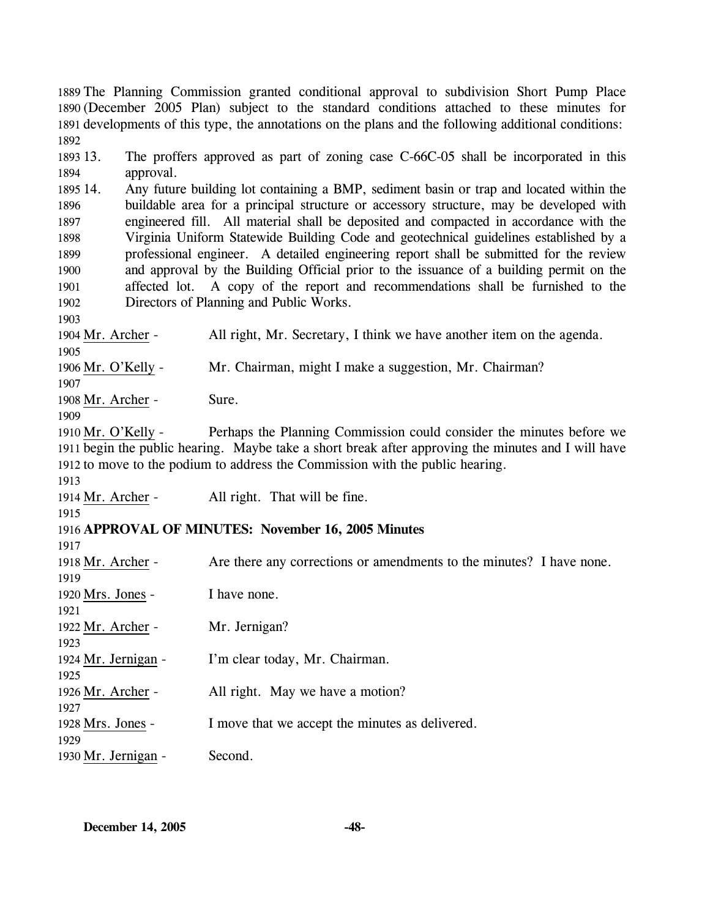1889 The Planning Commission granted conditional approval to subdivision Short Pump Place 1890 (December 2005 Plan) subject to the standard conditions attached to these minutes for 1891 developments of this type, the annotations on the plans and the following additional conditions: 1892 1893 13. 1894 1895 14. 1896 1897 1898 1899 1900 1901 1902 1903 The proffers approved as part of zoning case C-66C-05 shall be incorporated in this approval. 14. Any future building lot containing a BMP, sediment basin or trap and located within the buildable area for a principal structure or accessory structure, may be developed with engineered fill. All material shall be deposited and compacted in accordance with the Virginia Uniform Statewide Building Code and geotechnical guidelines established by a professional engineer. A detailed engineering report shall be submitted for the review and approval by the Building Official prior to the issuance of a building permit on the affected lot. A copy of the report and recommendations shall be furnished to the Directors of Planning and Public Works. 1904 Mr. Archer - All right, Mr. Secretary, I think we have another item on the agenda. 1905 1906 Mr. O'Kelly - Mr. Chairman, might I make a suggestion, Mr. Chairman? 1907 1908 Mr. Archer - Sure. 1909 Perhaps the Planning Commission could consider the minutes before we 1911 begin the public hearing. Maybe take a short break after approving the minutes and I will have 1912 to move to the podium to address the Commission with the public hearing. 1910 Mr. O'Kelly -1913 1914 Mr. Archer - All right. That will be fine. 1915 1916 **APPROVAL OF MINUTES: November 16, 2005 Minutes**  1917 1918 Mr. Archer - Are there any corrections or amendments to the minutes? I have none. 1919 1920 Mrs. Jones - I have none. 1921 1922 Mr. Archer - Mr. Jernigan? 1923 1924 Mr. Jernigan - I'm clear today, Mr. Chairman. 1925 1926 Mr. Archer - All right. May we have a motion? 1927 1928 Mrs. Jones - I move that we accept the minutes as delivered. 1929 1930 Mr. Jernigan - Second.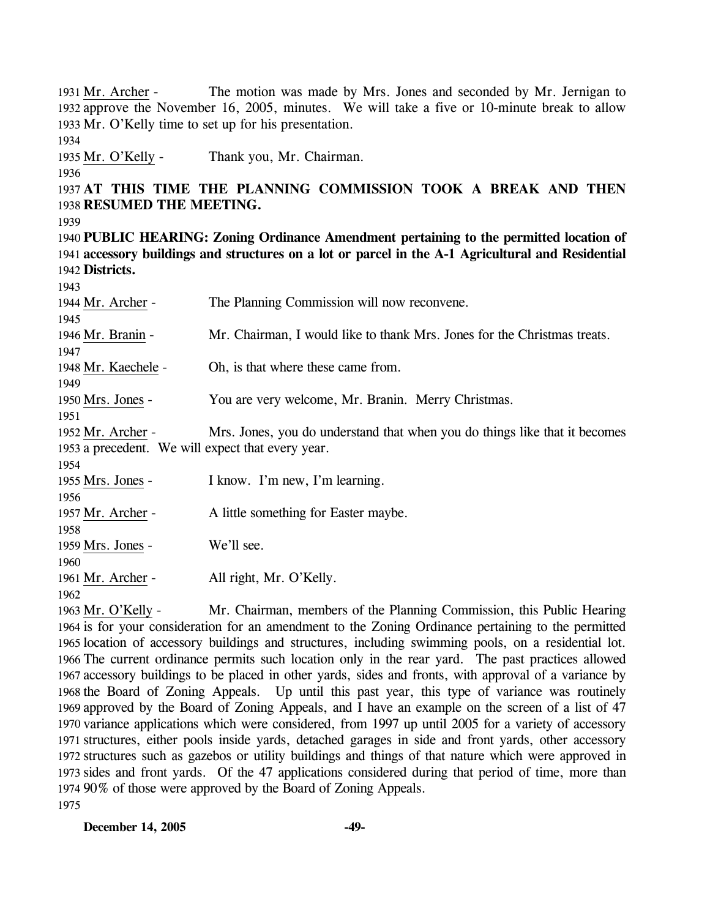The motion was made by Mrs. Jones and seconded by Mr. Jernigan to 1932 approve the November 16, 2005, minutes. We will take a five or 10-minute break to allow 1933 Mr. O'Kelly time to set up for his presentation. 1931 Mr. Archer -1934 1935 Mr. O'Kelly - Thank you, Mr. Chairman. 1936 1937 **AT THIS TIME THE PLANNING COMMISSION TOOK A BREAK AND THEN**  1938 **RESUMED THE MEETING.**  1939 1940 **PUBLIC HEARING: Zoning Ordinance Amendment pertaining to the permitted location of**  1941 **accessory buildings and structures on a lot or parcel in the A-1 Agricultural and Residential**  1942 **Districts.**  1943 1944 Mr. Archer - The Planning Commission will now reconvene. 1945 1946 Mr. Branin - Mr. Chairman, I would like to thank Mrs. Jones for the Christmas treats. 1947 1948 Mr. Kaechele - Oh, is that where these came from. 1949 1950 Mrs. Jones - You are very welcome, Mr. Branin. Merry Christmas. 1951 Mrs. Jones, you do understand that when you do things like that it becomes 1953 a precedent. We will expect that every year. 1952 Mr. Archer -1954 1955 Mrs. Jones - I know. I'm new, I'm learning. 1956 1957 Mr. Archer - A little something for Easter maybe. 1958 1959 Mrs. Jones - We'll see. 1960 1961 Mr. Archer - All right, Mr. O'Kelly. 1962 Mr. Chairman, members of the Planning Commission, this Public Hearing 1964 is for your consideration for an amendment to the Zoning Ordinance pertaining to the permitted 1963 Mr. O'Kelly -

1965 location of accessory buildings and structures, including swimming pools, on a residential lot. 1966 The current ordinance permits such location only in the rear yard. The past practices allowed 1967 accessory buildings to be placed in other yards, sides and fronts, with approval of a variance by 1968 the Board of Zoning Appeals. Up until this past year, this type of variance was routinely 1969 approved by the Board of Zoning Appeals, and I have an example on the screen of a list of 47 1970 variance applications which were considered, from 1997 up until 2005 for a variety of accessory 1971 structures, either pools inside yards, detached garages in side and front yards, other accessory 1972 structures such as gazebos or utility buildings and things of that nature which were approved in 1973 sides and front yards. Of the 47 applications considered during that period of time, more than 90% of those were approved by the Board of Zoning Appeals. 1974 1975

**December 14, 2005 -49-**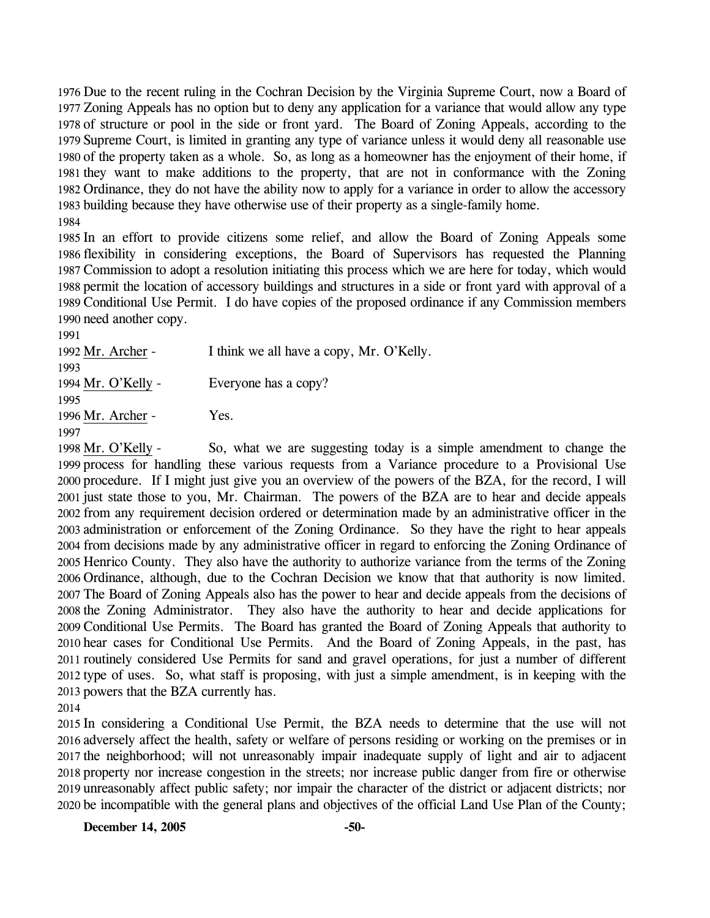Due to the recent ruling in the Cochran Decision by the Virginia Supreme Court, now a Board of Zoning Appeals has no option but to deny any application for a variance that would allow any type of structure or pool in the side or front yard. The Board of Zoning Appeals, according to the Supreme Court, is limited in granting any type of variance unless it would deny all reasonable use of the property taken as a whole. So, as long as a homeowner has the enjoyment of their home, if they want to make additions to the property, that are not in conformance with the Zoning Ordinance, they do not have the ability now to apply for a variance in order to allow the accessory building because they have otherwise use of their property as a single-family home. 1984

 In an effort to provide citizens some relief, and allow the Board of Zoning Appeals some flexibility in considering exceptions, the Board of Supervisors has requested the Planning Commission to adopt a resolution initiating this process which we are here for today, which would permit the location of accessory buildings and structures in a side or front yard with approval of a Conditional Use Permit. I do have copies of the proposed ordinance if any Commission members need another copy.

1991 1992 Mr. Archer - I think we all have a copy, Mr. O'Kelly. 1993 1994 Mr. O'Kelly - Everyone has a copy? 1995 1996 Mr. Archer - Yes. 1997

So, what we are suggesting today is a simple amendment to change the 1999 process for handling these various requests from a Variance procedure to a Provisional Use 2000 procedure. If I might just give you an overview of the powers of the BZA, for the record, I will 2001 just state those to you, Mr. Chairman. The powers of the BZA are to hear and decide appeals 2002 from any requirement decision ordered or determination made by an administrative officer in the 2003 administration or enforcement of the Zoning Ordinance. So they have the right to hear appeals 2004 from decisions made by any administrative officer in regard to enforcing the Zoning Ordinance of 2005 Henrico County. They also have the authority to authorize variance from the terms of the Zoning 2006 Ordinance, although, due to the Cochran Decision we know that that authority is now limited. 2007 The Board of Zoning Appeals also has the power to hear and decide appeals from the decisions of 2008 the Zoning Administrator. They also have the authority to hear and decide applications for 2009 Conditional Use Permits. The Board has granted the Board of Zoning Appeals that authority to 2010 hear cases for Conditional Use Permits. And the Board of Zoning Appeals, in the past, has 2011 routinely considered Use Permits for sand and gravel operations, for just a number of different 2012 type of uses. So, what staff is proposing, with just a simple amendment, is in keeping with the 2013 powers that the BZA currently has. 1998 Mr. O'Kelly -

2014

 In considering a Conditional Use Permit, the BZA needs to determine that the use will not adversely affect the health, safety or welfare of persons residing or working on the premises or in the neighborhood; will not unreasonably impair inadequate supply of light and air to adjacent property nor increase congestion in the streets; nor increase public danger from fire or otherwise unreasonably affect public safety; nor impair the character of the district or adjacent districts; nor be incompatible with the general plans and objectives of the official Land Use Plan of the County;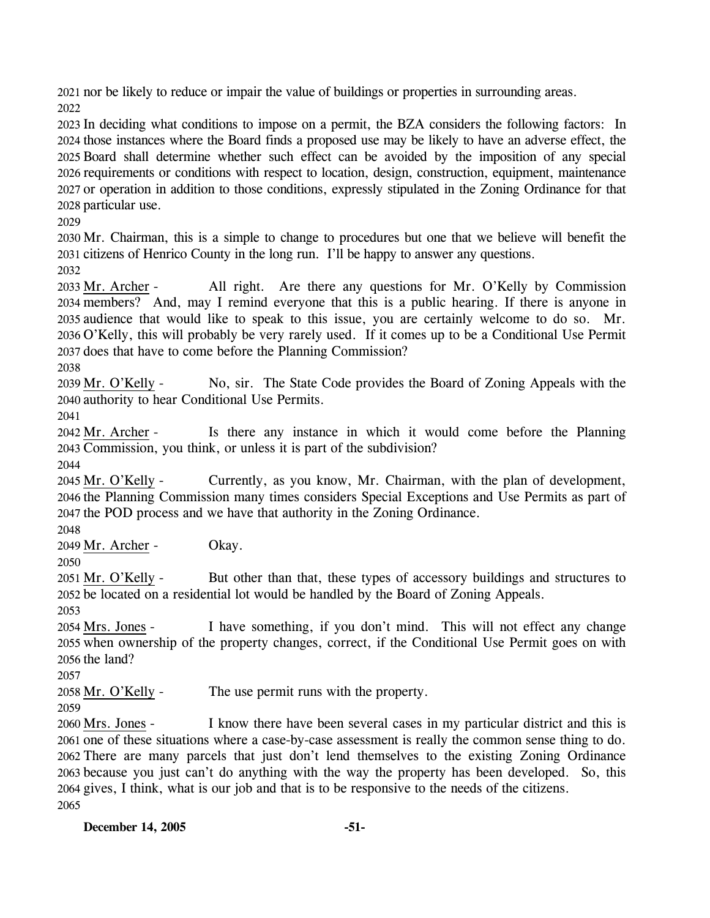2021 nor be likely to reduce or impair the value of buildings or properties in surrounding areas. 2022

 In deciding what conditions to impose on a permit, the BZA considers the following factors: In those instances where the Board finds a proposed use may be likely to have an adverse effect, the Board shall determine whether such effect can be avoided by the imposition of any special requirements or conditions with respect to location, design, construction, equipment, maintenance or operation in addition to those conditions, expressly stipulated in the Zoning Ordinance for that particular use.

2029

2030 Mr. Chairman, this is a simple to change to procedures but one that we believe will benefit the 2031 citizens of Henrico County in the long run. I'll be happy to answer any questions.

2032

All right. Are there any questions for Mr. O'Kelly by Commission members? And, may I remind everyone that this is a public hearing. If there is anyone in 2034 2035 audience that would like to speak to this issue, you are certainly welcome to do so. Mr. 2036 O'Kelly, this will probably be very rarely used. If it comes up to be a Conditional Use Permit 2037 does that have to come before the Planning Commission? 2033 Mr. Archer -

2038

No, sir. The State Code provides the Board of Zoning Appeals with the 2040 authority to hear Conditional Use Permits. 2039 Mr. O'Kelly -

2041

Is there any instance in which it would come before the Planning 2043 Commission, you think, or unless it is part of the subdivision? 2042 Mr. Archer -

2044

Currently, as you know, Mr. Chairman, with the plan of development, 2046 the Planning Commission many times considers Special Exceptions and Use Permits as part of 2047 the POD process and we have that authority in the Zoning Ordinance. 2045 Mr. O'Kelly -

2048

2049 Mr. Archer - Okay.

2050

But other than that, these types of accessory buildings and structures to 2052 be located on a residential lot would be handled by the Board of Zoning Appeals. 2051 Mr. O'Kelly -

2053

I have something, if you don't mind. This will not effect any change 2055 when ownership of the property changes, correct, if the Conditional Use Permit goes on with  $2056$  the land? 2054 Mrs. Jones -

2057

2058 Mr. O'Kelly - The use permit runs with the property.

2059

I know there have been several cases in my particular district and this is 2061 one of these situations where a case-by-case assessment is really the common sense thing to do. 2062 There are many parcels that just don't lend themselves to the existing Zoning Ordinance 2063 because you just can't do anything with the way the property has been developed. So, this 2064 gives, I think, what is our job and that is to be responsive to the needs of the citizens. 2060 Mrs. Jones -2065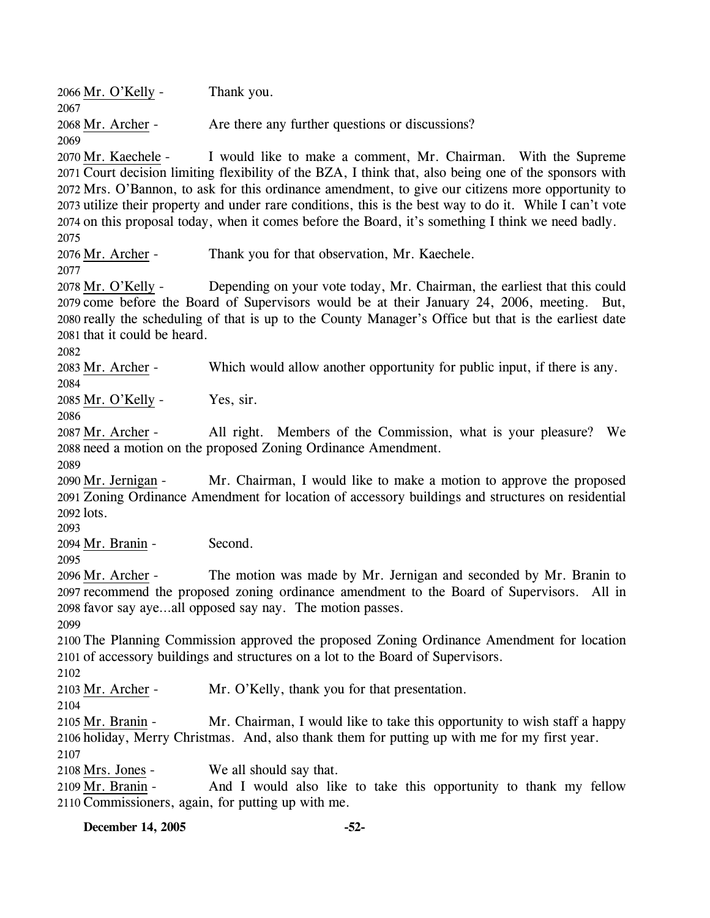2066 Mr. O'Kelly - Thank you. 2067 2068 Mr. Archer - Are there any further questions or discussions? 2069 I would like to make a comment, Mr. Chairman. With the Supreme 2071 Court decision limiting flexibility of the BZA, I think that, also being one of the sponsors with 2072 Mrs. O'Bannon, to ask for this ordinance amendment, to give our citizens more opportunity to 2073 utilize their property and under rare conditions, this is the best way to do it. While I can't vote 2074 on this proposal today, when it comes before the Board, it's something I think we need badly. 2070 Mr. Kaechele -2075 2076 Mr. Archer - Thank you for that observation, Mr. Kaechele. 2077 Depending on your vote today, Mr. Chairman, the earliest that this could 2079 come before the Board of Supervisors would be at their January 24, 2006, meeting. But, 2080 really the scheduling of that is up to the County Manager's Office but that is the earliest date 2081 that it could be heard. 2078 Mr. O'Kelly -2082 2083 Mr. Archer - Which would allow another opportunity for public input, if there is any. 2084 2085 Mr. O'Kelly - Yes, sir. 2086 All right. Members of the Commission, what is your pleasure? We 2088 need a motion on the proposed Zoning Ordinance Amendment. 2087 Mr. Archer -2089 Mr. Chairman, I would like to make a motion to approve the proposed 2091 Zoning Ordinance Amendment for location of accessory buildings and structures on residential 2092 lots. 2090 Mr. Jernigan -2093 2094 Mr. Branin - Second. 2095 The motion was made by Mr. Jernigan and seconded by Mr. Branin to 2097 recommend the proposed zoning ordinance amendment to the Board of Supervisors. All in 2098 favor say aye...all opposed say nay. The motion passes. 2096 Mr. Archer -2099 2100 The Planning Commission approved the proposed Zoning Ordinance Amendment for location 2101 of accessory buildings and structures on a lot to the Board of Supervisors. 2102 2103 Mr. Archer - Mr. O'Kelly, thank you for that presentation. 2104 Mr. Chairman, I would like to take this opportunity to wish staff a happy 2106 holiday, Merry Christmas. And, also thank them for putting up with me for my first year. 2105 Mr. Branin -2107 2108 Mrs. Jones - We all should say that. And I would also like to take this opportunity to thank my fellow 2110 Commissioners, again, for putting up with me. 2109 Mr. Branin -

**December 14, 2005 -52-**